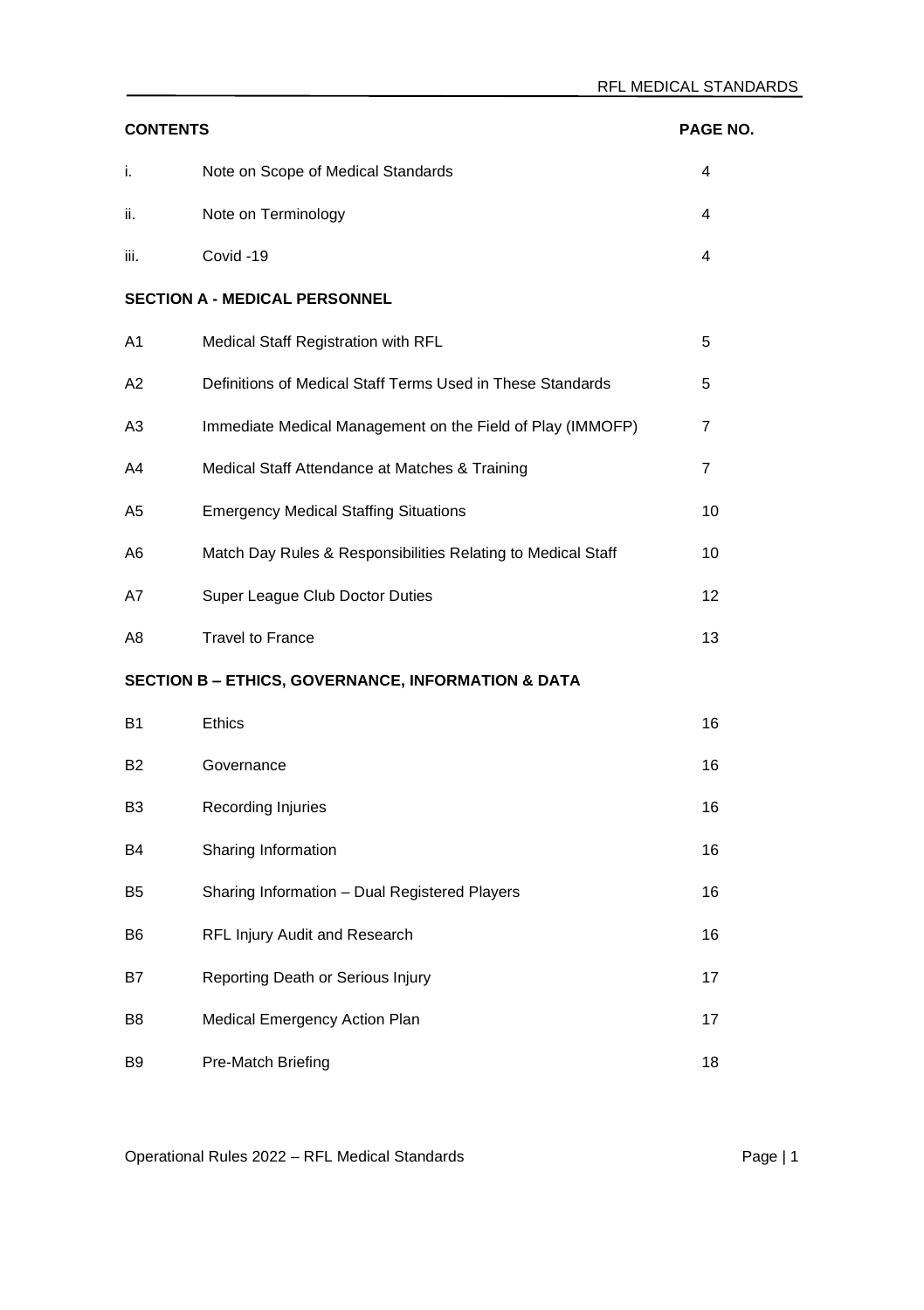| <b>CONTENTS</b><br>PAGE NO. |                                                               |    |
|-----------------------------|---------------------------------------------------------------|----|
| i.                          | Note on Scope of Medical Standards                            | 4  |
| ii.                         | Note on Terminology                                           | 4  |
| iii.                        | Covid-19                                                      | 4  |
|                             | <b>SECTION A - MEDICAL PERSONNEL</b>                          |    |
| A <sub>1</sub>              | Medical Staff Registration with RFL                           | 5  |
| A2                          | Definitions of Medical Staff Terms Used in These Standards    | 5  |
| A3                          | Immediate Medical Management on the Field of Play (IMMOFP)    | 7  |
| A4                          | Medical Staff Attendance at Matches & Training                | 7  |
| A5                          | <b>Emergency Medical Staffing Situations</b>                  | 10 |
| A6                          | Match Day Rules & Responsibilities Relating to Medical Staff  | 10 |
| A7                          | Super League Club Doctor Duties                               | 12 |
| A8                          | <b>Travel to France</b>                                       | 13 |
|                             | <b>SECTION B - ETHICS, GOVERNANCE, INFORMATION &amp; DATA</b> |    |
| <b>B1</b>                   | <b>Ethics</b>                                                 | 16 |
| <b>B2</b>                   | Governance                                                    | 16 |
| B3                          | Recording Injuries                                            | 16 |
| B4                          | Sharing Information                                           | 16 |
| B5                          | Sharing Information - Dual Registered Players                 | 16 |
| <b>B6</b>                   | RFL Injury Audit and Research                                 | 16 |
| B7                          | Reporting Death or Serious Injury                             | 17 |
| B <sub>8</sub>              | Medical Emergency Action Plan                                 | 17 |
| B9                          | Pre-Match Briefing                                            | 18 |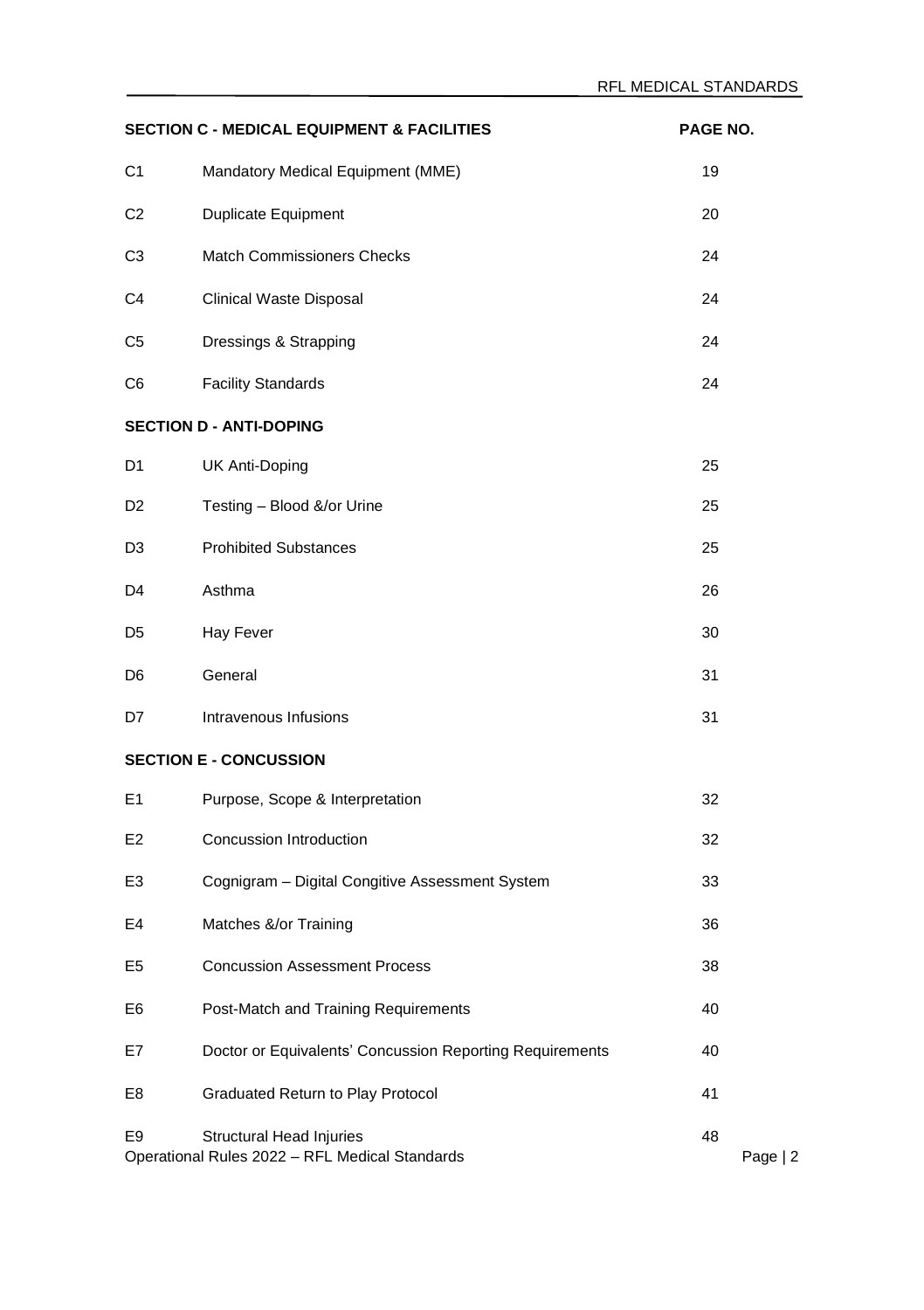| <b>SECTION C - MEDICAL EQUIPMENT &amp; FACILITIES</b><br>PAGE NO. |                                                                                   |    |          |
|-------------------------------------------------------------------|-----------------------------------------------------------------------------------|----|----------|
| C1                                                                | Mandatory Medical Equipment (MME)                                                 | 19 |          |
| C <sub>2</sub>                                                    | Duplicate Equipment                                                               | 20 |          |
| C3                                                                | Match Commissioners Checks                                                        | 24 |          |
| C4                                                                | Clinical Waste Disposal                                                           | 24 |          |
| C5                                                                | Dressings & Strapping                                                             | 24 |          |
| C6                                                                | <b>Facility Standards</b>                                                         | 24 |          |
|                                                                   | <b>SECTION D - ANTI-DOPING</b>                                                    |    |          |
| D1                                                                | UK Anti-Doping                                                                    | 25 |          |
| D <sub>2</sub>                                                    | Testing - Blood &/or Urine                                                        | 25 |          |
| D3                                                                | <b>Prohibited Substances</b>                                                      | 25 |          |
| D4                                                                | Asthma                                                                            | 26 |          |
| D5                                                                | Hay Fever                                                                         | 30 |          |
| D6                                                                | General                                                                           | 31 |          |
| D7                                                                | Intravenous Infusions                                                             | 31 |          |
|                                                                   | <b>SECTION E - CONCUSSION</b>                                                     |    |          |
| E <sub>1</sub>                                                    | Purpose, Scope & Interpretation                                                   | 32 |          |
| E2                                                                | Concussion Introduction                                                           | 32 |          |
| E3                                                                | Cognigram - Digital Congitive Assessment System                                   | 33 |          |
| E4                                                                | Matches &/or Training                                                             | 36 |          |
| E <sub>5</sub>                                                    | <b>Concussion Assessment Process</b>                                              | 38 |          |
| E6                                                                | Post-Match and Training Requirements                                              | 40 |          |
| E7                                                                | Doctor or Equivalents' Concussion Reporting Requirements                          | 40 |          |
| E8                                                                | Graduated Return to Play Protocol                                                 | 41 |          |
| E <sub>9</sub>                                                    | <b>Structural Head Injuries</b><br>Operational Rules 2022 - RFL Medical Standards | 48 | Page   2 |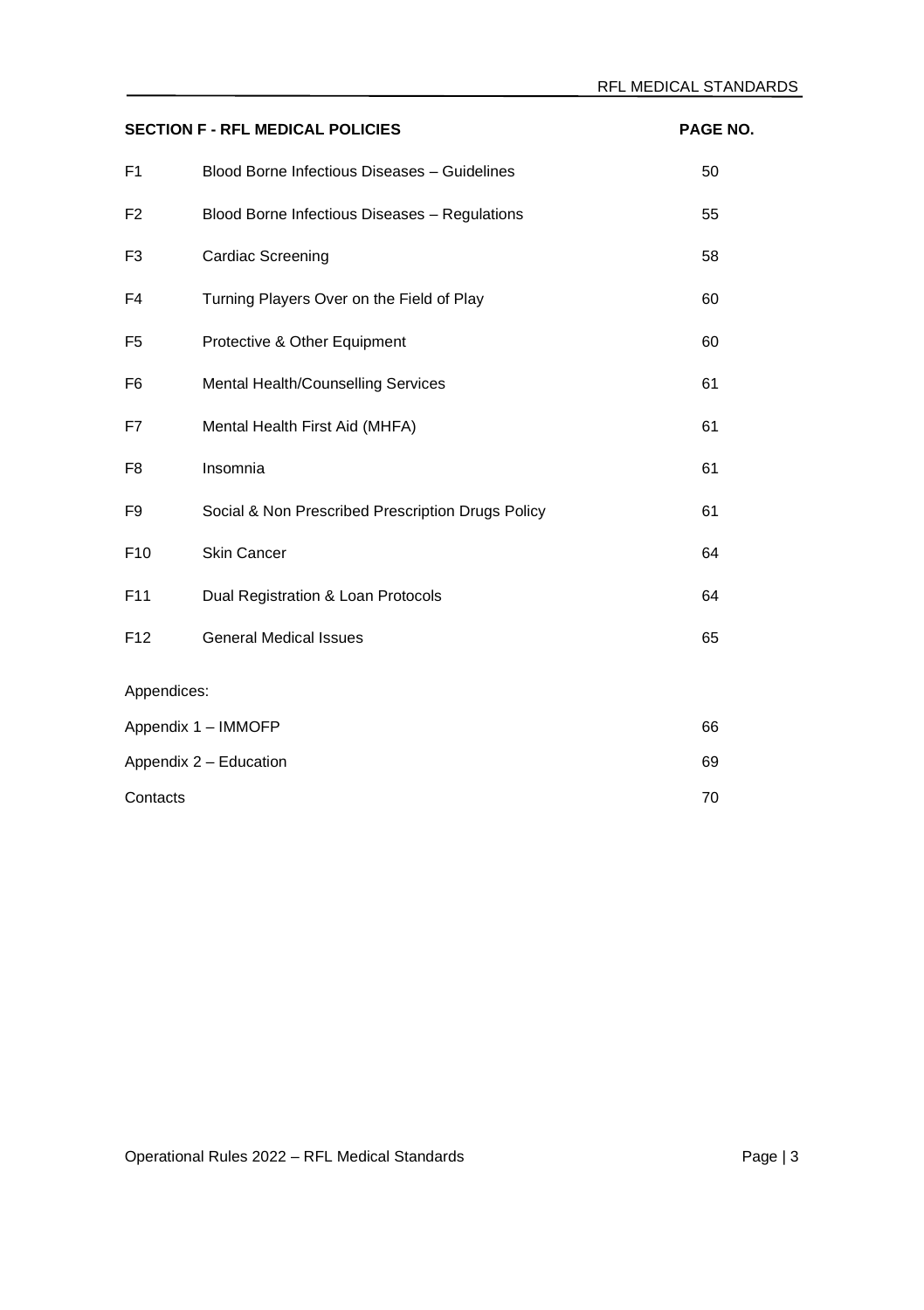| <b>SECTION F - RFL MEDICAL POLICIES</b><br>PAGE NO. |                                                   |    |
|-----------------------------------------------------|---------------------------------------------------|----|
| F <sub>1</sub>                                      | Blood Borne Infectious Diseases - Guidelines      | 50 |
| F <sub>2</sub>                                      | Blood Borne Infectious Diseases - Regulations     | 55 |
| F <sub>3</sub>                                      | Cardiac Screening                                 | 58 |
| F4                                                  | Turning Players Over on the Field of Play         | 60 |
| F <sub>5</sub>                                      | Protective & Other Equipment                      | 60 |
| F <sub>6</sub>                                      | Mental Health/Counselling Services                | 61 |
| F7                                                  | Mental Health First Aid (MHFA)                    | 61 |
| F8                                                  | Insomnia                                          | 61 |
| F <sub>9</sub>                                      | Social & Non Prescribed Prescription Drugs Policy | 61 |
| F10                                                 | <b>Skin Cancer</b>                                | 64 |
| F11                                                 | Dual Registration & Loan Protocols                | 64 |
| F <sub>12</sub>                                     | <b>General Medical Issues</b>                     | 65 |
| Appendices:                                         |                                                   |    |
| Appendix 1 - IMMOFP<br>66                           |                                                   |    |
| Appendix 2 - Education                              |                                                   | 69 |
| 70<br>Contacts                                      |                                                   |    |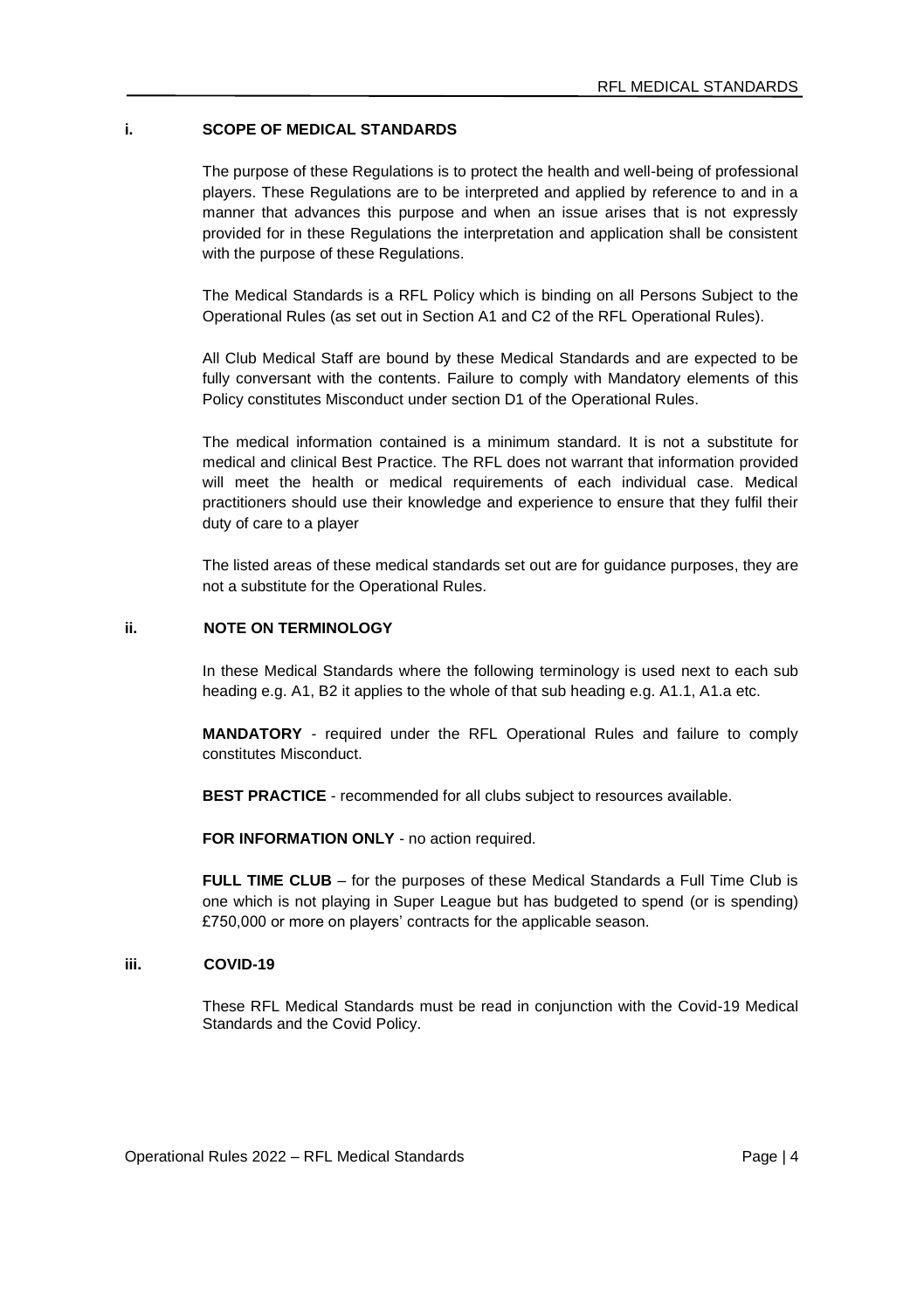### **i. SCOPE OF MEDICAL STANDARDS**

The purpose of these Regulations is to protect the health and well-being of professional players. These Regulations are to be interpreted and applied by reference to and in a manner that advances this purpose and when an issue arises that is not expressly provided for in these Regulations the interpretation and application shall be consistent with the purpose of these Regulations.

The Medical Standards is a RFL Policy which is binding on all Persons Subject to the Operational Rules (as set out in Section A1 and C2 of the RFL Operational Rules).

All Club Medical Staff are bound by these Medical Standards and are expected to be fully conversant with the contents. Failure to comply with Mandatory elements of this Policy constitutes Misconduct under section D1 of the Operational Rules.

The medical information contained is a minimum standard. It is not a substitute for medical and clinical Best Practice. The RFL does not warrant that information provided will meet the health or medical requirements of each individual case. Medical practitioners should use their knowledge and experience to ensure that they fulfil their duty of care to a player

The listed areas of these medical standards set out are for guidance purposes, they are not a substitute for the Operational Rules.

#### **ii. NOTE ON TERMINOLOGY**

In these Medical Standards where the following terminology is used next to each sub heading e.g. A1, B2 it applies to the whole of that sub heading e.g. A1.1, A1.a etc.

**MANDATORY** - required under the RFL Operational Rules and failure to comply constitutes Misconduct.

**BEST PRACTICE** - recommended for all clubs subject to resources available.

**FOR INFORMATION ONLY** - no action required.

**FULL TIME CLUB** – for the purposes of these Medical Standards a Full Time Club is one which is not playing in Super League but has budgeted to spend (or is spending) £750,000 or more on players' contracts for the applicable season.

#### **iii. COVID-19**

These RFL Medical Standards must be read in conjunction with the Covid-19 Medical Standards and the Covid Policy.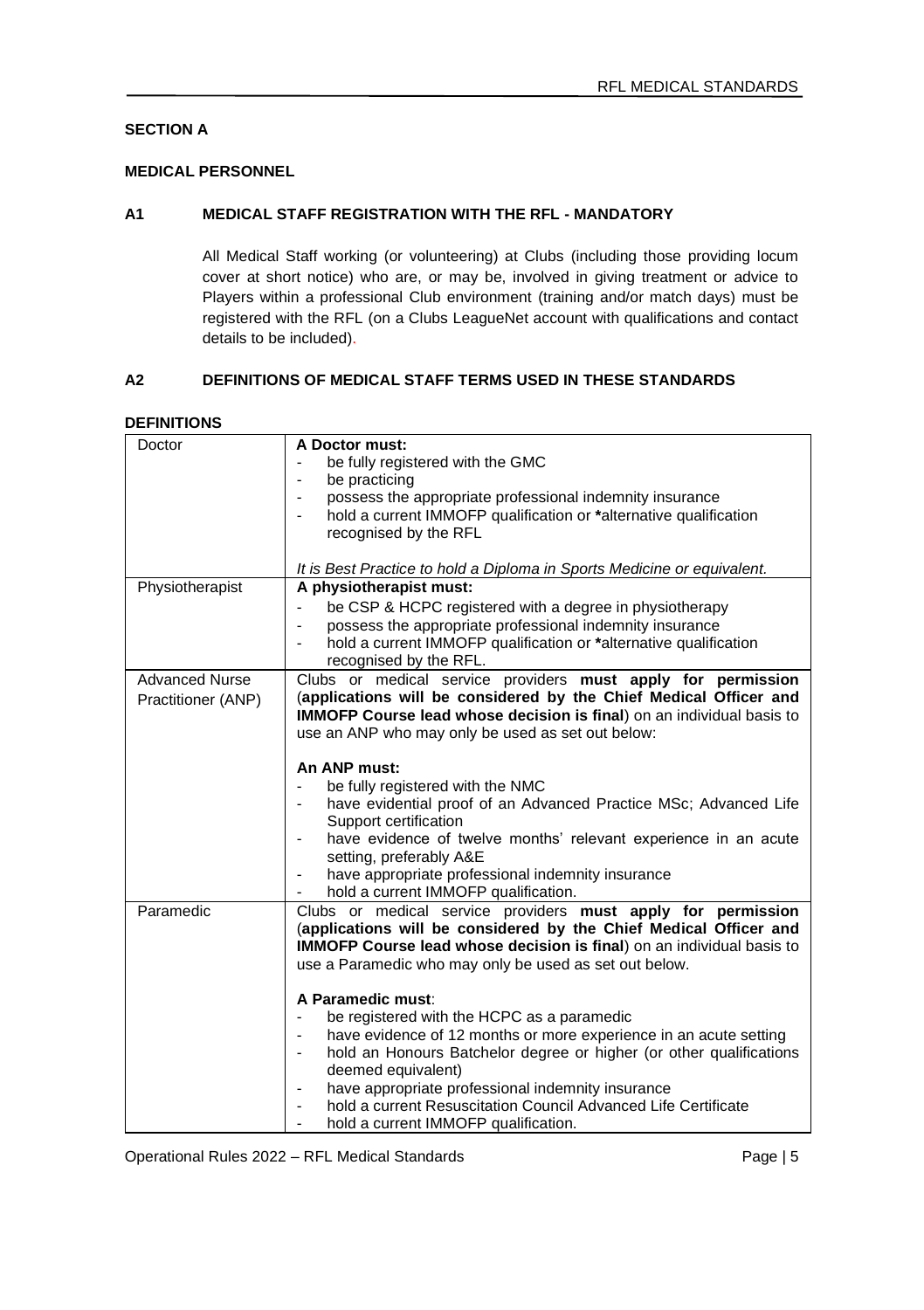# **SECTION A**

# **MEDICAL PERSONNEL**

### **A1 MEDICAL STAFF REGISTRATION WITH THE RFL - MANDATORY**

All Medical Staff working (or volunteering) at Clubs (including those providing locum cover at short notice) who are, or may be, involved in giving treatment or advice to Players within a professional Club environment (training and/or match days) must be registered with the RFL (on a Clubs LeagueNet account with qualifications and contact details to be included).

# **A2 DEFINITIONS OF MEDICAL STAFF TERMS USED IN THESE STANDARDS**

| <b>DEFINITIONS</b> |  |
|--------------------|--|
|--------------------|--|

| Doctor                | A Doctor must:                                                                                                                                                                                                                                                              |
|-----------------------|-----------------------------------------------------------------------------------------------------------------------------------------------------------------------------------------------------------------------------------------------------------------------------|
|                       | be fully registered with the GMC                                                                                                                                                                                                                                            |
|                       | be practicing<br>$\frac{1}{2}$                                                                                                                                                                                                                                              |
|                       | possess the appropriate professional indemnity insurance                                                                                                                                                                                                                    |
|                       | hold a current IMMOFP qualification or *alternative qualification                                                                                                                                                                                                           |
|                       | recognised by the RFL                                                                                                                                                                                                                                                       |
|                       |                                                                                                                                                                                                                                                                             |
|                       | It is Best Practice to hold a Diploma in Sports Medicine or equivalent.                                                                                                                                                                                                     |
| Physiotherapist       | A physiotherapist must:                                                                                                                                                                                                                                                     |
|                       | be CSP & HCPC registered with a degree in physiotherapy                                                                                                                                                                                                                     |
|                       | possess the appropriate professional indemnity insurance                                                                                                                                                                                                                    |
|                       | hold a current IMMOFP qualification or *alternative qualification<br>$\overline{\phantom{0}}$                                                                                                                                                                               |
|                       | recognised by the RFL.                                                                                                                                                                                                                                                      |
| <b>Advanced Nurse</b> | Clubs or medical service providers must apply for permission                                                                                                                                                                                                                |
| Practitioner (ANP)    | (applications will be considered by the Chief Medical Officer and                                                                                                                                                                                                           |
|                       | IMMOFP Course lead whose decision is final) on an individual basis to                                                                                                                                                                                                       |
|                       | use an ANP who may only be used as set out below:                                                                                                                                                                                                                           |
|                       |                                                                                                                                                                                                                                                                             |
|                       | An ANP must:                                                                                                                                                                                                                                                                |
|                       | be fully registered with the NMC                                                                                                                                                                                                                                            |
|                       | have evidential proof of an Advanced Practice MSc; Advanced Life                                                                                                                                                                                                            |
|                       | Support certification                                                                                                                                                                                                                                                       |
|                       | have evidence of twelve months' relevant experience in an acute                                                                                                                                                                                                             |
|                       | setting, preferably A&E                                                                                                                                                                                                                                                     |
|                       | have appropriate professional indemnity insurance                                                                                                                                                                                                                           |
|                       | hold a current IMMOFP qualification.                                                                                                                                                                                                                                        |
| Paramedic             | Clubs or medical service providers must apply for permission<br>(applications will be considered by the Chief Medical Officer and<br><b>IMMOFP Course lead whose decision is final)</b> on an individual basis to<br>use a Paramedic who may only be used as set out below. |
|                       | A Paramedic must:                                                                                                                                                                                                                                                           |
|                       | be registered with the HCPC as a paramedic<br>$\overline{a}$                                                                                                                                                                                                                |
|                       | have evidence of 12 months or more experience in an acute setting<br>$\overline{a}$                                                                                                                                                                                         |
|                       | hold an Honours Batchelor degree or higher (or other qualifications<br>$\frac{1}{2}$                                                                                                                                                                                        |
|                       | deemed equivalent)                                                                                                                                                                                                                                                          |
|                       | have appropriate professional indemnity insurance                                                                                                                                                                                                                           |
|                       | hold a current Resuscitation Council Advanced Life Certificate                                                                                                                                                                                                              |
|                       | hold a current IMMOFP qualification.                                                                                                                                                                                                                                        |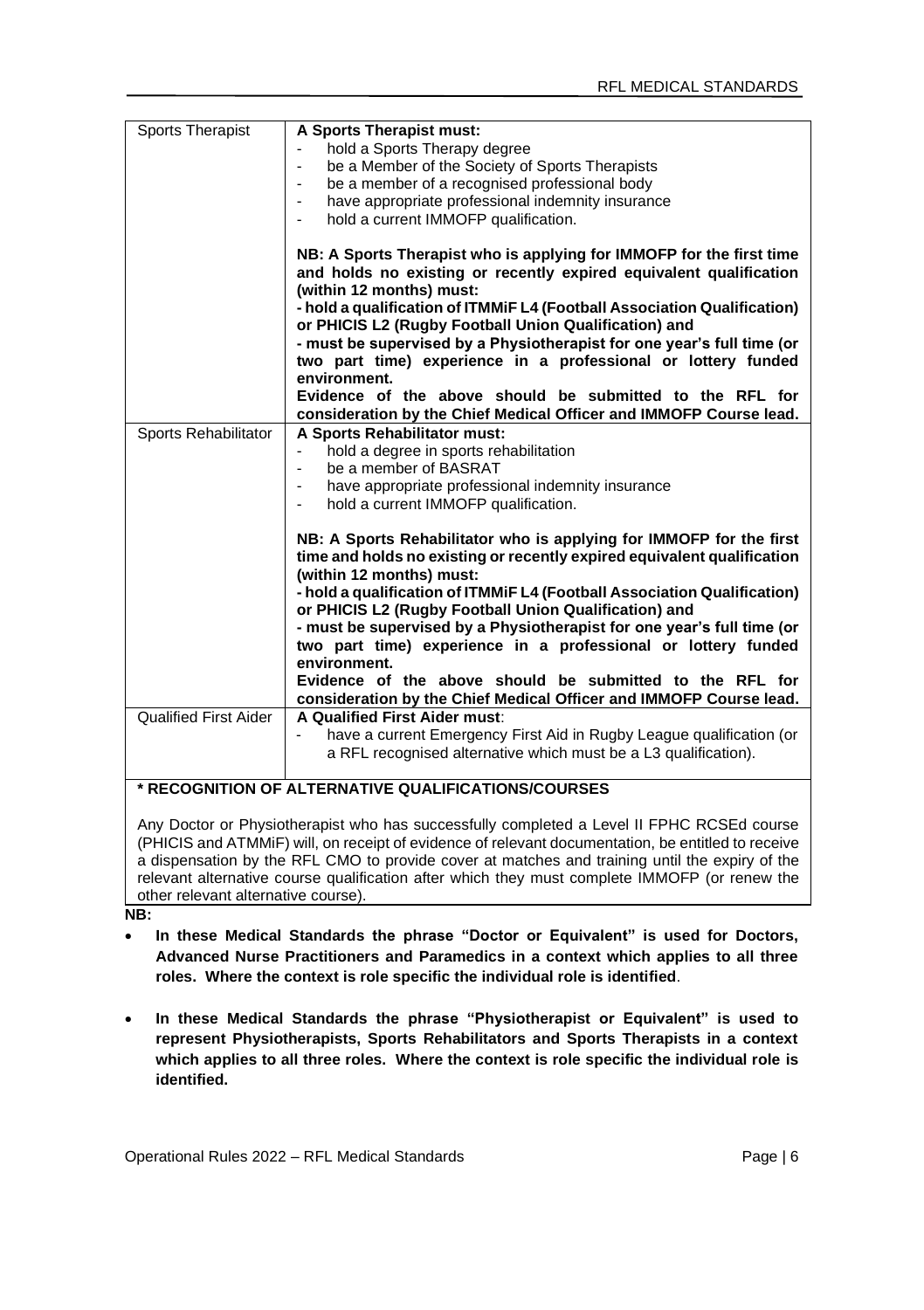| <b>Sports Therapist</b> | A Sports Therapist must:                                                                                                                                                                                    |  |
|-------------------------|-------------------------------------------------------------------------------------------------------------------------------------------------------------------------------------------------------------|--|
|                         | hold a Sports Therapy degree                                                                                                                                                                                |  |
|                         | be a Member of the Society of Sports Therapists                                                                                                                                                             |  |
|                         | be a member of a recognised professional body                                                                                                                                                               |  |
|                         | have appropriate professional indemnity insurance                                                                                                                                                           |  |
|                         | hold a current IMMOFP qualification.                                                                                                                                                                        |  |
|                         | NB: A Sports Therapist who is applying for IMMOFP for the first time<br>and holds no existing or recently expired equivalent qualification<br>(within 12 months) must:                                      |  |
|                         | - hold a qualification of ITMMIF L4 (Football Association Qualification)<br>or PHICIS L2 (Rugby Football Union Qualification) and<br>- must be supervised by a Physiotherapist for one year's full time (or |  |
|                         | two part time) experience in a professional or lottery funded<br>environment.                                                                                                                               |  |
|                         | Evidence of the above should be submitted to the RFL for                                                                                                                                                    |  |
|                         | consideration by the Chief Medical Officer and IMMOFP Course lead.                                                                                                                                          |  |
| Sports Rehabilitator    | A Sports Rehabilitator must:                                                                                                                                                                                |  |
|                         | hold a degree in sports rehabilitation<br>$\overline{\phantom{0}}$                                                                                                                                          |  |
|                         | be a member of BASRAT                                                                                                                                                                                       |  |
|                         | have appropriate professional indemnity insurance                                                                                                                                                           |  |
|                         | hold a current IMMOFP qualification.                                                                                                                                                                        |  |
|                         | NB: A Sports Rehabilitator who is applying for IMMOFP for the first<br>time and holds no existing or recently expired equivalent qualification<br>(within 12 months) must:                                  |  |
|                         | - hold a qualification of ITMMIF L4 (Football Association Qualification)<br>or PHICIS L2 (Rugby Football Union Qualification) and                                                                           |  |
|                         | - must be supervised by a Physiotherapist for one year's full time (or                                                                                                                                      |  |
|                         | two part time) experience in a professional or lottery funded                                                                                                                                               |  |
|                         | environment.                                                                                                                                                                                                |  |
|                         | Evidence of the above should be submitted to the RFL for                                                                                                                                                    |  |
|                         | consideration by the Chief Medical Officer and IMMOFP Course lead.                                                                                                                                          |  |
| Qualified First Aider   | A Qualified First Aider must:                                                                                                                                                                               |  |
|                         | have a current Emergency First Aid in Rugby League qualification (or<br>a RFL recognised alternative which must be a L3 qualification).                                                                     |  |
|                         | * RECOGNITION OF ALTERNATIVE QUALIFICATIONS/COURSES                                                                                                                                                         |  |

Any Doctor or Physiotherapist who has successfully completed a Level II FPHC RCSEd course (PHICIS and ATMMiF) will, on receipt of evidence of relevant documentation, be entitled to receive a dispensation by the RFL CMO to provide cover at matches and training until the expiry of the relevant alternative course qualification after which they must complete IMMOFP (or renew the other relevant alternative course).

**NB:**

- **In these Medical Standards the phrase "Doctor or Equivalent" is used for Doctors, Advanced Nurse Practitioners and Paramedics in a context which applies to all three roles. Where the context is role specific the individual role is identified**.
- **In these Medical Standards the phrase "Physiotherapist or Equivalent" is used to represent Physiotherapists, Sports Rehabilitators and Sports Therapists in a context which applies to all three roles. Where the context is role specific the individual role is identified.**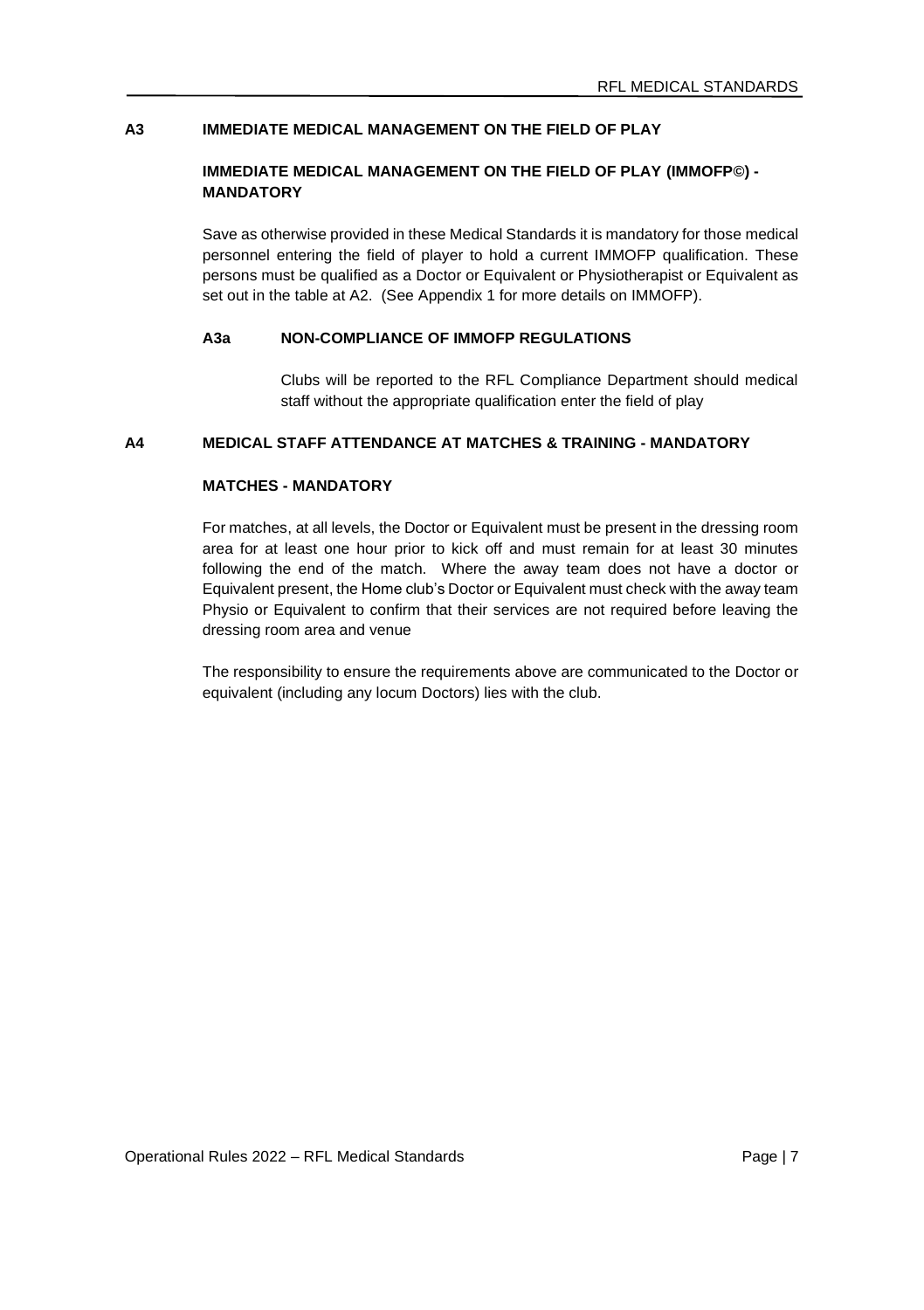# **A3 IMMEDIATE MEDICAL MANAGEMENT ON THE FIELD OF PLAY**

# **IMMEDIATE MEDICAL MANAGEMENT ON THE FIELD OF PLAY (IMMOFP©) - MANDATORY**

Save as otherwise provided in these Medical Standards it is mandatory for those medical personnel entering the field of player to hold a current IMMOFP qualification. These persons must be qualified as a Doctor or Equivalent or Physiotherapist or Equivalent as set out in the table at A2. (See Appendix 1 for more details on IMMOFP).

# **A3a NON-COMPLIANCE OF IMMOFP REGULATIONS**

Clubs will be reported to the RFL Compliance Department should medical staff without the appropriate qualification enter the field of play

### **A4 MEDICAL STAFF ATTENDANCE AT MATCHES & TRAINING - MANDATORY**

# **MATCHES - MANDATORY**

For matches, at all levels, the Doctor or Equivalent must be present in the dressing room area for at least one hour prior to kick off and must remain for at least 30 minutes following the end of the match. Where the away team does not have a doctor or Equivalent present, the Home club's Doctor or Equivalent must check with the away team Physio or Equivalent to confirm that their services are not required before leaving the dressing room area and venue

The responsibility to ensure the requirements above are communicated to the Doctor or equivalent (including any locum Doctors) lies with the club.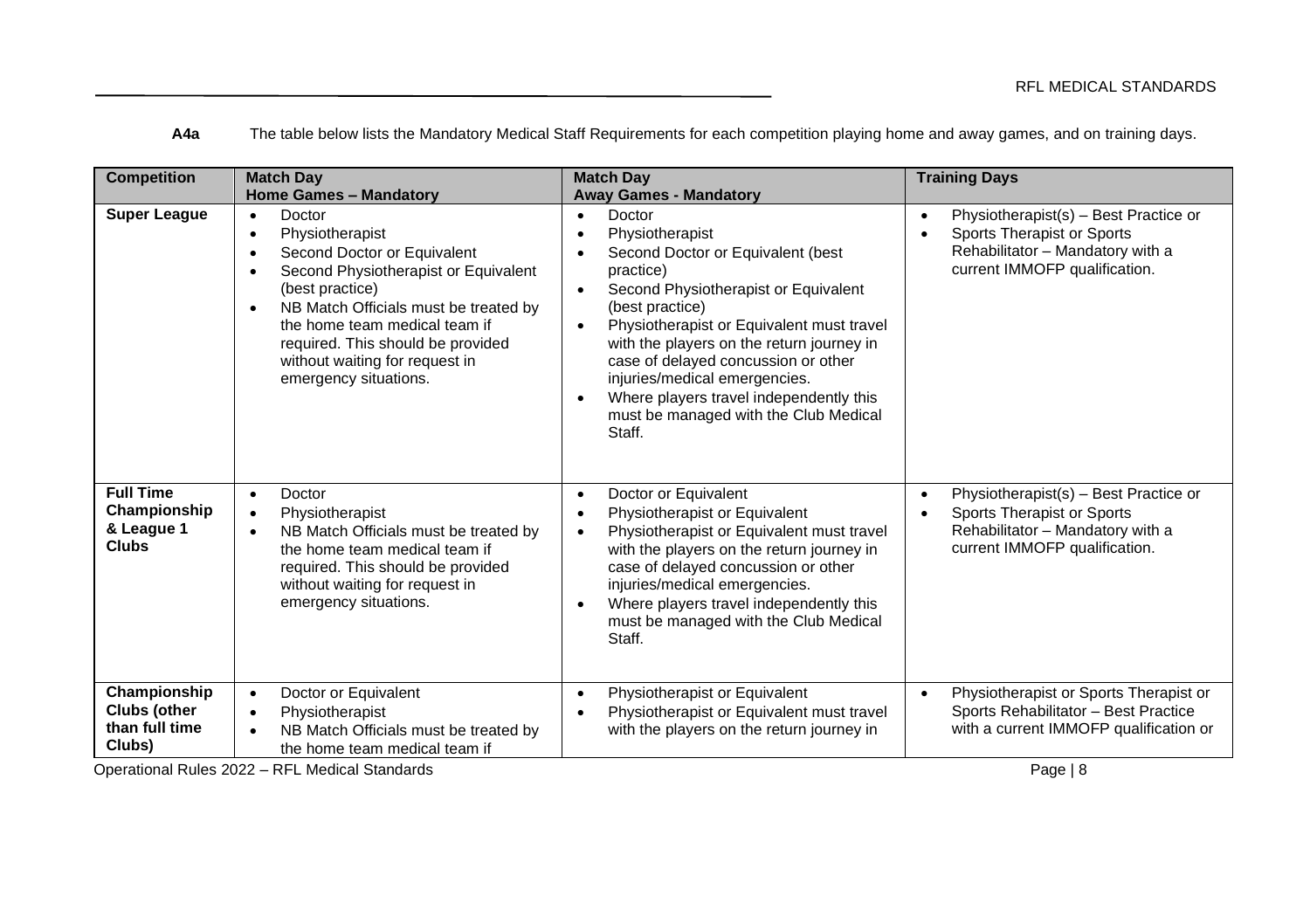**A4a** The table below lists the Mandatory Medical Staff Requirements for each competition playing home and away games, and on training days.

| <b>Competition</b>                                       | <b>Match Day</b><br><b>Home Games - Mandatory</b>                                                                                                                                                                                                                                                                                      | <b>Match Day</b><br><b>Away Games - Mandatory</b>                                                                                                                                                                                                                                                                                                                                                                                | <b>Training Days</b>                                                                                                                                               |
|----------------------------------------------------------|----------------------------------------------------------------------------------------------------------------------------------------------------------------------------------------------------------------------------------------------------------------------------------------------------------------------------------------|----------------------------------------------------------------------------------------------------------------------------------------------------------------------------------------------------------------------------------------------------------------------------------------------------------------------------------------------------------------------------------------------------------------------------------|--------------------------------------------------------------------------------------------------------------------------------------------------------------------|
| <b>Super League</b>                                      | Doctor<br>$\bullet$<br>Physiotherapist<br>٠<br>Second Doctor or Equivalent<br>٠<br>Second Physiotherapist or Equivalent<br>٠<br>(best practice)<br>NB Match Officials must be treated by<br>$\bullet$<br>the home team medical team if<br>required. This should be provided<br>without waiting for request in<br>emergency situations. | Doctor<br>$\bullet$<br>Physiotherapist<br>Second Doctor or Equivalent (best<br>practice)<br>Second Physiotherapist or Equivalent<br>(best practice)<br>Physiotherapist or Equivalent must travel<br>$\bullet$<br>with the players on the return journey in<br>case of delayed concussion or other<br>injuries/medical emergencies.<br>Where players travel independently this<br>must be managed with the Club Medical<br>Staff. | Physiotherapist(s) - Best Practice or<br>$\bullet$<br>Sports Therapist or Sports<br>Rehabilitator - Mandatory with a<br>current IMMOFP qualification.              |
| <b>Full Time</b><br>Championship<br>& League 1<br>Clubs  | Doctor<br>$\bullet$<br>Physiotherapist<br>$\bullet$<br>NB Match Officials must be treated by<br>$\bullet$<br>the home team medical team if<br>required. This should be provided<br>without waiting for request in<br>emergency situations.                                                                                             | Doctor or Equivalent<br>$\bullet$<br>Physiotherapist or Equivalent<br>Physiotherapist or Equivalent must travel<br>٠<br>with the players on the return journey in<br>case of delayed concussion or other<br>injuries/medical emergencies.<br>Where players travel independently this<br>must be managed with the Club Medical<br>Staff.                                                                                          | Physiotherapist(s) - Best Practice or<br>$\bullet$<br>Sports Therapist or Sports<br>$\bullet$<br>Rehabilitator - Mandatory with a<br>current IMMOFP qualification. |
| Championship<br>Clubs (other<br>than full time<br>Clubs) | Doctor or Equivalent<br>$\bullet$<br>Physiotherapist<br>$\bullet$<br>NB Match Officials must be treated by<br>$\bullet$<br>the home team medical team if                                                                                                                                                                               | Physiotherapist or Equivalent<br>$\bullet$<br>Physiotherapist or Equivalent must travel<br>with the players on the return journey in                                                                                                                                                                                                                                                                                             | Physiotherapist or Sports Therapist or<br>$\bullet$<br>Sports Rehabilitator - Best Practice<br>with a current IMMOFP qualification or                              |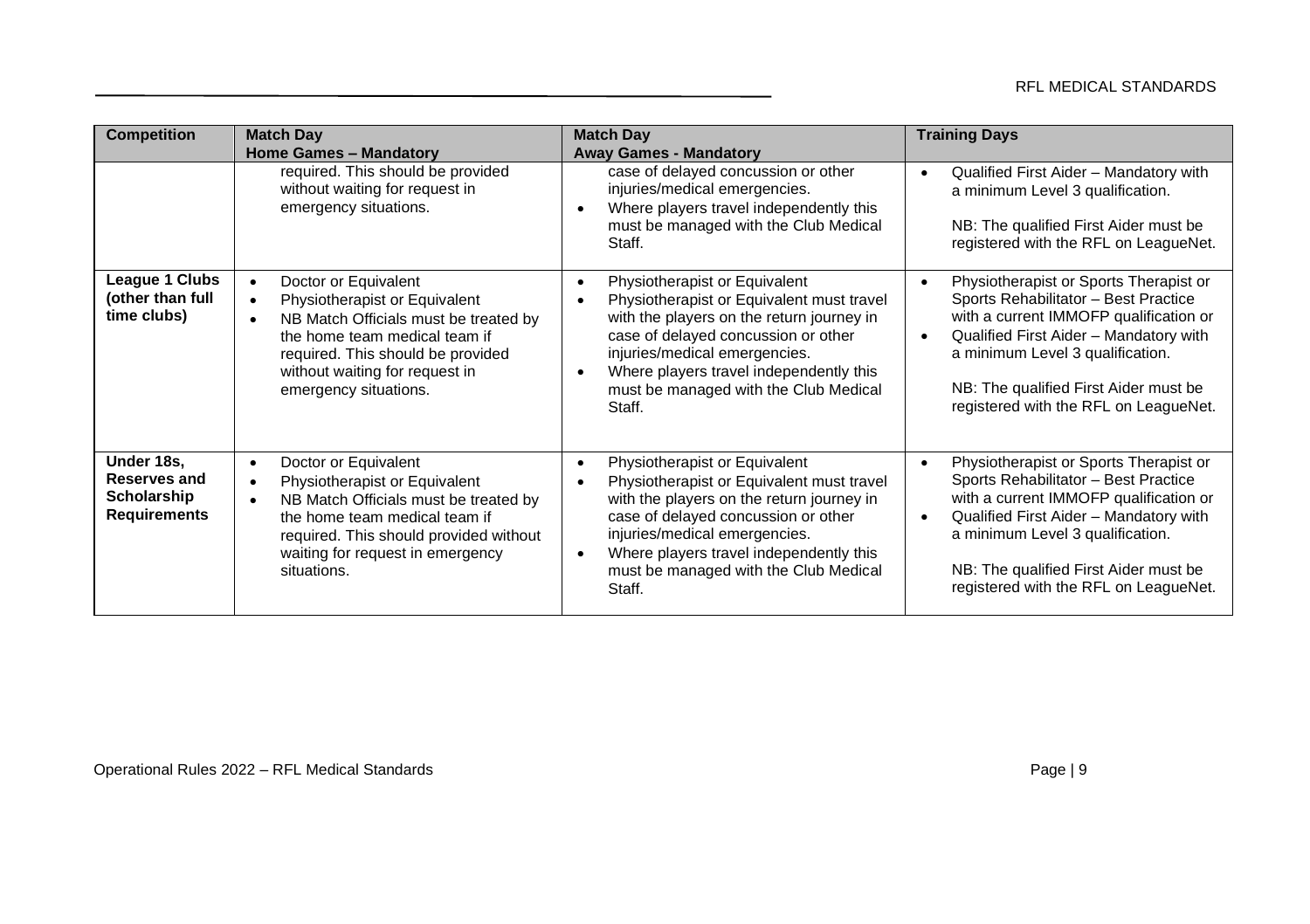| <b>Competition</b>                                               | <b>Match Day</b>                                                                                                                                                                                                                                                       | <b>Match Day</b>                                                                                                                                                                                                                                                                                                        | <b>Training Days</b>                                                                                                                                                                                                                                                                                               |
|------------------------------------------------------------------|------------------------------------------------------------------------------------------------------------------------------------------------------------------------------------------------------------------------------------------------------------------------|-------------------------------------------------------------------------------------------------------------------------------------------------------------------------------------------------------------------------------------------------------------------------------------------------------------------------|--------------------------------------------------------------------------------------------------------------------------------------------------------------------------------------------------------------------------------------------------------------------------------------------------------------------|
|                                                                  | <b>Home Games - Mandatory</b>                                                                                                                                                                                                                                          | <b>Away Games - Mandatory</b>                                                                                                                                                                                                                                                                                           |                                                                                                                                                                                                                                                                                                                    |
|                                                                  | required. This should be provided<br>without waiting for request in<br>emergency situations.                                                                                                                                                                           | case of delayed concussion or other<br>injuries/medical emergencies.<br>Where players travel independently this<br>must be managed with the Club Medical<br>Staff.                                                                                                                                                      | Qualified First Aider - Mandatory with<br>$\bullet$<br>a minimum Level 3 qualification.<br>NB: The qualified First Aider must be<br>registered with the RFL on LeagueNet.                                                                                                                                          |
| League 1 Clubs<br>(other than full<br>time clubs)                | Doctor or Equivalent<br>$\bullet$<br>Physiotherapist or Equivalent<br>$\bullet$<br>NB Match Officials must be treated by<br>$\bullet$<br>the home team medical team if<br>required. This should be provided<br>without waiting for request in<br>emergency situations. | Physiotherapist or Equivalent<br>٠<br>Physiotherapist or Equivalent must travel<br>with the players on the return journey in<br>case of delayed concussion or other<br>injuries/medical emergencies.<br>Where players travel independently this<br>must be managed with the Club Medical<br>Staff.                      | Physiotherapist or Sports Therapist or<br>$\bullet$<br>Sports Rehabilitator - Best Practice<br>with a current IMMOFP qualification or<br>Qualified First Aider - Mandatory with<br>$\bullet$<br>a minimum Level 3 qualification.<br>NB: The qualified First Aider must be<br>registered with the RFL on LeagueNet. |
| Under 18s,<br>Reserves and<br>Scholarship<br><b>Requirements</b> | Doctor or Equivalent<br>$\bullet$<br>Physiotherapist or Equivalent<br>$\bullet$<br>NB Match Officials must be treated by<br>$\bullet$<br>the home team medical team if<br>required. This should provided without<br>waiting for request in emergency<br>situations.    | Physiotherapist or Equivalent<br>$\bullet$<br>Physiotherapist or Equivalent must travel<br>with the players on the return journey in<br>case of delayed concussion or other<br>injuries/medical emergencies.<br>Where players travel independently this<br>$\bullet$<br>must be managed with the Club Medical<br>Staff. | Physiotherapist or Sports Therapist or<br>$\bullet$<br>Sports Rehabilitator - Best Practice<br>with a current IMMOFP qualification or<br>Qualified First Aider - Mandatory with<br>٠<br>a minimum Level 3 qualification.<br>NB: The qualified First Aider must be<br>registered with the RFL on LeagueNet.         |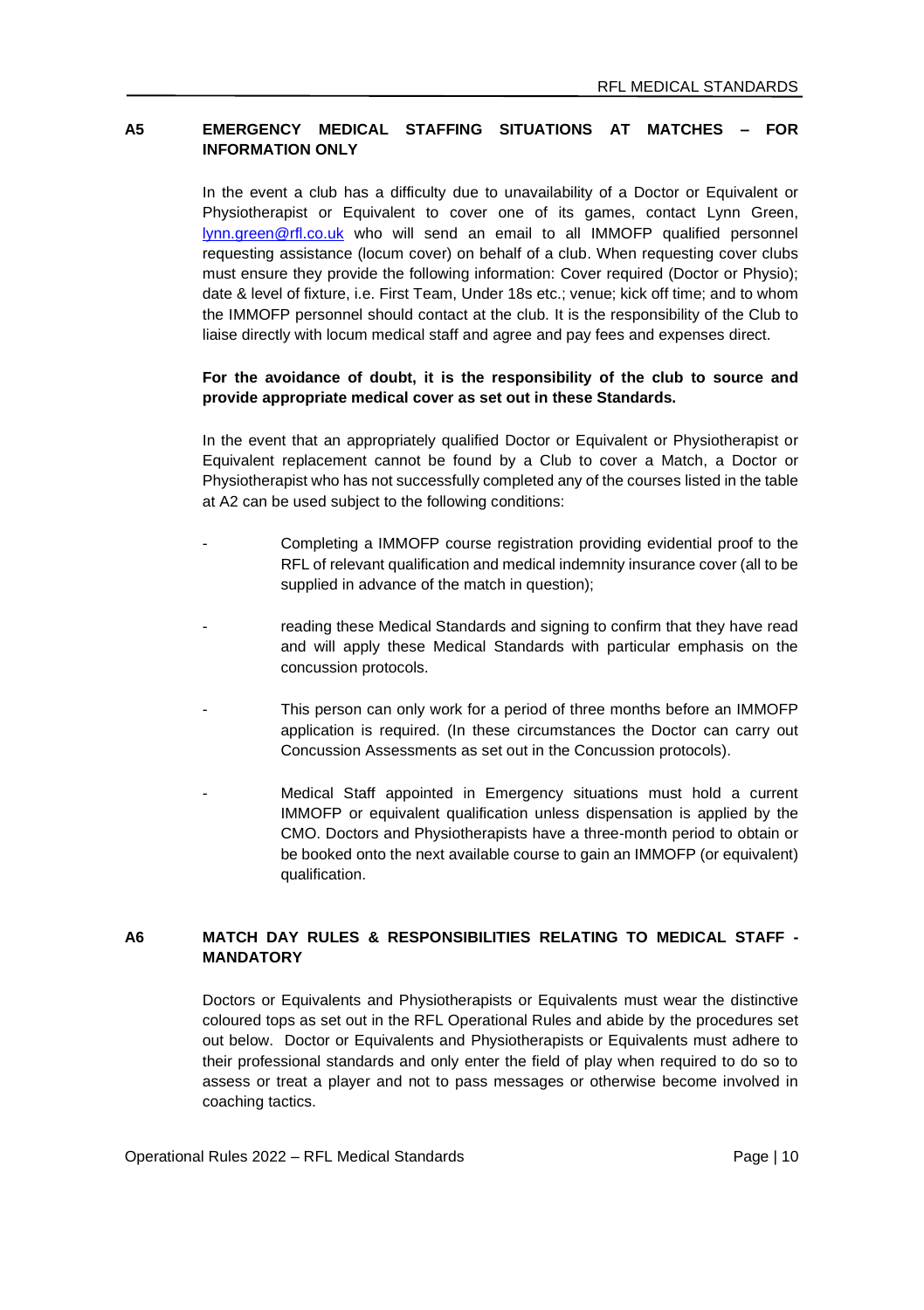# **A5 EMERGENCY MEDICAL STAFFING SITUATIONS AT MATCHES – FOR INFORMATION ONLY**

In the event a club has a difficulty due to unavailability of a Doctor or Equivalent or Physiotherapist or Equivalent to cover one of its games, contact Lynn Green, [lynn.green@rfl.co.uk](mailto:lynn.green@rfl.co.uk) who will send an email to all IMMOFP qualified personnel requesting assistance (locum cover) on behalf of a club. When requesting cover clubs must ensure they provide the following information: Cover required (Doctor or Physio); date & level of fixture, i.e. First Team, Under 18s etc.; venue; kick off time; and to whom the IMMOFP personnel should contact at the club. It is the responsibility of the Club to liaise directly with locum medical staff and agree and pay fees and expenses direct.

### **For the avoidance of doubt, it is the responsibility of the club to source and provide appropriate medical cover as set out in these Standards.**

In the event that an appropriately qualified Doctor or Equivalent or Physiotherapist or Equivalent replacement cannot be found by a Club to cover a Match, a Doctor or Physiotherapist who has not successfully completed any of the courses listed in the table at A2 can be used subject to the following conditions:

- Completing a IMMOFP course registration providing evidential proof to the RFL of relevant qualification and medical indemnity insurance cover (all to be supplied in advance of the match in question):
- reading these Medical Standards and signing to confirm that they have read and will apply these Medical Standards with particular emphasis on the concussion protocols.
- This person can only work for a period of three months before an IMMOFP application is required. (In these circumstances the Doctor can carry out Concussion Assessments as set out in the Concussion protocols).
- Medical Staff appointed in Emergency situations must hold a current IMMOFP or equivalent qualification unless dispensation is applied by the CMO. Doctors and Physiotherapists have a three-month period to obtain or be booked onto the next available course to gain an IMMOFP (or equivalent) qualification.

### **A6 MATCH DAY RULES & RESPONSIBILITIES RELATING TO MEDICAL STAFF - MANDATORY**

Doctors or Equivalents and Physiotherapists or Equivalents must wear the distinctive coloured tops as set out in the RFL Operational Rules and abide by the procedures set out below. Doctor or Equivalents and Physiotherapists or Equivalents must adhere to their professional standards and only enter the field of play when required to do so to assess or treat a player and not to pass messages or otherwise become involved in coaching tactics.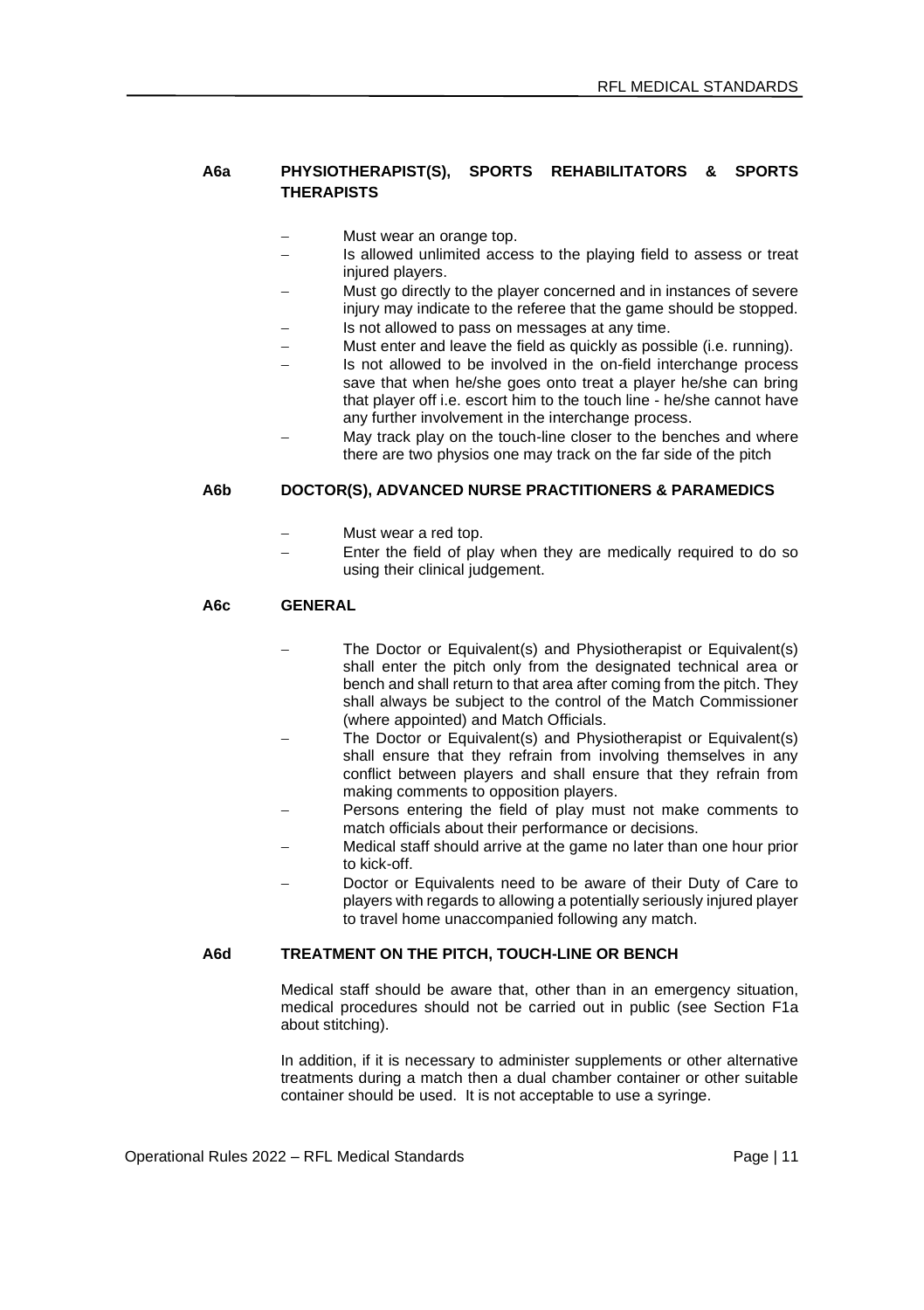# **A6a PHYSIOTHERAPIST(S), SPORTS REHABILITATORS & SPORTS THERAPISTS**

- Must wear an orange top.
- Is allowed unlimited access to the playing field to assess or treat injured players.
- Must go directly to the player concerned and in instances of severe injury may indicate to the referee that the game should be stopped. Is not allowed to pass on messages at any time.
- 
- Must enter and leave the field as quickly as possible (i.e. running).
- Is not allowed to be involved in the on-field interchange process save that when he/she goes onto treat a player he/she can bring that player off i.e. escort him to the touch line - he/she cannot have any further involvement in the interchange process.
- May track play on the touch-line closer to the benches and where there are two physios one may track on the far side of the pitch

### **A6b DOCTOR(S), ADVANCED NURSE PRACTITIONERS & PARAMEDICS**

- − Must wear a red top.
- Enter the field of play when they are medically required to do so using their clinical judgement.

# **A6c GENERAL**

- The Doctor or Equivalent(s) and Physiotherapist or Equivalent(s) shall enter the pitch only from the designated technical area or bench and shall return to that area after coming from the pitch. They shall always be subject to the control of the Match Commissioner (where appointed) and Match Officials.
- The Doctor or Equivalent(s) and Physiotherapist or Equivalent(s) shall ensure that they refrain from involving themselves in any conflict between players and shall ensure that they refrain from making comments to opposition players.
- Persons entering the field of play must not make comments to match officials about their performance or decisions.
- − Medical staff should arrive at the game no later than one hour prior to kick-off.
- Doctor or Equivalents need to be aware of their Duty of Care to players with regards to allowing a potentially seriously injured player to travel home unaccompanied following any match.

# **A6d TREATMENT ON THE PITCH, TOUCH-LINE OR BENCH**

Medical staff should be aware that, other than in an emergency situation, medical procedures should not be carried out in public (see Section F1a about stitching).

In addition, if it is necessary to administer supplements or other alternative treatments during a match then a dual chamber container or other suitable container should be used. It is not acceptable to use a syringe.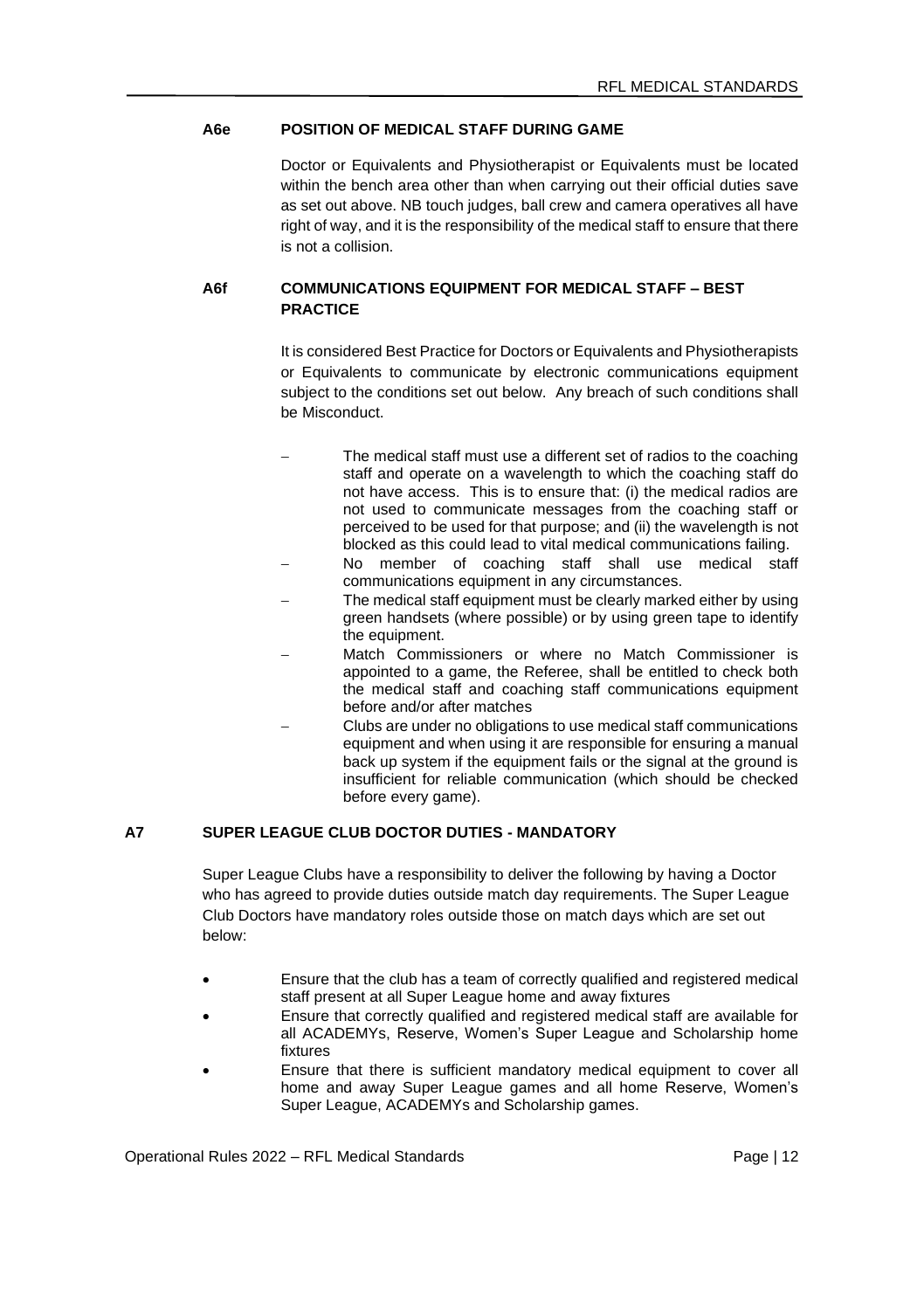#### **A6e POSITION OF MEDICAL STAFF DURING GAME**

Doctor or Equivalents and Physiotherapist or Equivalents must be located within the bench area other than when carrying out their official duties save as set out above. NB touch judges, ball crew and camera operatives all have right of way, and it is the responsibility of the medical staff to ensure that there is not a collision.

### **A6f COMMUNICATIONS EQUIPMENT FOR MEDICAL STAFF – BEST PRACTICE**

It is considered Best Practice for Doctors or Equivalents and Physiotherapists or Equivalents to communicate by electronic communications equipment subject to the conditions set out below. Any breach of such conditions shall be Misconduct.

- The medical staff must use a different set of radios to the coaching staff and operate on a wavelength to which the coaching staff do not have access. This is to ensure that: (i) the medical radios are not used to communicate messages from the coaching staff or perceived to be used for that purpose; and (ii) the wavelength is not blocked as this could lead to vital medical communications failing.
- No member of coaching staff shall use medical staff communications equipment in any circumstances.
- The medical staff equipment must be clearly marked either by using green handsets (where possible) or by using green tape to identify the equipment.
- − Match Commissioners or where no Match Commissioner is appointed to a game, the Referee, shall be entitled to check both the medical staff and coaching staff communications equipment before and/or after matches
	- − Clubs are under no obligations to use medical staff communications equipment and when using it are responsible for ensuring a manual back up system if the equipment fails or the signal at the ground is insufficient for reliable communication (which should be checked before every game).

# **A7 SUPER LEAGUE CLUB DOCTOR DUTIES - MANDATORY**

Super League Clubs have a responsibility to deliver the following by having a Doctor who has agreed to provide duties outside match day requirements. The Super League Club Doctors have mandatory roles outside those on match days which are set out below:

- Ensure that the club has a team of correctly qualified and registered medical staff present at all Super League home and away fixtures
- Ensure that correctly qualified and registered medical staff are available for all ACADEMYs, Reserve, Women's Super League and Scholarship home fixtures
- Ensure that there is sufficient mandatory medical equipment to cover all home and away Super League games and all home Reserve, Women's Super League, ACADEMYs and Scholarship games.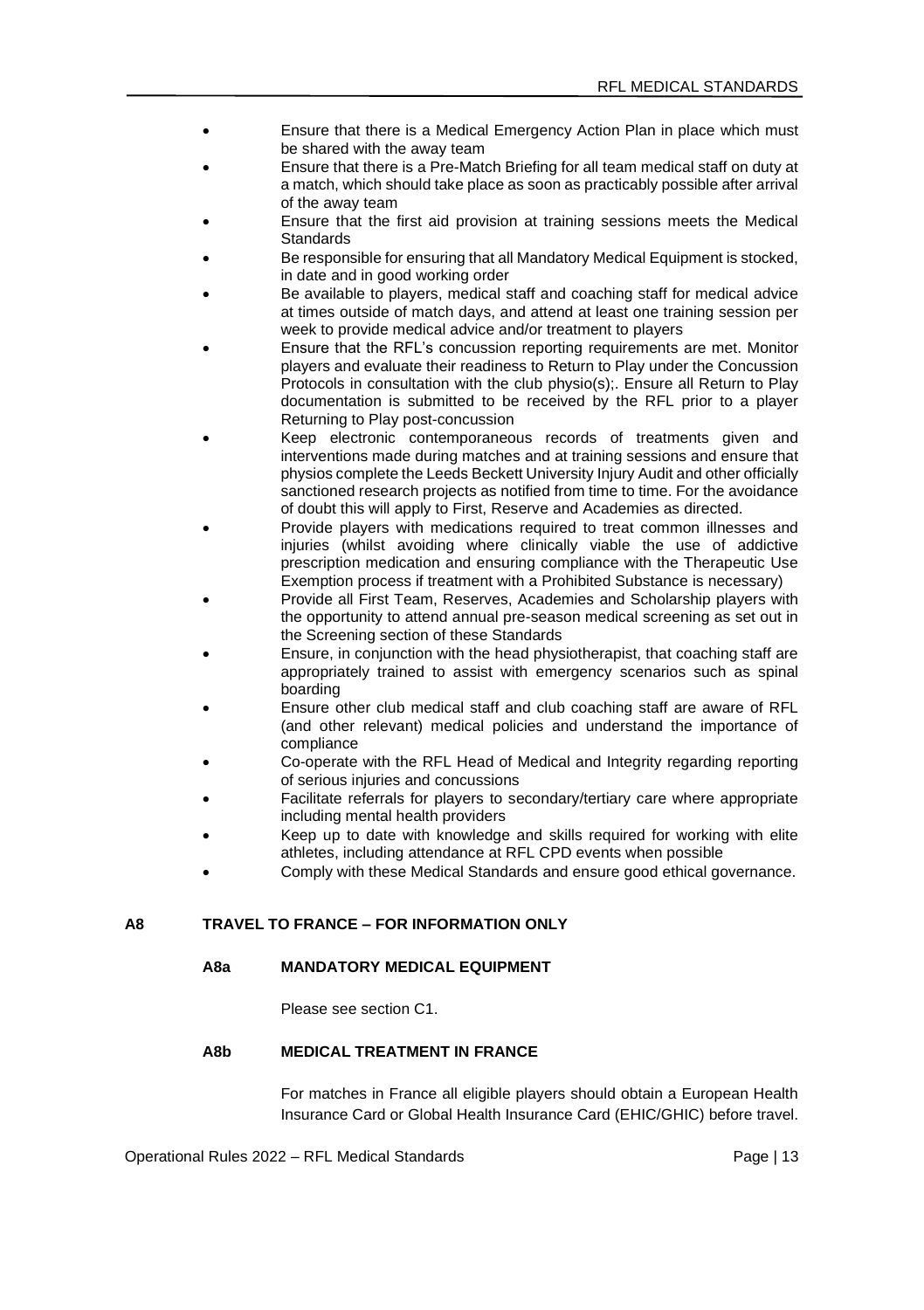- Ensure that there is a Medical Emergency Action Plan in place which must be shared with the away team
- Ensure that there is a Pre-Match Briefing for all team medical staff on duty at a match, which should take place as soon as practicably possible after arrival of the away team
- Ensure that the first aid provision at training sessions meets the Medical Standards
- Be responsible for ensuring that all Mandatory Medical Equipment is stocked. in date and in good working order
- Be available to players, medical staff and coaching staff for medical advice at times outside of match days, and attend at least one training session per week to provide medical advice and/or treatment to players
- Ensure that the RFL's concussion reporting requirements are met. Monitor players and evaluate their readiness to Return to Play under the Concussion Protocols in consultation with the club physio(s);. Ensure all Return to Play documentation is submitted to be received by the RFL prior to a player Returning to Play post-concussion
- Keep electronic contemporaneous records of treatments given and interventions made during matches and at training sessions and ensure that physios complete the Leeds Beckett University Injury Audit and other officially sanctioned research projects as notified from time to time. For the avoidance of doubt this will apply to First, Reserve and Academies as directed.
- Provide players with medications required to treat common illnesses and injuries (whilst avoiding where clinically viable the use of addictive prescription medication and ensuring compliance with the Therapeutic Use Exemption process if treatment with a Prohibited Substance is necessary)
- Provide all First Team, Reserves, Academies and Scholarship players with the opportunity to attend annual pre-season medical screening as set out in the Screening section of these Standards
- Ensure, in conjunction with the head physiotherapist, that coaching staff are appropriately trained to assist with emergency scenarios such as spinal boarding
- Ensure other club medical staff and club coaching staff are aware of RFL (and other relevant) medical policies and understand the importance of compliance
- Co-operate with the RFL Head of Medical and Integrity regarding reporting of serious injuries and concussions
- Facilitate referrals for players to secondary/tertiary care where appropriate including mental health providers
- Keep up to date with knowledge and skills required for working with elite athletes, including attendance at RFL CPD events when possible
- Comply with these Medical Standards and ensure good ethical governance.

### **A8 TRAVEL TO FRANCE – FOR INFORMATION ONLY**

### **A8a MANDATORY MEDICAL EQUIPMENT**

Please see section C1.

# **A8b MEDICAL TREATMENT IN FRANCE**

For matches in France all eligible players should obtain a European Health Insurance Card or Global Health Insurance Card (EHIC/GHIC) before travel.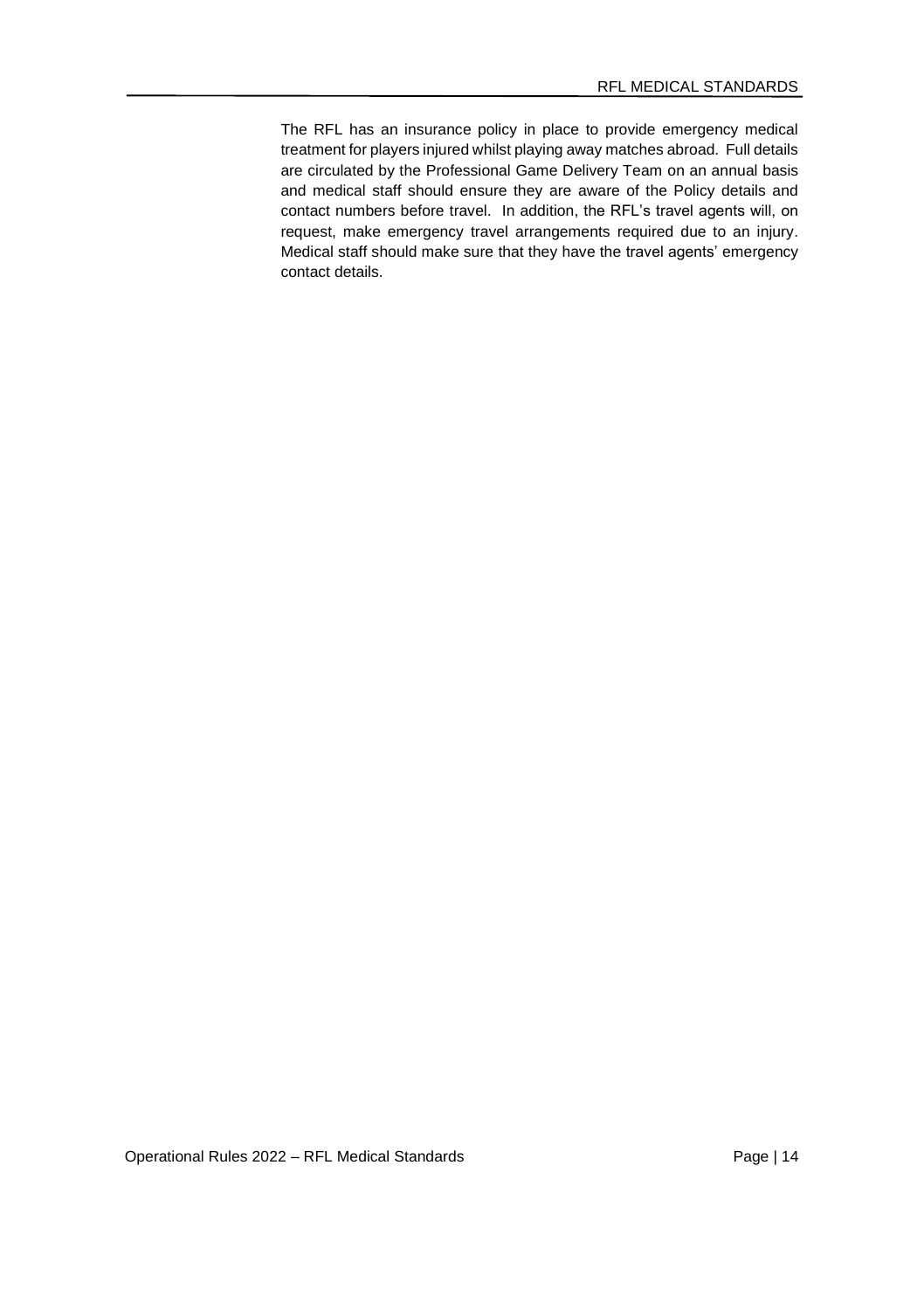The RFL has an insurance policy in place to provide emergency medical treatment for players injured whilst playing away matches abroad. Full details are circulated by the Professional Game Delivery Team on an annual basis and medical staff should ensure they are aware of the Policy details and contact numbers before travel. In addition, the RFL's travel agents will, on request, make emergency travel arrangements required due to an injury. Medical staff should make sure that they have the travel agents' emergency contact details.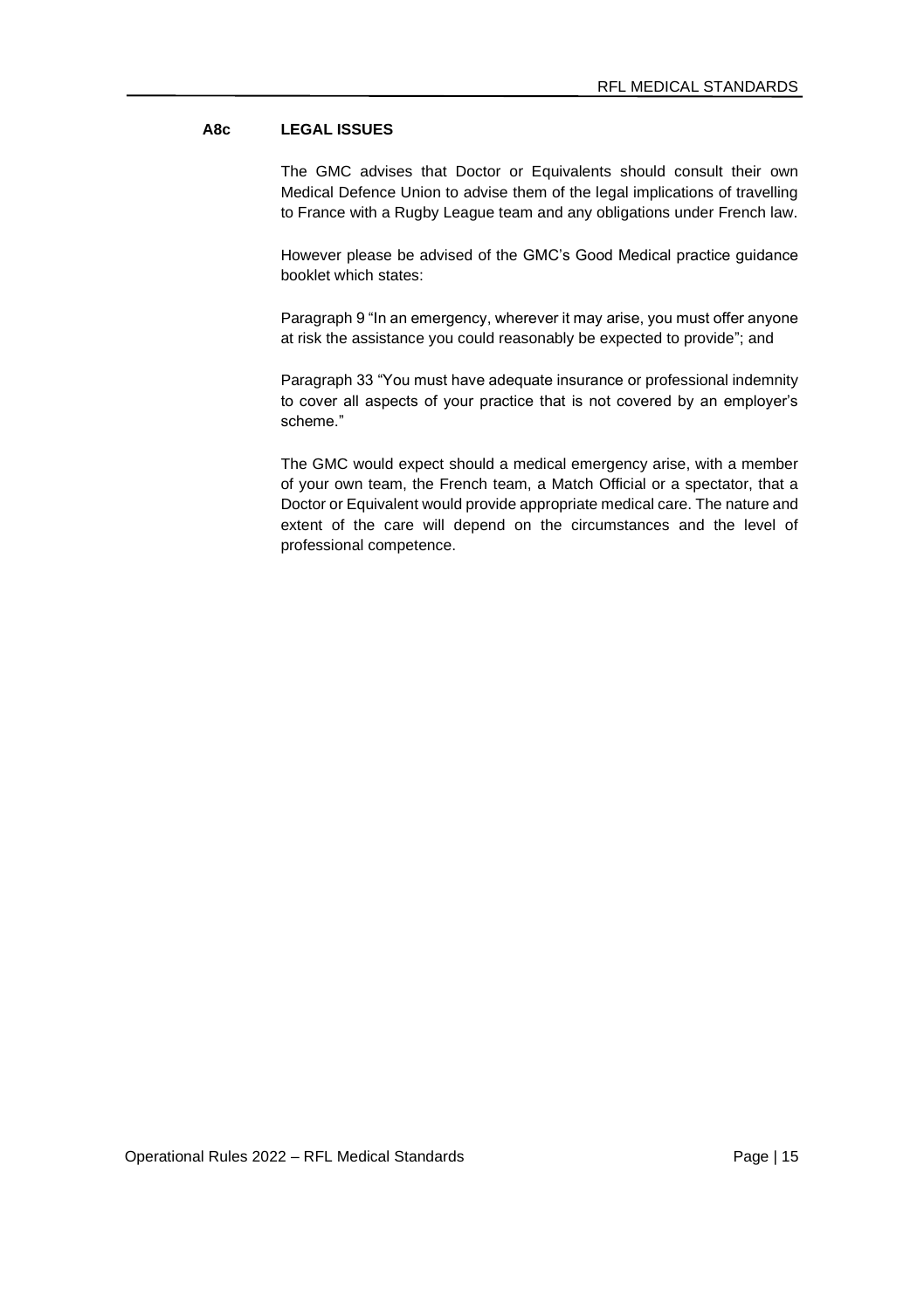# **A8c LEGAL ISSUES**

The GMC advises that Doctor or Equivalents should consult their own Medical Defence Union to advise them of the legal implications of travelling to France with a Rugby League team and any obligations under French law.

However please be advised of the GMC's Good Medical practice guidance booklet which states:

Paragraph 9 "In an emergency, wherever it may arise, you must offer anyone at risk the assistance you could reasonably be expected to provide"; and

Paragraph 33 "You must have adequate insurance or professional indemnity to cover all aspects of your practice that is not covered by an employer's scheme."

The GMC would expect should a medical emergency arise, with a member of your own team, the French team, a Match Official or a spectator, that a Doctor or Equivalent would provide appropriate medical care. The nature and extent of the care will depend on the circumstances and the level of professional competence.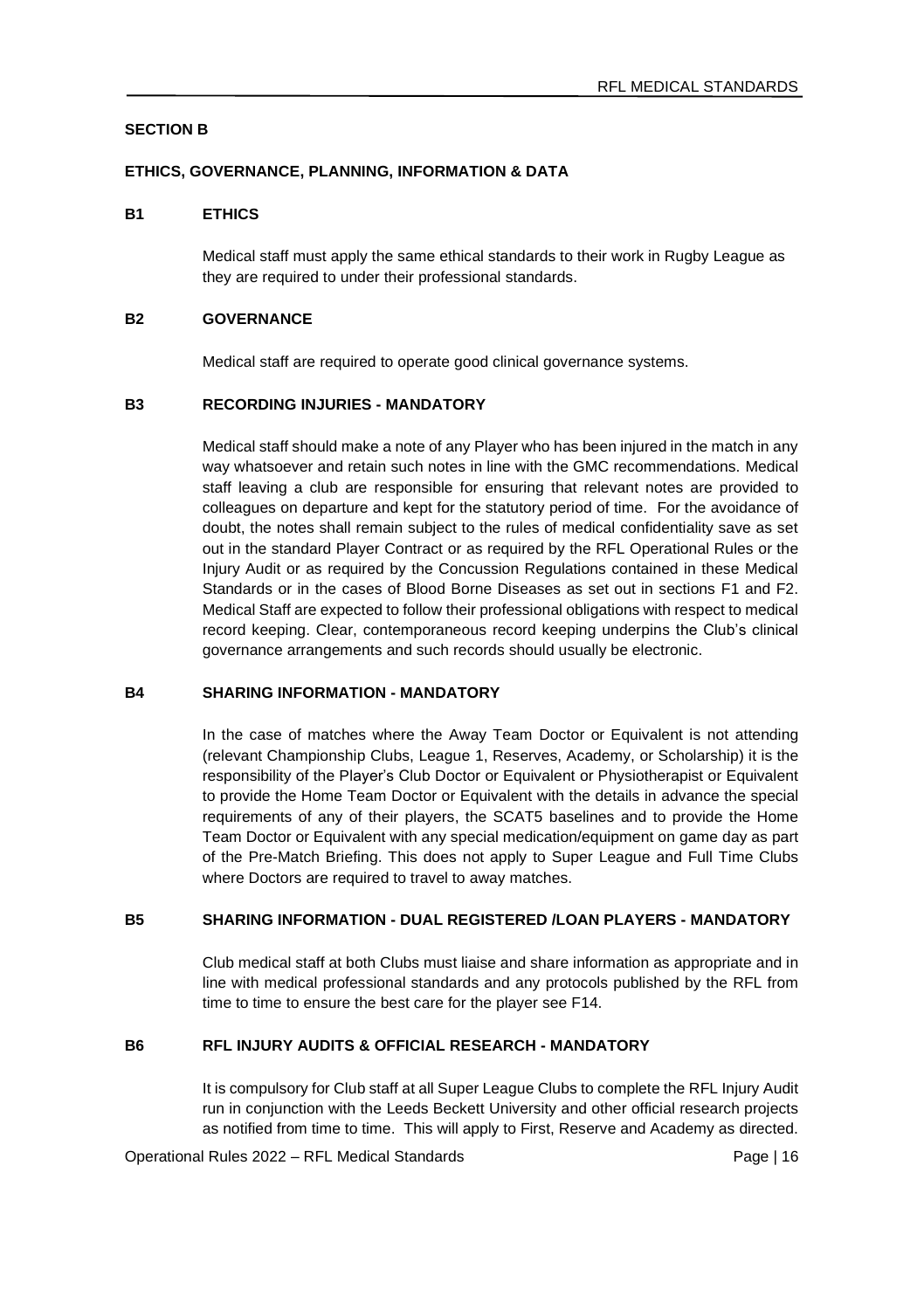# **SECTION B**

#### **ETHICS, GOVERNANCE, PLANNING, INFORMATION & DATA**

#### **B1 ETHICS**

Medical staff must apply the same ethical standards to their work in Rugby League as they are required to under their professional standards.

#### **B2 GOVERNANCE**

Medical staff are required to operate good clinical governance systems.

#### **B3 RECORDING INJURIES - MANDATORY**

Medical staff should make a note of any Player who has been injured in the match in any way whatsoever and retain such notes in line with the GMC recommendations. Medical staff leaving a club are responsible for ensuring that relevant notes are provided to colleagues on departure and kept for the statutory period of time. For the avoidance of doubt, the notes shall remain subject to the rules of medical confidentiality save as set out in the standard Player Contract or as required by the RFL Operational Rules or the Injury Audit or as required by the Concussion Regulations contained in these Medical Standards or in the cases of Blood Borne Diseases as set out in sections F1 and F2. Medical Staff are expected to follow their professional obligations with respect to medical record keeping. Clear, contemporaneous record keeping underpins the Club's clinical governance arrangements and such records should usually be electronic.

### **B4 SHARING INFORMATION - MANDATORY**

In the case of matches where the Away Team Doctor or Equivalent is not attending (relevant Championship Clubs, League 1, Reserves, Academy, or Scholarship) it is the responsibility of the Player's Club Doctor or Equivalent or Physiotherapist or Equivalent to provide the Home Team Doctor or Equivalent with the details in advance the special requirements of any of their players, the SCAT5 baselines and to provide the Home Team Doctor or Equivalent with any special medication/equipment on game day as part of the Pre-Match Briefing. This does not apply to Super League and Full Time Clubs where Doctors are required to travel to away matches.

## **B5 SHARING INFORMATION - DUAL REGISTERED /LOAN PLAYERS - MANDATORY**

Club medical staff at both Clubs must liaise and share information as appropriate and in line with medical professional standards and any protocols published by the RFL from time to time to ensure the best care for the player see F14.

### **B6 RFL INJURY AUDITS & OFFICIAL RESEARCH - MANDATORY**

It is compulsory for Club staff at all Super League Clubs to complete the RFL Injury Audit run in conjunction with the Leeds Beckett University and other official research projects as notified from time to time. This will apply to First, Reserve and Academy as directed.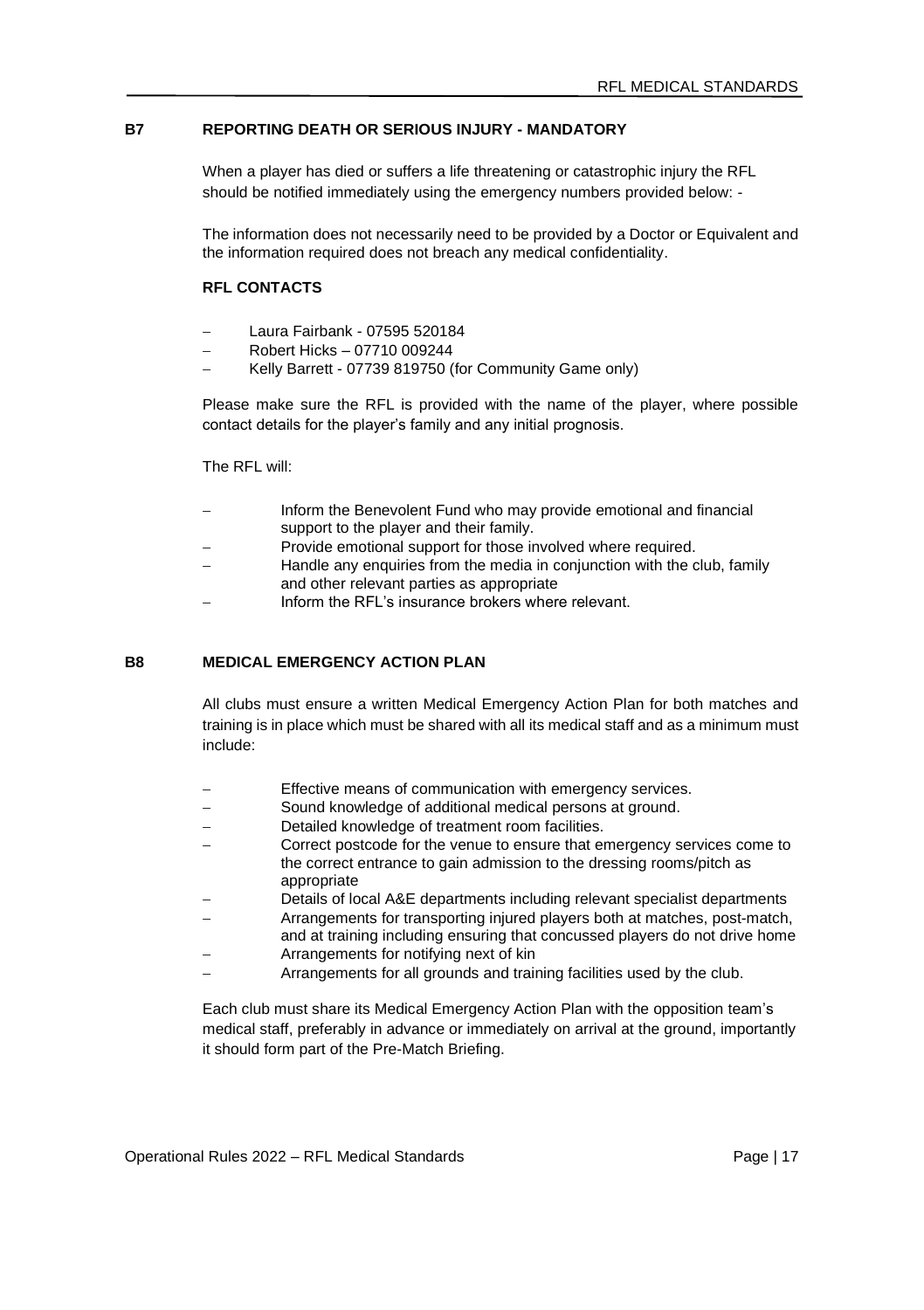# **B7 REPORTING DEATH OR SERIOUS INJURY - MANDATORY**

When a player has died or suffers a life threatening or catastrophic injury the RFL should be notified immediately using the emergency numbers provided below: -

The information does not necessarily need to be provided by a Doctor or Equivalent and the information required does not breach any medical confidentiality.

#### **RFL CONTACTS**

- − Laura Fairbank 07595 520184
- − Robert Hicks 07710 009244
- − Kelly Barrett 07739 819750 (for Community Game only)

Please make sure the RFL is provided with the name of the player, where possible contact details for the player's family and any initial prognosis.

The RFL will:

- Inform the Benevolent Fund who may provide emotional and financial support to the player and their family.
- Provide emotional support for those involved where required.
- Handle any enquiries from the media in conjunction with the club, family and other relevant parties as appropriate
- − Inform the RFL's insurance brokers where relevant.

#### **B8 MEDICAL EMERGENCY ACTION PLAN**

All clubs must ensure a written Medical Emergency Action Plan for both matches and training is in place which must be shared with all its medical staff and as a minimum must include:

- Effective means of communication with emergency services.
- Sound knowledge of additional medical persons at ground.
- Detailed knowledge of treatment room facilities.
- − Correct postcode for the venue to ensure that emergency services come to the correct entrance to gain admission to the dressing rooms/pitch as appropriate
- Details of local A&E departments including relevant specialist departments
- − Arrangements for transporting injured players both at matches, post-match, and at training including ensuring that concussed players do not drive home
- − Arrangements for notifying next of kin
- − Arrangements for all grounds and training facilities used by the club.

Each club must share its Medical Emergency Action Plan with the opposition team's medical staff, preferably in advance or immediately on arrival at the ground, importantly it should form part of the Pre-Match Briefing.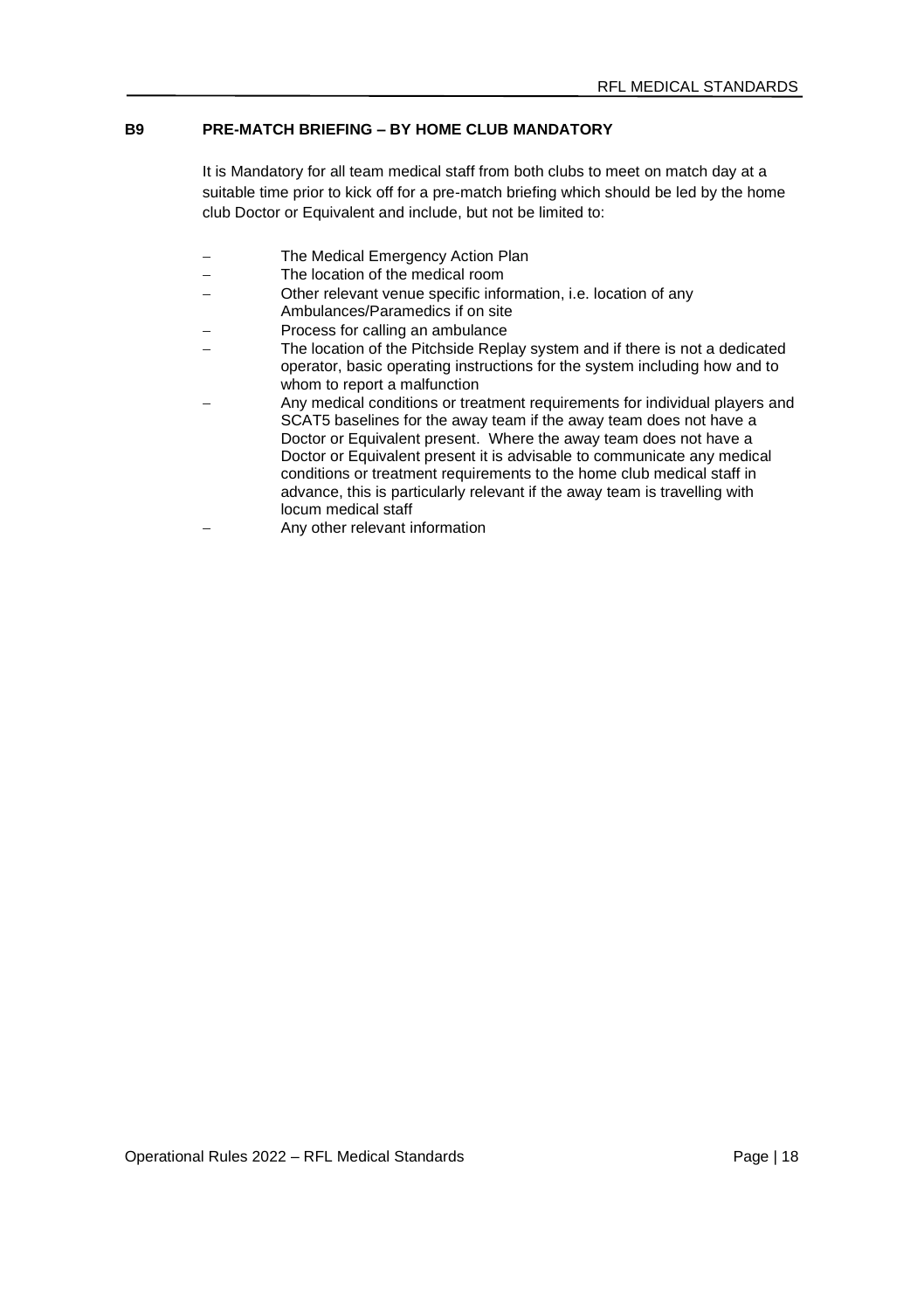# **B9 PRE-MATCH BRIEFING – BY HOME CLUB MANDATORY**

It is Mandatory for all team medical staff from both clubs to meet on match day at a suitable time prior to kick off for a pre-match briefing which should be led by the home club Doctor or Equivalent and include, but not be limited to:

- The Medical Emergency Action Plan
- − The location of the medical room
- − Other relevant venue specific information, i.e. location of any Ambulances/Paramedics if on site
- − Process for calling an ambulance
- The location of the Pitchside Replay system and if there is not a dedicated operator, basic operating instructions for the system including how and to whom to report a malfunction
- − Any medical conditions or treatment requirements for individual players and SCAT5 baselines for the away team if the away team does not have a Doctor or Equivalent present. Where the away team does not have a Doctor or Equivalent present it is advisable to communicate any medical conditions or treatment requirements to the home club medical staff in advance, this is particularly relevant if the away team is travelling with locum medical staff
- − Any other relevant information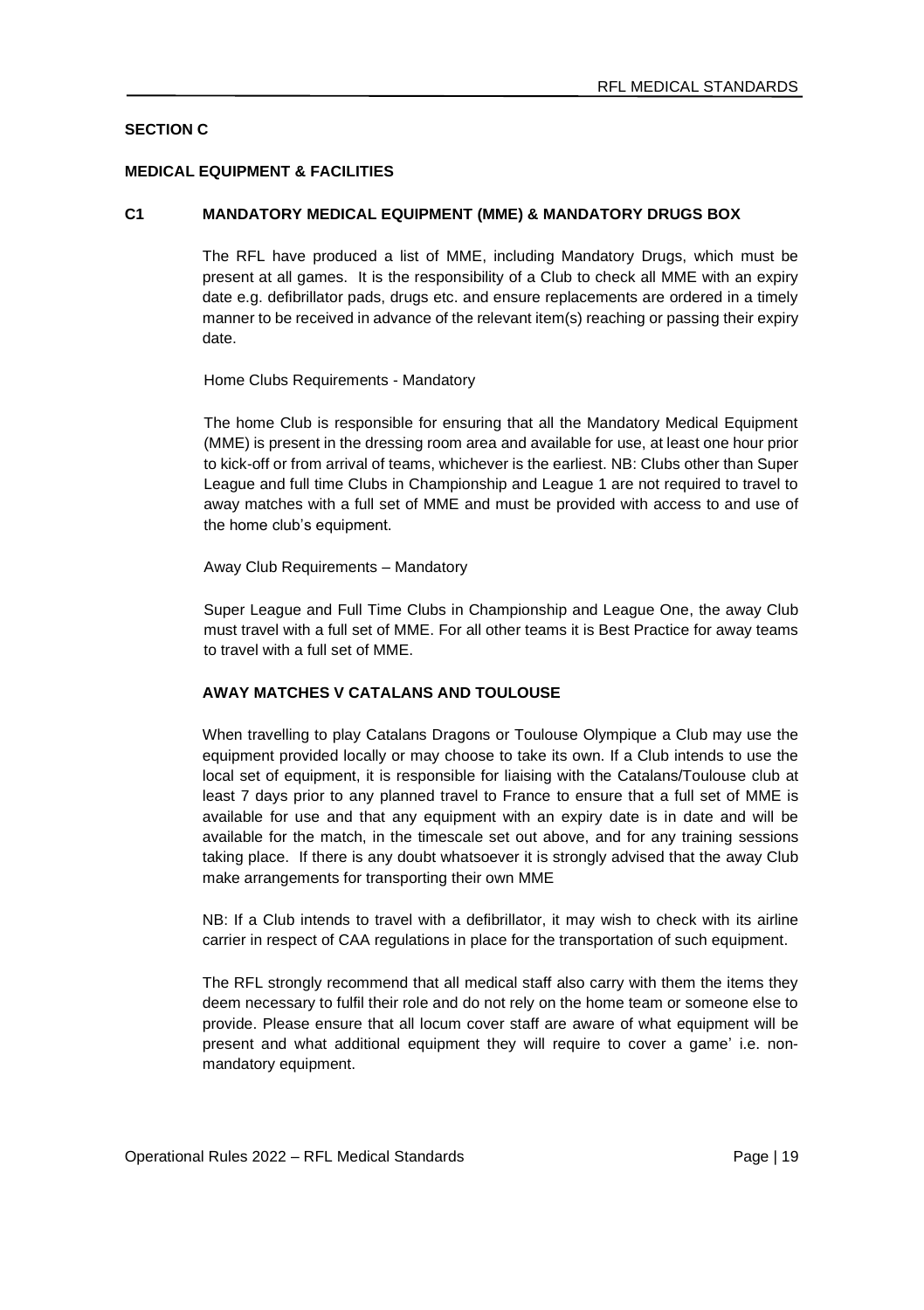# **SECTION C**

#### **MEDICAL EQUIPMENT & FACILITIES**

#### **C1 MANDATORY MEDICAL EQUIPMENT (MME) & MANDATORY DRUGS BOX**

The RFL have produced a list of MME, including Mandatory Drugs, which must be present at all games. It is the responsibility of a Club to check all MME with an expiry date e.g. defibrillator pads, drugs etc. and ensure replacements are ordered in a timely manner to be received in advance of the relevant item(s) reaching or passing their expiry date.

Home Clubs Requirements - Mandatory

The home Club is responsible for ensuring that all the Mandatory Medical Equipment (MME) is present in the dressing room area and available for use, at least one hour prior to kick-off or from arrival of teams, whichever is the earliest. NB: Clubs other than Super League and full time Clubs in Championship and League 1 are not required to travel to away matches with a full set of MME and must be provided with access to and use of the home club's equipment.

Away Club Requirements – Mandatory

Super League and Full Time Clubs in Championship and League One, the away Club must travel with a full set of MME. For all other teams it is Best Practice for away teams to travel with a full set of MME.

### **AWAY MATCHES V CATALANS AND TOULOUSE**

When travelling to play Catalans Dragons or Toulouse Olympique a Club may use the equipment provided locally or may choose to take its own. If a Club intends to use the local set of equipment, it is responsible for liaising with the Catalans/Toulouse club at least 7 days prior to any planned travel to France to ensure that a full set of MME is available for use and that any equipment with an expiry date is in date and will be available for the match, in the timescale set out above, and for any training sessions taking place. If there is any doubt whatsoever it is strongly advised that the away Club make arrangements for transporting their own MME

NB: If a Club intends to travel with a defibrillator, it may wish to check with its airline carrier in respect of CAA regulations in place for the transportation of such equipment.

The RFL strongly recommend that all medical staff also carry with them the items they deem necessary to fulfil their role and do not rely on the home team or someone else to provide. Please ensure that all locum cover staff are aware of what equipment will be present and what additional equipment they will require to cover a game' i.e. nonmandatory equipment.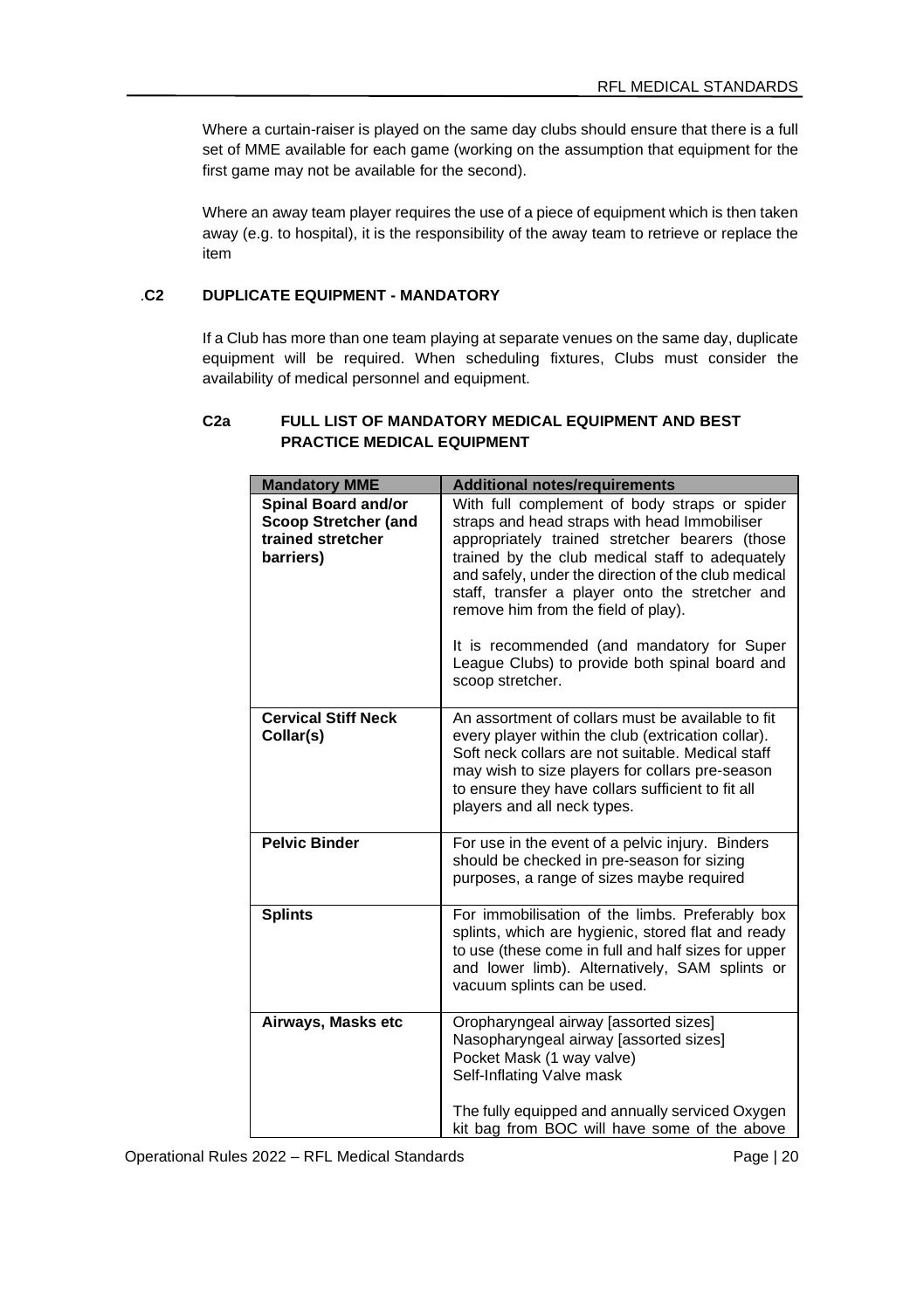Where a curtain-raiser is played on the same day clubs should ensure that there is a full set of MME available for each game (working on the assumption that equipment for the first game may not be available for the second).

Where an away team player requires the use of a piece of equipment which is then taken away (e.g. to hospital), it is the responsibility of the away team to retrieve or replace the item

# .**C2 DUPLICATE EQUIPMENT - MANDATORY**

If a Club has more than one team playing at separate venues on the same day, duplicate equipment will be required. When scheduling fixtures, Clubs must consider the availability of medical personnel and equipment.

# **C2a FULL LIST OF MANDATORY MEDICAL EQUIPMENT AND BEST PRACTICE MEDICAL EQUIPMENT**

| <b>Mandatory MME</b>                                                          | <b>Additional notes/requirements</b>                                                                                                                                                                                                                                                                                                                                                                                                                                    |
|-------------------------------------------------------------------------------|-------------------------------------------------------------------------------------------------------------------------------------------------------------------------------------------------------------------------------------------------------------------------------------------------------------------------------------------------------------------------------------------------------------------------------------------------------------------------|
| Spinal Board and/or<br>Scoop Stretcher (and<br>trained stretcher<br>barriers) | With full complement of body straps or spider<br>straps and head straps with head Immobiliser<br>appropriately trained stretcher bearers (those<br>trained by the club medical staff to adequately<br>and safely, under the direction of the club medical<br>staff, transfer a player onto the stretcher and<br>remove him from the field of play).<br>It is recommended (and mandatory for Super<br>League Clubs) to provide both spinal board and<br>scoop stretcher. |
| <b>Cervical Stiff Neck</b><br>Collar(s)                                       | An assortment of collars must be available to fit<br>every player within the club (extrication collar).<br>Soft neck collars are not suitable. Medical staff<br>may wish to size players for collars pre-season<br>to ensure they have collars sufficient to fit all<br>players and all neck types.                                                                                                                                                                     |
| <b>Pelvic Binder</b>                                                          | For use in the event of a pelvic injury. Binders<br>should be checked in pre-season for sizing<br>purposes, a range of sizes maybe required                                                                                                                                                                                                                                                                                                                             |
| <b>Splints</b>                                                                | For immobilisation of the limbs. Preferably box<br>splints, which are hygienic, stored flat and ready<br>to use (these come in full and half sizes for upper<br>and lower limb). Alternatively, SAM splints or<br>vacuum splints can be used.                                                                                                                                                                                                                           |
| Airways, Masks etc                                                            | Oropharyngeal airway [assorted sizes]<br>Nasopharyngeal airway [assorted sizes]<br>Pocket Mask (1 way valve)<br>Self-Inflating Valve mask                                                                                                                                                                                                                                                                                                                               |
|                                                                               | The fully equipped and annually serviced Oxygen<br>kit bag from BOC will have some of the above                                                                                                                                                                                                                                                                                                                                                                         |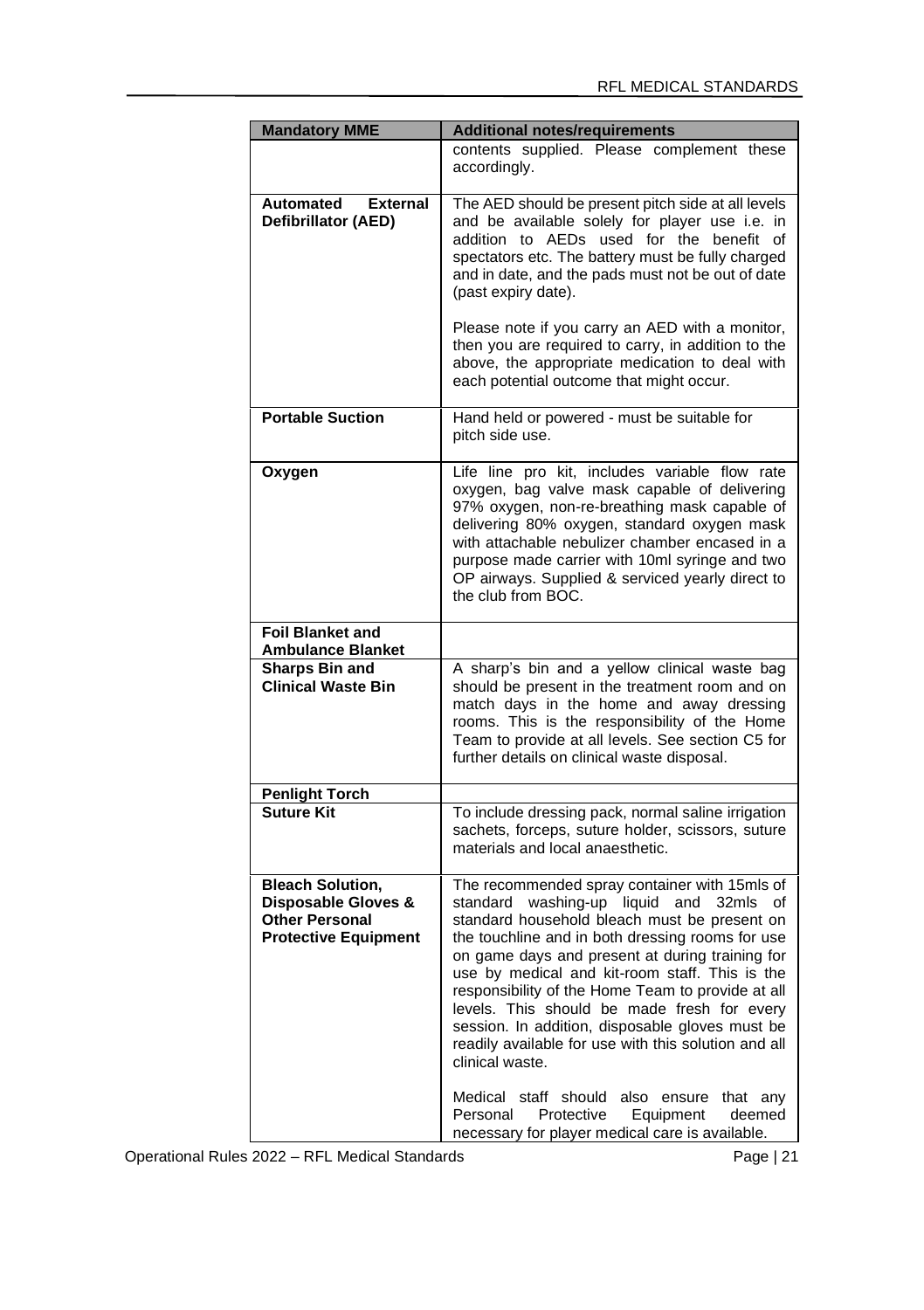| <b>Mandatory MME</b>                                                                                   | <b>Additional notes/requirements</b>                                                                                                                                                                                                                                                                                                                                                                                                                                                                                                                                                                                                                                                 |  |
|--------------------------------------------------------------------------------------------------------|--------------------------------------------------------------------------------------------------------------------------------------------------------------------------------------------------------------------------------------------------------------------------------------------------------------------------------------------------------------------------------------------------------------------------------------------------------------------------------------------------------------------------------------------------------------------------------------------------------------------------------------------------------------------------------------|--|
|                                                                                                        | contents supplied. Please complement these<br>accordingly.                                                                                                                                                                                                                                                                                                                                                                                                                                                                                                                                                                                                                           |  |
| Automated<br><b>External</b><br>Defibrillator (AED)                                                    | The AED should be present pitch side at all levels<br>and be available solely for player use i.e. in<br>addition to AEDs used for the benefit of<br>spectators etc. The battery must be fully charged<br>and in date, and the pads must not be out of date<br>(past expiry date).<br>Please note if you carry an AED with a monitor,<br>then you are required to carry, in addition to the<br>above, the appropriate medication to deal with<br>each potential outcome that might occur.                                                                                                                                                                                             |  |
| <b>Portable Suction</b>                                                                                | Hand held or powered - must be suitable for<br>pitch side use.                                                                                                                                                                                                                                                                                                                                                                                                                                                                                                                                                                                                                       |  |
| Oxygen                                                                                                 | Life line pro kit, includes variable flow rate<br>oxygen, bag valve mask capable of delivering<br>97% oxygen, non-re-breathing mask capable of<br>delivering 80% oxygen, standard oxygen mask<br>with attachable nebulizer chamber encased in a<br>purpose made carrier with 10ml syringe and two<br>OP airways. Supplied & serviced yearly direct to<br>the club from BOC.                                                                                                                                                                                                                                                                                                          |  |
| Foil Blanket and<br><b>Ambulance Blanket</b>                                                           |                                                                                                                                                                                                                                                                                                                                                                                                                                                                                                                                                                                                                                                                                      |  |
| Sharps Bin and<br><b>Clinical Waste Bin</b>                                                            | A sharp's bin and a yellow clinical waste bag<br>should be present in the treatment room and on<br>match days in the home and away dressing<br>rooms. This is the responsibility of the Home<br>Team to provide at all levels. See section C5 for<br>further details on clinical waste disposal.                                                                                                                                                                                                                                                                                                                                                                                     |  |
| <b>Penlight Torch</b>                                                                                  |                                                                                                                                                                                                                                                                                                                                                                                                                                                                                                                                                                                                                                                                                      |  |
| <b>Suture Kit</b>                                                                                      | To include dressing pack, normal saline irrigation<br>sachets, forceps, suture holder, scissors, suture<br>materials and local anaesthetic.                                                                                                                                                                                                                                                                                                                                                                                                                                                                                                                                          |  |
| <b>Bleach Solution,</b><br>Disposable Gloves &<br><b>Other Personal</b><br><b>Protective Equipment</b> | The recommended spray container with 15mls of<br>washing-up liquid and 32mls of<br>standard<br>standard household bleach must be present on<br>the touchline and in both dressing rooms for use<br>on game days and present at during training for<br>use by medical and kit-room staff. This is the<br>responsibility of the Home Team to provide at all<br>levels. This should be made fresh for every<br>session. In addition, disposable gloves must be<br>readily available for use with this solution and all<br>clinical waste.<br>Medical staff should also ensure that any<br>Personal Protective<br>Equipment<br>deemed<br>necessary for player medical care is available. |  |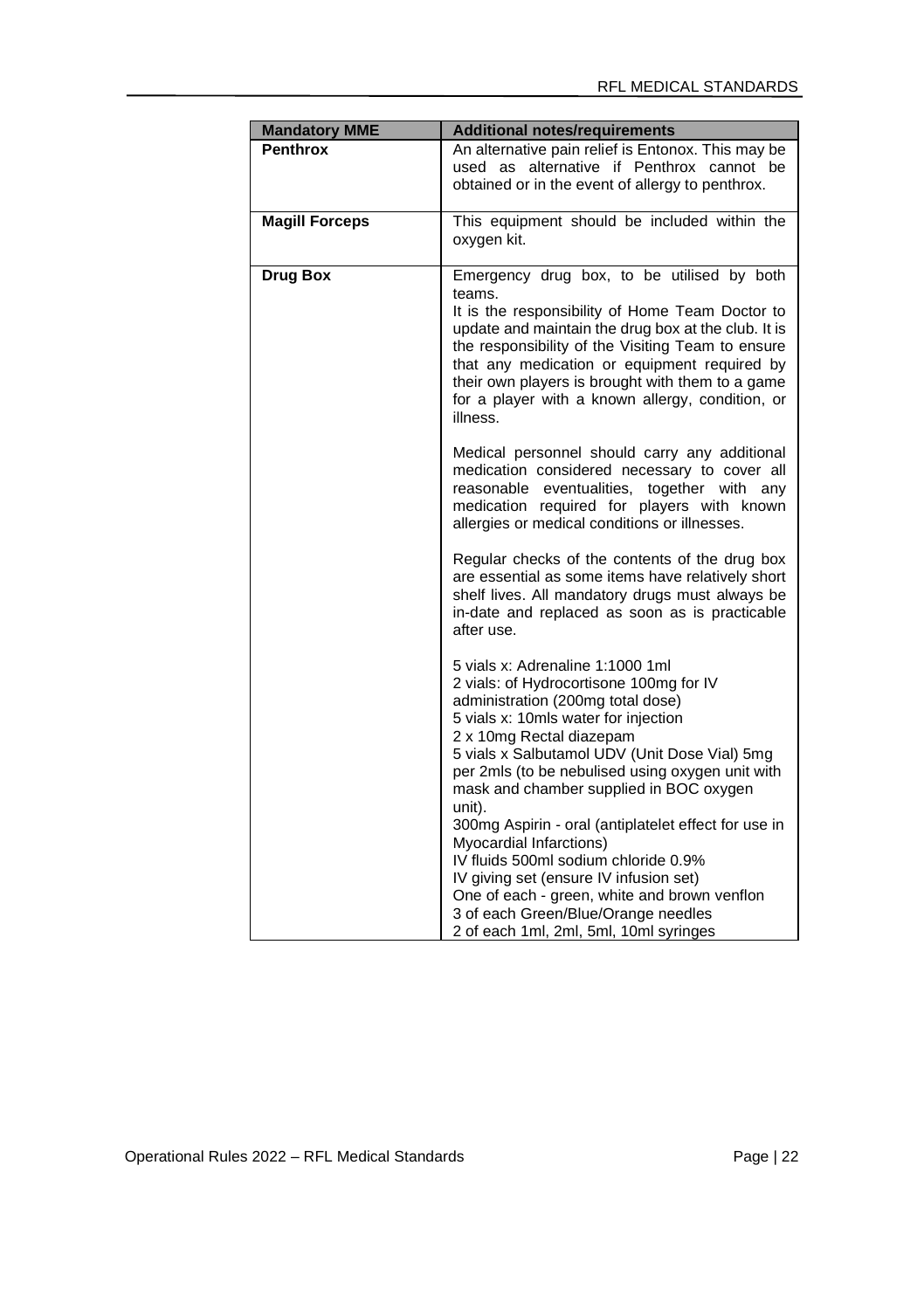| <b>Mandatory MME</b>  | <b>Additional notes/requirements</b>                                                                                                                                                                                                                                                                                                                                                    |
|-----------------------|-----------------------------------------------------------------------------------------------------------------------------------------------------------------------------------------------------------------------------------------------------------------------------------------------------------------------------------------------------------------------------------------|
| Penthrox              | An alternative pain relief is Entonox. This may be<br>used as alternative if Penthrox cannot be<br>obtained or in the event of allergy to penthrox.                                                                                                                                                                                                                                     |
| <b>Magill Forceps</b> | This equipment should be included within the<br>oxygen kit.                                                                                                                                                                                                                                                                                                                             |
| Drug Box              | Emergency drug box, to be utilised by both<br>teams.<br>It is the responsibility of Home Team Doctor to<br>update and maintain the drug box at the club. It is<br>the responsibility of the Visiting Team to ensure<br>that any medication or equipment required by<br>their own players is brought with them to a game<br>for a player with a known allergy, condition, or<br>illness. |
|                       | Medical personnel should carry any additional<br>medication considered necessary to cover all<br>reasonable eventualities, together with any<br>medication required for players with known<br>allergies or medical conditions or illnesses.                                                                                                                                             |
|                       | Regular checks of the contents of the drug box<br>are essential as some items have relatively short<br>shelf lives. All mandatory drugs must always be<br>in-date and replaced as soon as is practicable<br>after use.                                                                                                                                                                  |
|                       | 5 vials x: Adrenaline 1:1000 1ml<br>2 vials: of Hydrocortisone 100mg for IV<br>administration (200mg total dose)<br>5 vials x: 10mls water for injection<br>2 x 10mg Rectal diazepam<br>5 vials x Salbutamol UDV (Unit Dose Vial) 5mg<br>per 2mls (to be nebulised using oxygen unit with<br>mask and chamber supplied in BOC oxygen<br>unit).                                          |
|                       | 300mg Aspirin - oral (antiplatelet effect for use in<br>Myocardial Infarctions)<br>IV fluids 500ml sodium chloride 0.9%<br>IV giving set (ensure IV infusion set)<br>One of each - green, white and brown venflon<br>3 of each Green/Blue/Orange needles<br>2 of each 1ml, 2ml, 5ml, 10ml syringes                                                                                      |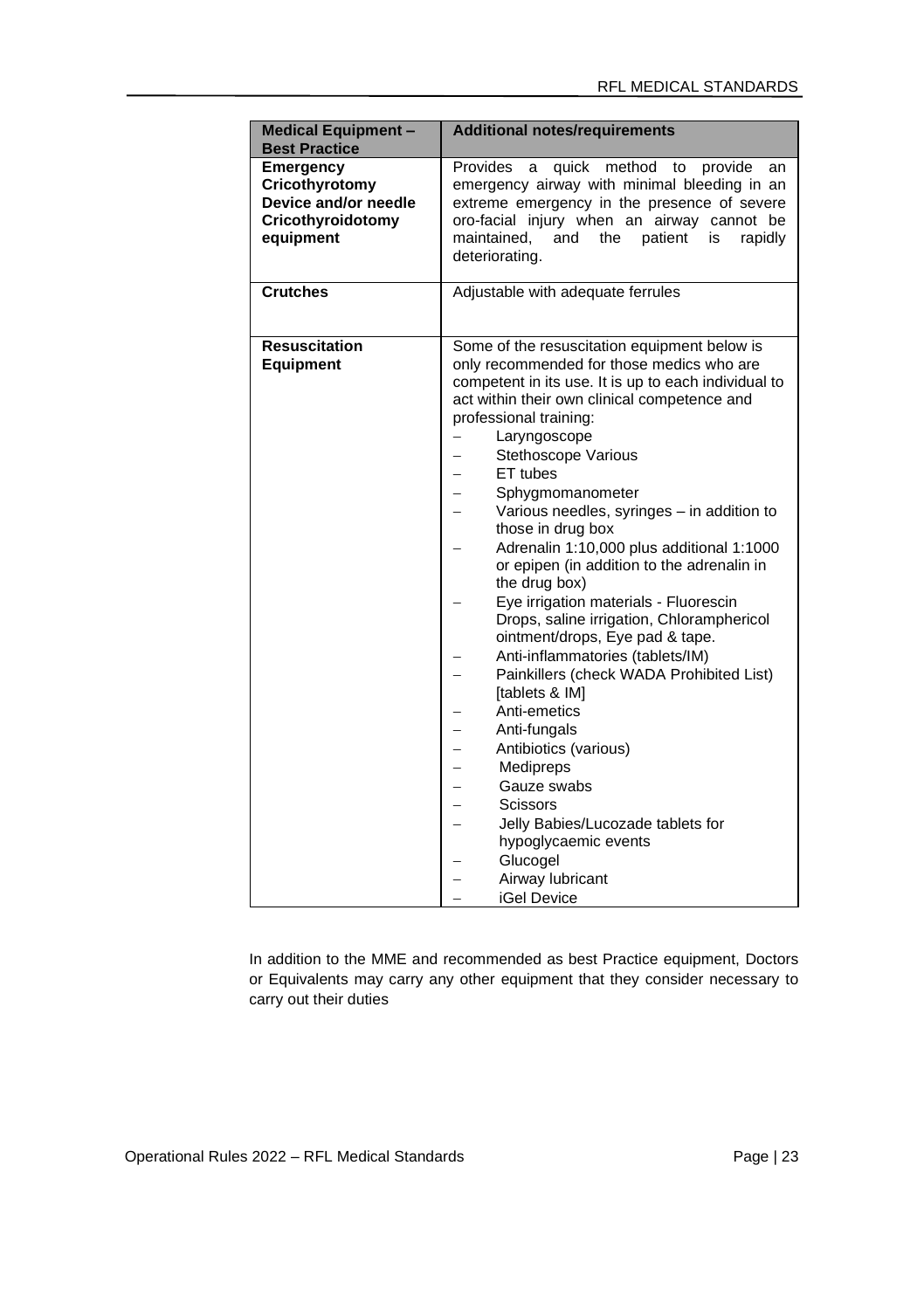| <b>Best Practice</b><br>Provides<br>Emergency<br>quick method to provide<br>a<br>an<br>Cricothyrotomy<br>emergency airway with minimal bleeding in an<br>Device and/or needle<br>extreme emergency in the presence of severe<br>oro-facial injury when an airway cannot be<br>Cricothyroidotomy<br>equipment<br>maintained,<br>and the patient<br>rapidly<br>is<br>deteriorating.<br><b>Crutches</b><br>Adjustable with adequate ferrules<br>Resuscitation<br>Some of the resuscitation equipment below is<br>Equipment<br>only recommended for those medics who are<br>competent in its use. It is up to each individual to<br>act within their own clinical competence and<br>professional training:<br>Laryngoscope<br>Stethoscope Various<br>ET tubes<br>Sphygmomanometer<br>Various needles, syringes - in addition to<br>those in drug box<br>Adrenalin 1:10,000 plus additional 1:1000<br>or epipen (in addition to the adrenalin in<br>the drug box)<br>Eye irrigation materials - Fluorescin<br>Drops, saline irrigation, Chloramphericol<br>ointment/drops, Eye pad & tape.<br>Anti-inflammatories (tablets/IM) | <b>Medical Equipment -</b> | <b>Additional notes/requirements</b> |
|---------------------------------------------------------------------------------------------------------------------------------------------------------------------------------------------------------------------------------------------------------------------------------------------------------------------------------------------------------------------------------------------------------------------------------------------------------------------------------------------------------------------------------------------------------------------------------------------------------------------------------------------------------------------------------------------------------------------------------------------------------------------------------------------------------------------------------------------------------------------------------------------------------------------------------------------------------------------------------------------------------------------------------------------------------------------------------------------------------------------------|----------------------------|--------------------------------------|
|                                                                                                                                                                                                                                                                                                                                                                                                                                                                                                                                                                                                                                                                                                                                                                                                                                                                                                                                                                                                                                                                                                                           |                            |                                      |
|                                                                                                                                                                                                                                                                                                                                                                                                                                                                                                                                                                                                                                                                                                                                                                                                                                                                                                                                                                                                                                                                                                                           |                            |                                      |
|                                                                                                                                                                                                                                                                                                                                                                                                                                                                                                                                                                                                                                                                                                                                                                                                                                                                                                                                                                                                                                                                                                                           |                            |                                      |
| Painkillers (check WADA Prohibited List)<br>[tablets & IM]<br>Anti-emetics<br>Anti-fungals<br>Antibiotics (various)<br>Medipreps<br>Gauze swabs<br>Scissors<br>Jelly Babies/Lucozade tablets for<br>hypoglycaemic events<br>Glucogel<br>Airway lubricant<br><b>iGel Device</b>                                                                                                                                                                                                                                                                                                                                                                                                                                                                                                                                                                                                                                                                                                                                                                                                                                            |                            |                                      |

In addition to the MME and recommended as best Practice equipment, Doctors or Equivalents may carry any other equipment that they consider necessary to carry out their duties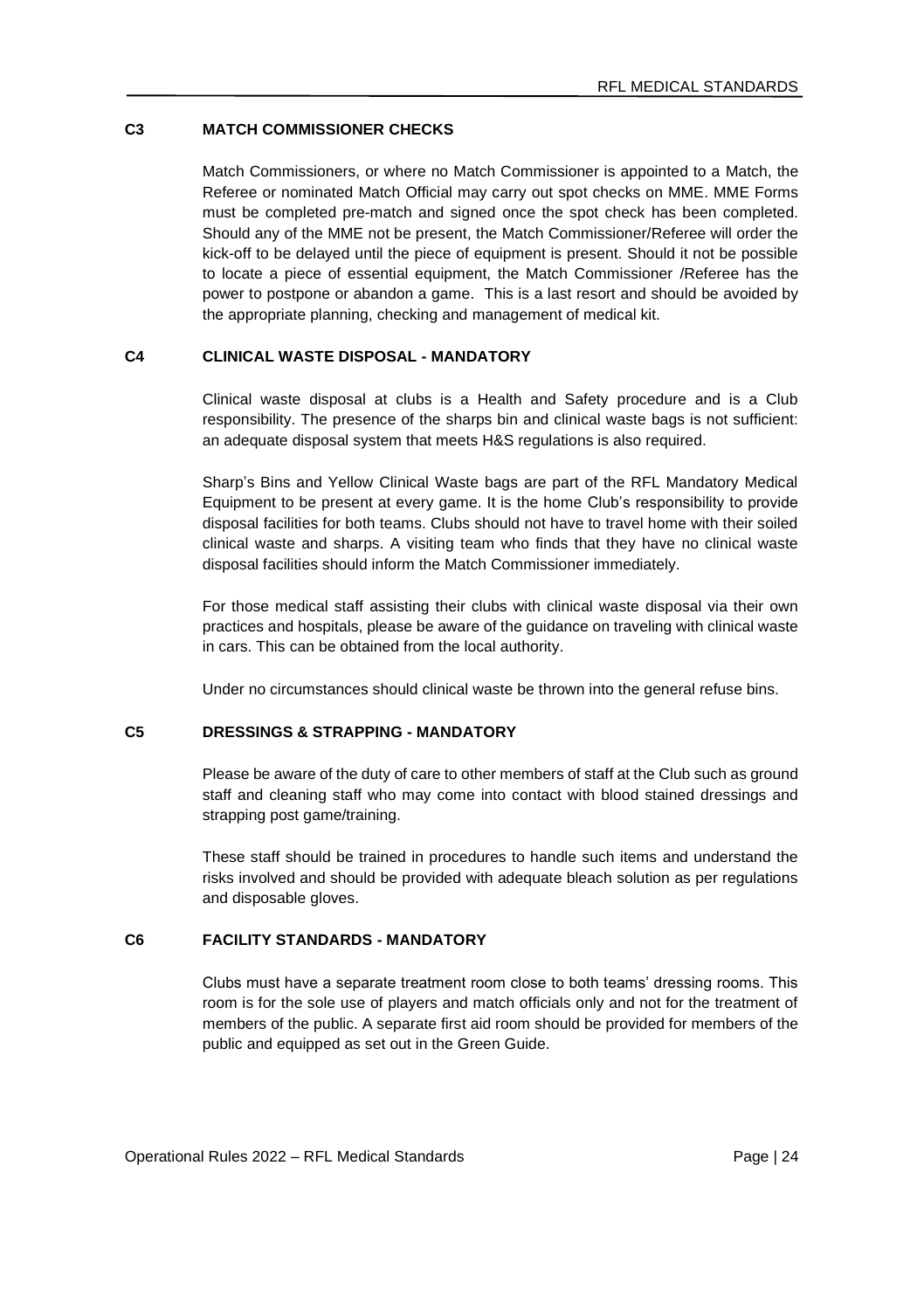# **C3 MATCH COMMISSIONER CHECKS**

Match Commissioners, or where no Match Commissioner is appointed to a Match, the Referee or nominated Match Official may carry out spot checks on MME. MME Forms must be completed pre-match and signed once the spot check has been completed. Should any of the MME not be present, the Match Commissioner/Referee will order the kick-off to be delayed until the piece of equipment is present. Should it not be possible to locate a piece of essential equipment, the Match Commissioner /Referee has the power to postpone or abandon a game. This is a last resort and should be avoided by the appropriate planning, checking and management of medical kit.

### **C4 CLINICAL WASTE DISPOSAL - MANDATORY**

Clinical waste disposal at clubs is a Health and Safety procedure and is a Club responsibility. The presence of the sharps bin and clinical waste bags is not sufficient: an adequate disposal system that meets H&S regulations is also required.

Sharp's Bins and Yellow Clinical Waste bags are part of the RFL Mandatory Medical Equipment to be present at every game. It is the home Club's responsibility to provide disposal facilities for both teams. Clubs should not have to travel home with their soiled clinical waste and sharps. A visiting team who finds that they have no clinical waste disposal facilities should inform the Match Commissioner immediately.

For those medical staff assisting their clubs with clinical waste disposal via their own practices and hospitals, please be aware of the guidance on traveling with clinical waste in cars. This can be obtained from the local authority.

Under no circumstances should clinical waste be thrown into the general refuse bins.

# **C5 DRESSINGS & STRAPPING - MANDATORY**

Please be aware of the duty of care to other members of staff at the Club such as ground staff and cleaning staff who may come into contact with blood stained dressings and strapping post game/training.

These staff should be trained in procedures to handle such items and understand the risks involved and should be provided with adequate bleach solution as per regulations and disposable gloves.

# **C6 FACILITY STANDARDS - MANDATORY**

Clubs must have a separate treatment room close to both teams' dressing rooms. This room is for the sole use of players and match officials only and not for the treatment of members of the public. A separate first aid room should be provided for members of the public and equipped as set out in the Green Guide.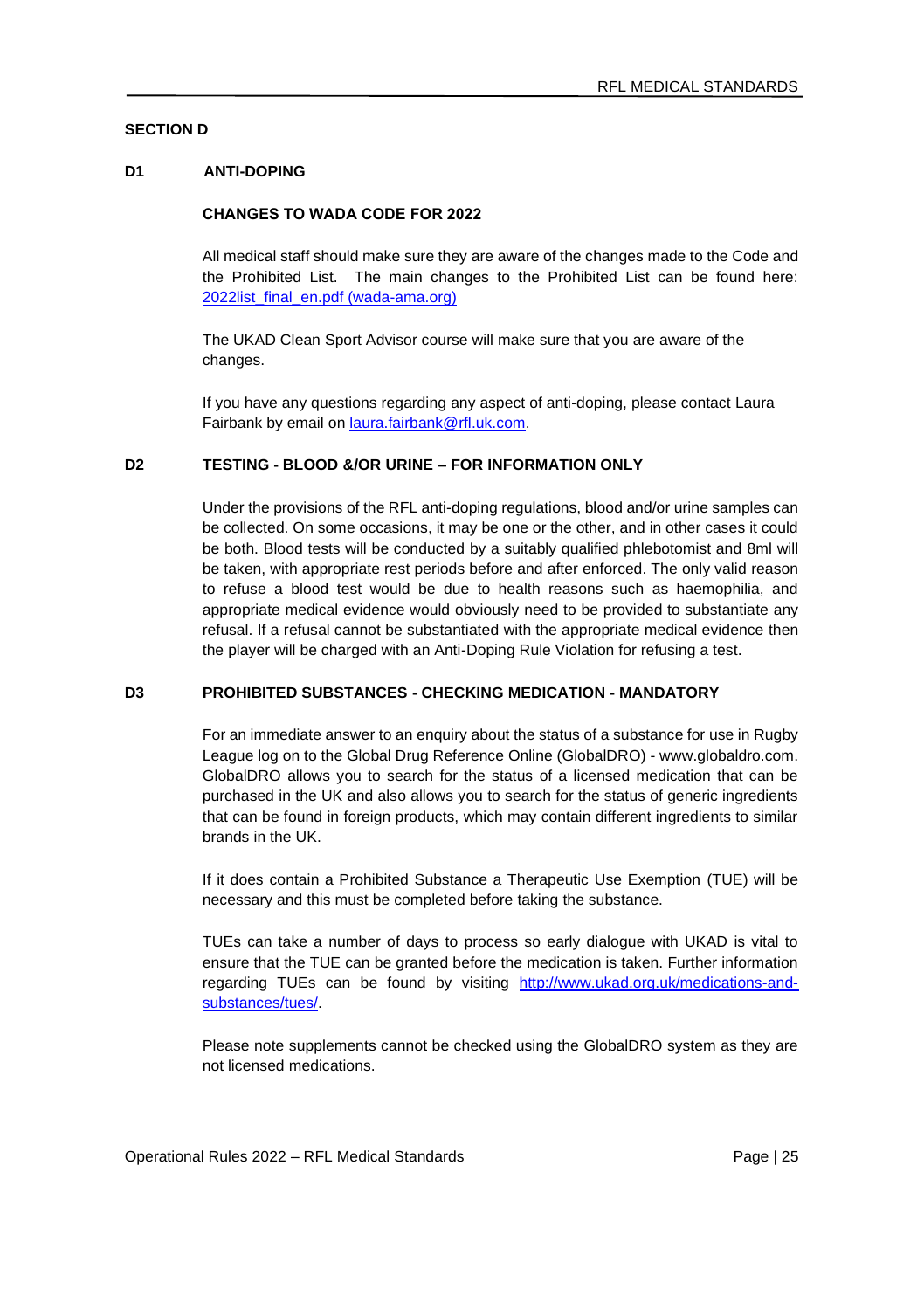# **SECTION D**

### **D1 ANTI-DOPING**

#### **CHANGES TO WADA CODE FOR 2022**

All medical staff should make sure they are aware of the changes made to the Code and the Prohibited List. The main changes to the Prohibited List can be found here: [2022list\\_final\\_en.pdf \(wada-ama.org\)](https://www.wada-ama.org/sites/default/files/resources/files/2022list_final_en.pdf)

The UKAD Clean Sport Advisor course will make sure that you are aware of the changes.

If you have any questions regarding any aspect of anti-doping, please contact Laura Fairbank by email o[n laura.fairbank@rfl.uk.com.](mailto:laura.fairbank@rfl.uk.com)

### **D2 TESTING - BLOOD &/OR URINE – FOR INFORMATION ONLY**

Under the provisions of the RFL anti-doping regulations, blood and/or urine samples can be collected. On some occasions, it may be one or the other, and in other cases it could be both. Blood tests will be conducted by a suitably qualified phlebotomist and 8ml will be taken, with appropriate rest periods before and after enforced. The only valid reason to refuse a blood test would be due to health reasons such as haemophilia, and appropriate medical evidence would obviously need to be provided to substantiate any refusal. If a refusal cannot be substantiated with the appropriate medical evidence then the player will be charged with an Anti-Doping Rule Violation for refusing a test.

### **D3 PROHIBITED SUBSTANCES - CHECKING MEDICATION - MANDATORY**

For an immediate answer to an enquiry about the status of a substance for use in Rugby League log on to the Global Drug Reference Online (GlobalDRO) - www.globaldro.com. GlobalDRO allows you to search for the status of a licensed medication that can be purchased in the UK and also allows you to search for the status of generic ingredients that can be found in foreign products, which may contain different ingredients to similar brands in the UK.

If it does contain a Prohibited Substance a Therapeutic Use Exemption (TUE) will be necessary and this must be completed before taking the substance.

TUEs can take a number of days to process so early dialogue with UKAD is vital to ensure that the TUE can be granted before the medication is taken. Further information regarding TUEs can be found by visiting [http://www.ukad.org.uk/medications-and](http://www.ukad.org.uk/medications-and-substances/tues/)[substances/tues/.](http://www.ukad.org.uk/medications-and-substances/tues/) 

Please note supplements cannot be checked using the GlobalDRO system as they are not licensed medications.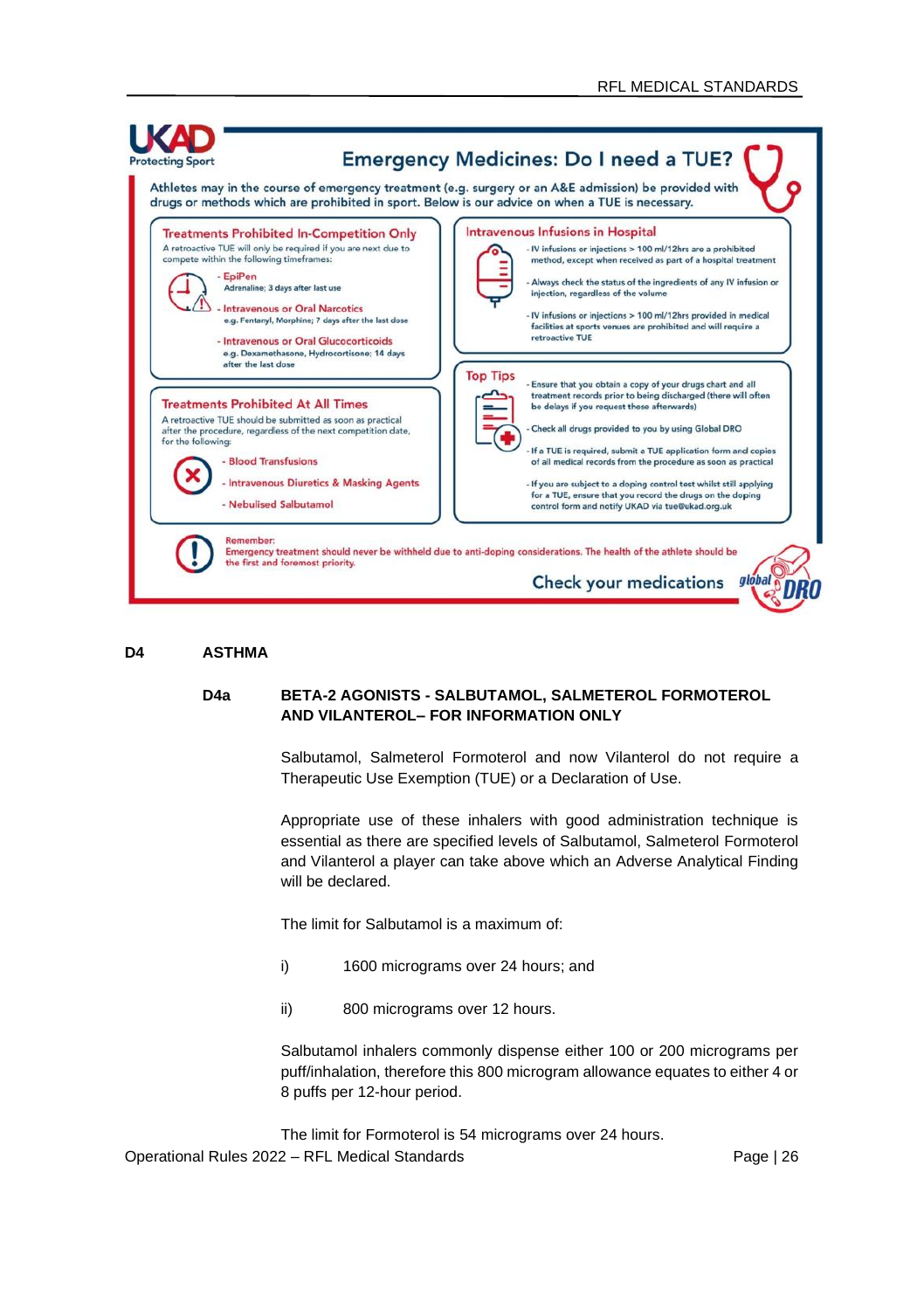

#### **D4 ASTHMA**

### **D4a BETA-2 AGONISTS - SALBUTAMOL, SALMETEROL FORMOTEROL AND VILANTEROL– FOR INFORMATION ONLY**

Salbutamol, Salmeterol Formoterol and now Vilanterol do not require a Therapeutic Use Exemption (TUE) or a Declaration of Use.

Appropriate use of these inhalers with good administration technique is essential as there are specified levels of Salbutamol, Salmeterol Formoterol and Vilanterol a player can take above which an Adverse Analytical Finding will be declared.

The limit for Salbutamol is a maximum of:

- i) 1600 micrograms over 24 hours; and
- ii) 800 micrograms over 12 hours.

Salbutamol inhalers commonly dispense either 100 or 200 micrograms per puff/inhalation, therefore this 800 microgram allowance equates to either 4 or 8 puffs per 12-hour period.

Operational Rules 2022 – RFL Medical Standards Page | 26 The limit for Formoterol is 54 micrograms over 24 hours.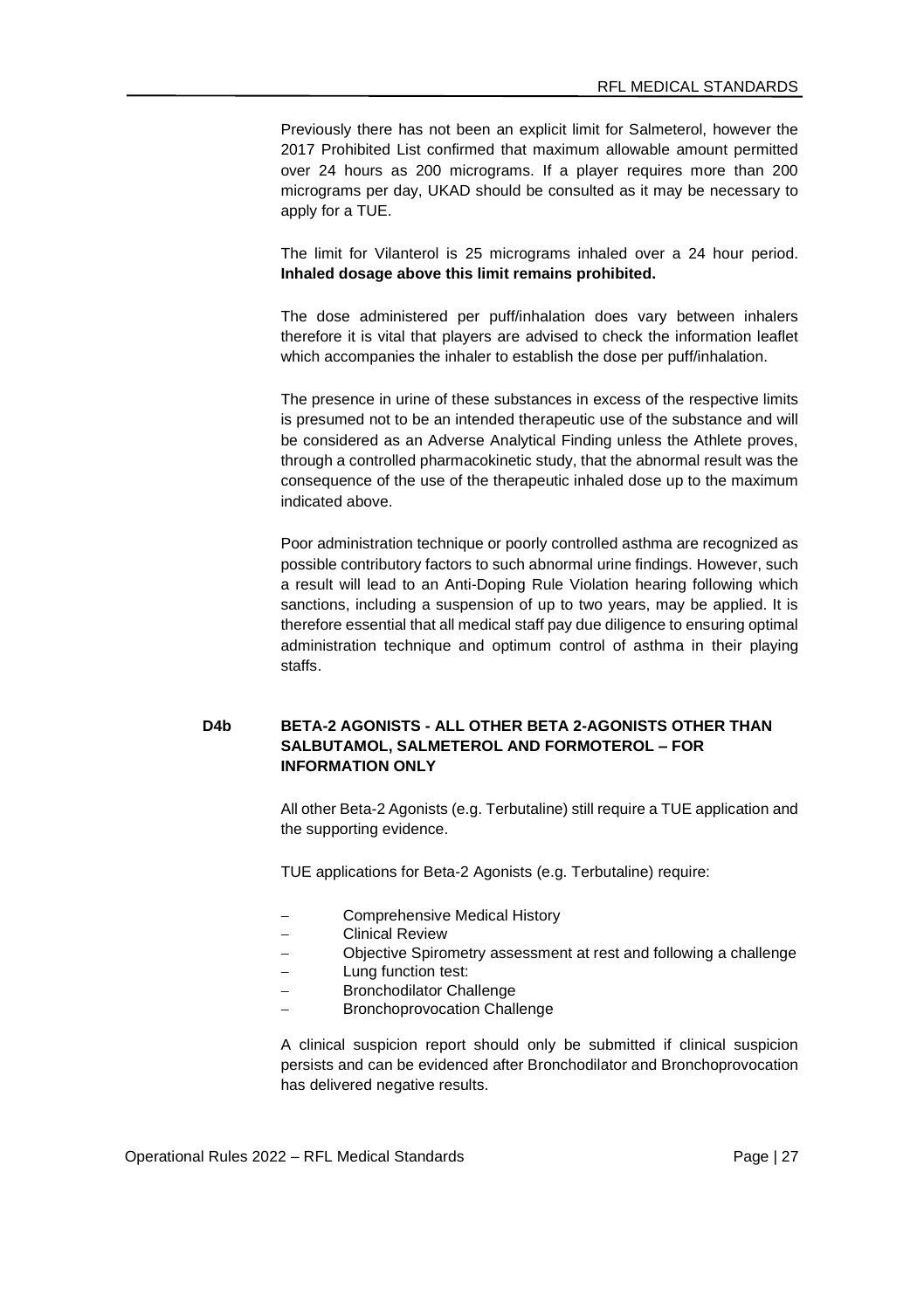Previously there has not been an explicit limit for Salmeterol, however the 2017 Prohibited List confirmed that maximum allowable amount permitted over 24 hours as 200 micrograms. If a player requires more than 200 micrograms per day, UKAD should be consulted as it may be necessary to apply for a TUE.

The limit for Vilanterol is 25 micrograms inhaled over a 24 hour period. **Inhaled dosage above this limit remains prohibited.**

The dose administered per puff/inhalation does vary between inhalers therefore it is vital that players are advised to check the information leaflet which accompanies the inhaler to establish the dose per puff/inhalation.

The presence in urine of these substances in excess of the respective limits is presumed not to be an intended therapeutic use of the substance and will be considered as an Adverse Analytical Finding unless the Athlete proves, through a controlled pharmacokinetic study, that the abnormal result was the consequence of the use of the therapeutic inhaled dose up to the maximum indicated above.

Poor administration technique or poorly controlled asthma are recognized as possible contributory factors to such abnormal urine findings. However, such a result will lead to an Anti-Doping Rule Violation hearing following which sanctions, including a suspension of up to two years, may be applied. It is therefore essential that all medical staff pay due diligence to ensuring optimal administration technique and optimum control of asthma in their playing staffs.

# **D4b BETA-2 AGONISTS - ALL OTHER BETA 2-AGONISTS OTHER THAN SALBUTAMOL, SALMETEROL AND FORMOTEROL – FOR INFORMATION ONLY**

All other Beta-2 Agonists (e.g. Terbutaline) still require a TUE application and the supporting evidence.

TUE applications for Beta-2 Agonists (e.g. Terbutaline) require:

- − Comprehensive Medical History
- − Clinical Review
- − Objective Spirometry assessment at rest and following a challenge
- Lung function test:
- Bronchodilator Challenge
- Bronchoprovocation Challenge

A clinical suspicion report should only be submitted if clinical suspicion persists and can be evidenced after Bronchodilator and Bronchoprovocation has delivered negative results.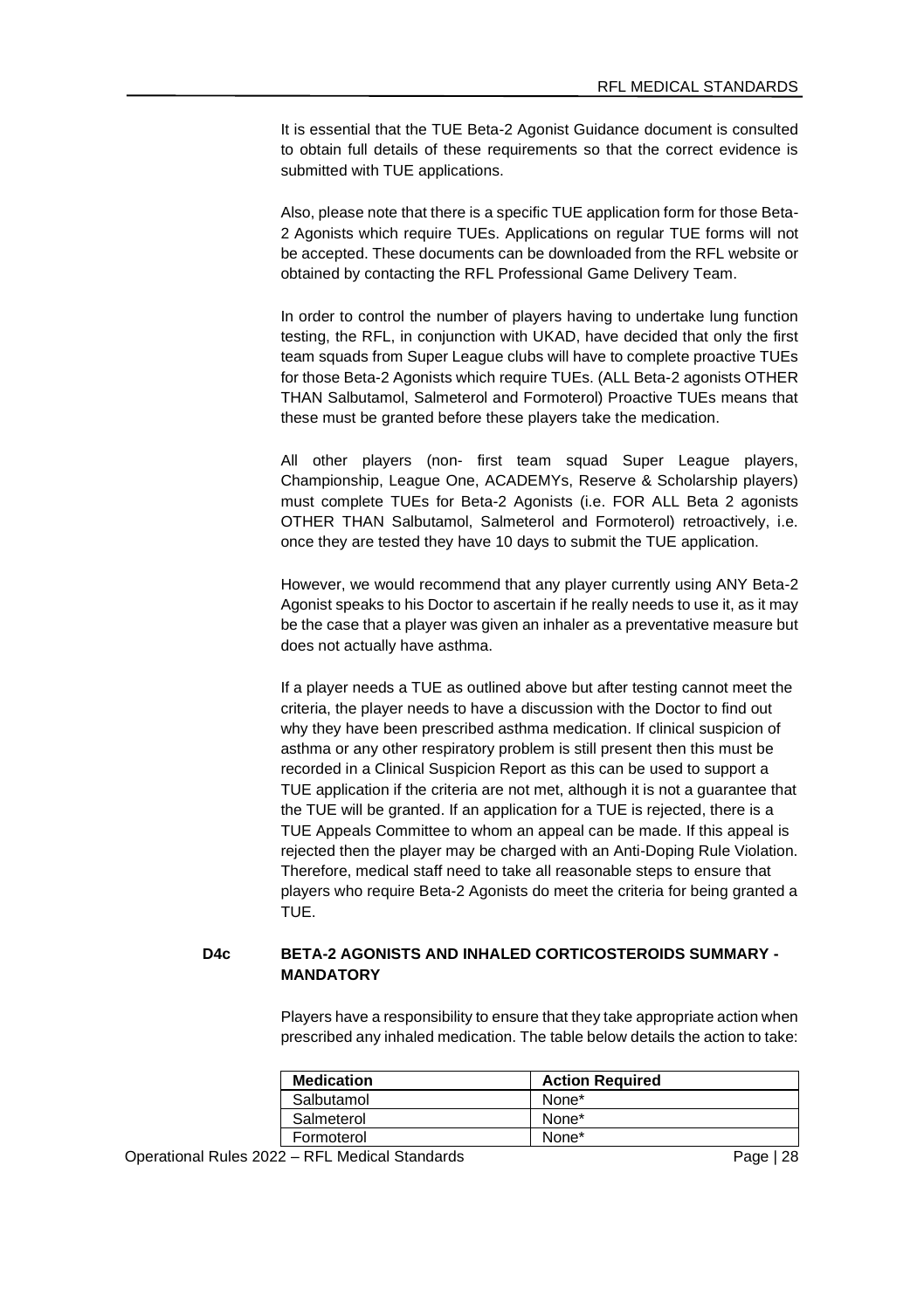It is essential that the TUE Beta-2 Agonist Guidance document is consulted to obtain full details of these requirements so that the correct evidence is submitted with TUE applications.

Also, please note that there is a specific TUE application form for those Beta-2 Agonists which require TUEs. Applications on regular TUE forms will not be accepted. These documents can be downloaded from the RFL website or obtained by contacting the RFL Professional Game Delivery Team.

In order to control the number of players having to undertake lung function testing, the RFL, in conjunction with UKAD, have decided that only the first team squads from Super League clubs will have to complete proactive TUEs for those Beta-2 Agonists which require TUEs. (ALL Beta-2 agonists OTHER THAN Salbutamol, Salmeterol and Formoterol) Proactive TUEs means that these must be granted before these players take the medication.

All other players (non- first team squad Super League players, Championship, League One, ACADEMYs, Reserve & Scholarship players) must complete TUEs for Beta-2 Agonists (i.e. FOR ALL Beta 2 agonists OTHER THAN Salbutamol, Salmeterol and Formoterol) retroactively, i.e. once they are tested they have 10 days to submit the TUE application.

However, we would recommend that any player currently using ANY Beta-2 Agonist speaks to his Doctor to ascertain if he really needs to use it, as it may be the case that a player was given an inhaler as a preventative measure but does not actually have asthma.

If a player needs a TUE as outlined above but after testing cannot meet the criteria, the player needs to have a discussion with the Doctor to find out why they have been prescribed asthma medication. If clinical suspicion of asthma or any other respiratory problem is still present then this must be recorded in a Clinical Suspicion Report as this can be used to support a TUE application if the criteria are not met, although it is not a guarantee that the TUE will be granted. If an application for a TUE is rejected, there is a TUE Appeals Committee to whom an appeal can be made. If this appeal is rejected then the player may be charged with an Anti-Doping Rule Violation. Therefore, medical staff need to take all reasonable steps to ensure that players who require Beta-2 Agonists do meet the criteria for being granted a TUE.

# **D4c BETA-2 AGONISTS AND INHALED CORTICOSTEROIDS SUMMARY - MANDATORY**

Players have a responsibility to ensure that they take appropriate action when prescribed any inhaled medication. The table below details the action to take:

| <b>Medication</b> | <b>Action Required</b> |
|-------------------|------------------------|
| Salbutamol        | None*                  |
| Salmeterol        | None*                  |
| Formoterol        | None*                  |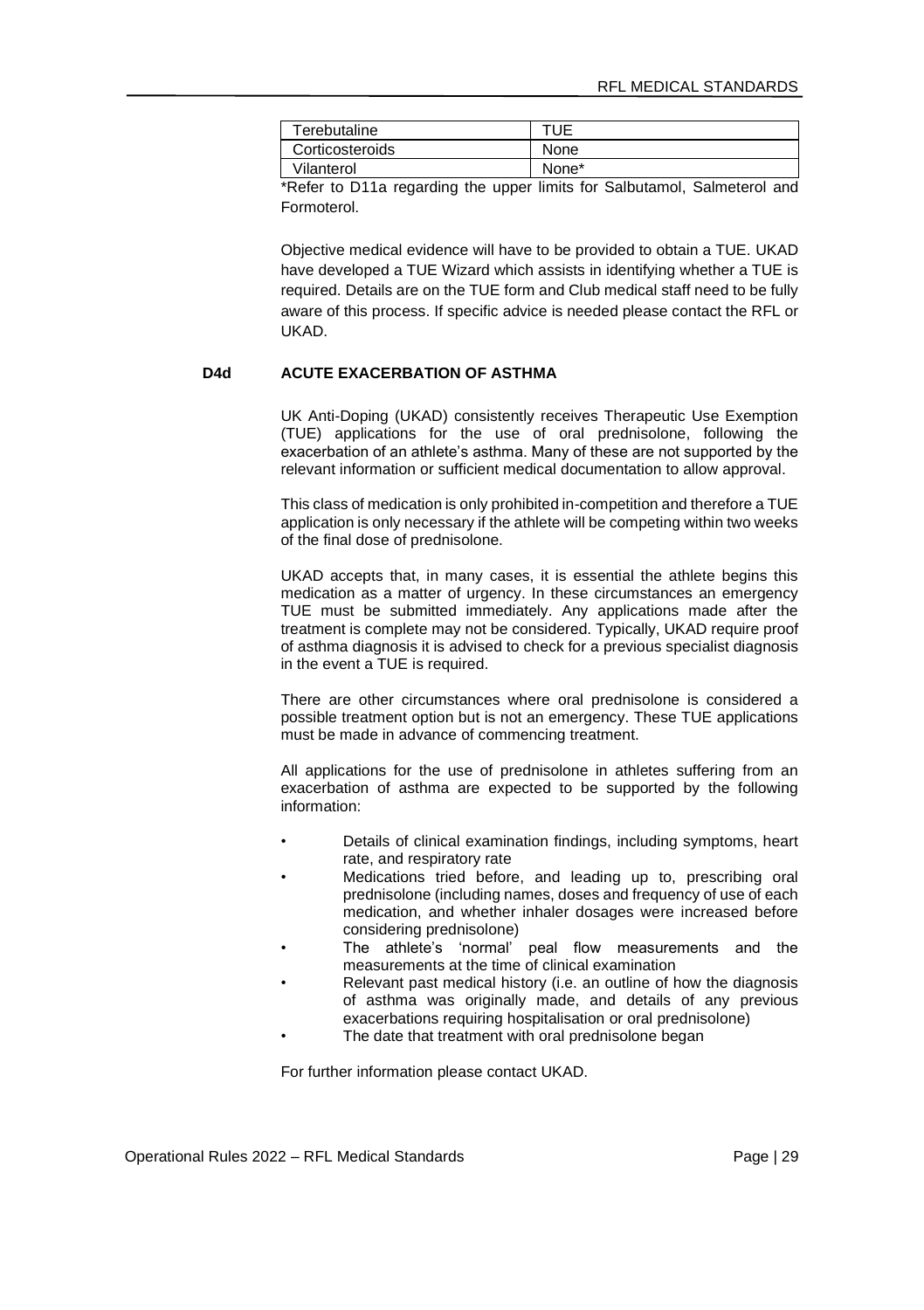| Terebutaline    | TUF   |
|-----------------|-------|
| Corticosteroids | None  |
| Vilanterol      | None* |

\*Refer to D11a regarding the upper limits for Salbutamol, Salmeterol and Formoterol.

Objective medical evidence will have to be provided to obtain a TUE. UKAD have developed a TUE Wizard which assists in identifying whether a TUE is required. Details are on the TUE form and Club medical staff need to be fully aware of this process. If specific advice is needed please contact the RFL or UKAD.

### **D4d ACUTE EXACERBATION OF ASTHMA**

UK Anti-Doping (UKAD) consistently receives Therapeutic Use Exemption (TUE) applications for the use of oral prednisolone, following the exacerbation of an athlete's asthma. Many of these are not supported by the relevant information or sufficient medical documentation to allow approval.

This class of medication is only prohibited in-competition and therefore a TUE application is only necessary if the athlete will be competing within two weeks of the final dose of prednisolone.

UKAD accepts that, in many cases, it is essential the athlete begins this medication as a matter of urgency. In these circumstances an emergency TUE must be submitted immediately. Any applications made after the treatment is complete may not be considered. Typically, UKAD require proof of asthma diagnosis it is advised to check for a previous specialist diagnosis in the event a TUE is required.

There are other circumstances where oral prednisolone is considered a possible treatment option but is not an emergency. These TUE applications must be made in advance of commencing treatment.

All applications for the use of prednisolone in athletes suffering from an exacerbation of asthma are expected to be supported by the following information:

- Details of clinical examination findings, including symptoms, heart rate, and respiratory rate
- Medications tried before, and leading up to, prescribing oral prednisolone (including names, doses and frequency of use of each medication, and whether inhaler dosages were increased before considering prednisolone)
- The athlete's 'normal' peal flow measurements and the measurements at the time of clinical examination
- Relevant past medical history (i.e. an outline of how the diagnosis of asthma was originally made, and details of any previous exacerbations requiring hospitalisation or oral prednisolone)
- The date that treatment with oral prednisolone began

For further information please contact UKAD.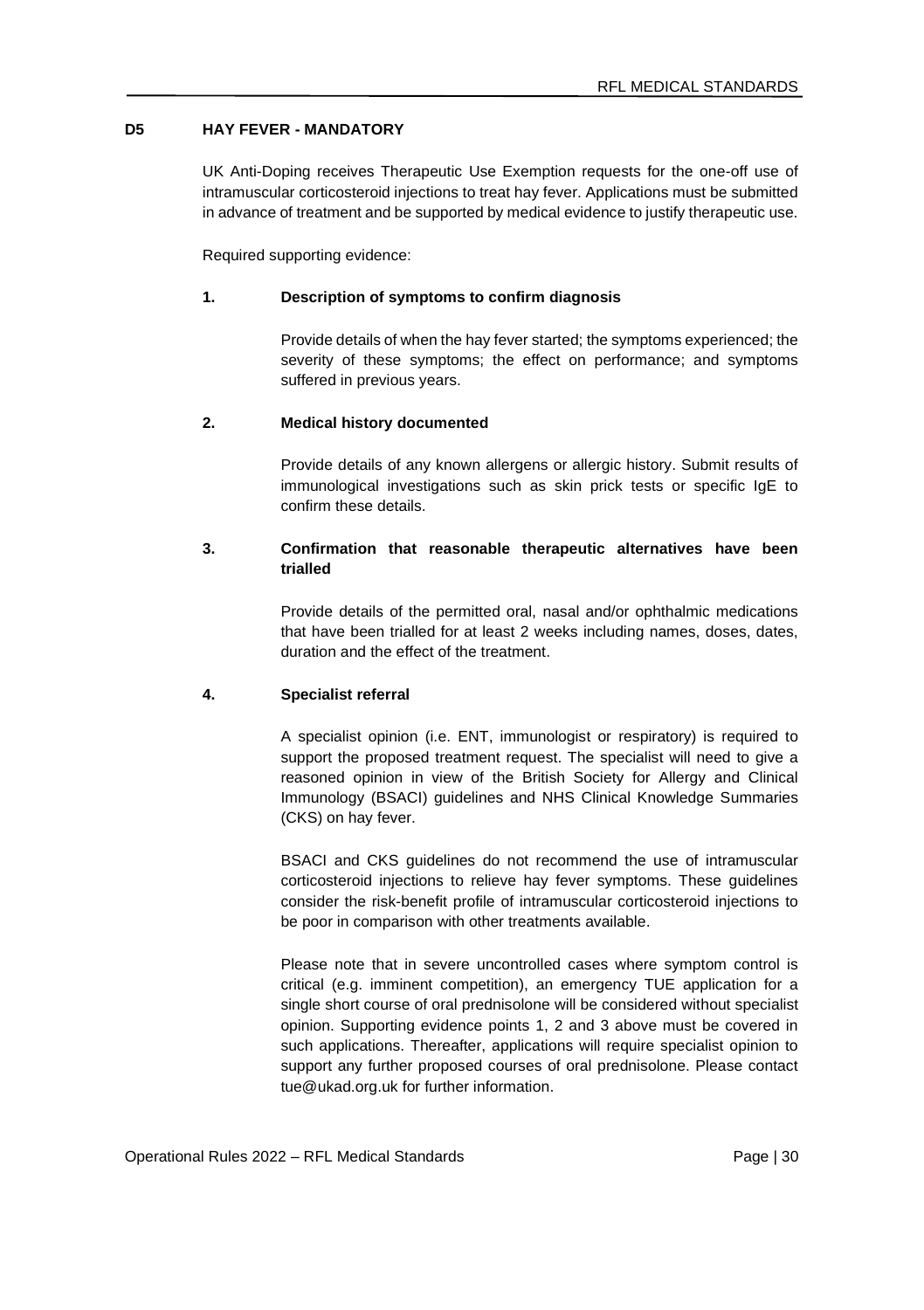# **D5 HAY FEVER - MANDATORY**

UK Anti-Doping receives Therapeutic Use Exemption requests for the one-off use of intramuscular corticosteroid injections to treat hay fever. Applications must be submitted in advance of treatment and be supported by medical evidence to justify therapeutic use.

Required supporting evidence:

### **1. Description of symptoms to confirm diagnosis**

Provide details of when the hay fever started; the symptoms experienced; the severity of these symptoms; the effect on performance; and symptoms suffered in previous years.

### **2. Medical history documented**

Provide details of any known allergens or allergic history. Submit results of immunological investigations such as skin prick tests or specific IgE to confirm these details.

### **3. Confirmation that reasonable therapeutic alternatives have been trialled**

Provide details of the permitted oral, nasal and/or ophthalmic medications that have been trialled for at least 2 weeks including names, doses, dates, duration and the effect of the treatment.

#### **4. Specialist referral**

A specialist opinion (i.e. ENT, immunologist or respiratory) is required to support the proposed treatment request. The specialist will need to give a reasoned opinion in view of the British Society for Allergy and Clinical Immunology (BSACI) guidelines and NHS Clinical Knowledge Summaries (CKS) on hay fever.

BSACI and CKS guidelines do not recommend the use of intramuscular corticosteroid injections to relieve hay fever symptoms. These guidelines consider the risk-benefit profile of intramuscular corticosteroid injections to be poor in comparison with other treatments available.

Please note that in severe uncontrolled cases where symptom control is critical (e.g. imminent competition), an emergency TUE application for a single short course of oral prednisolone will be considered without specialist opinion. Supporting evidence points 1, 2 and 3 above must be covered in such applications. Thereafter, applications will require specialist opinion to support any further proposed courses of oral prednisolone. Please contact tue@ukad.org.uk for further information.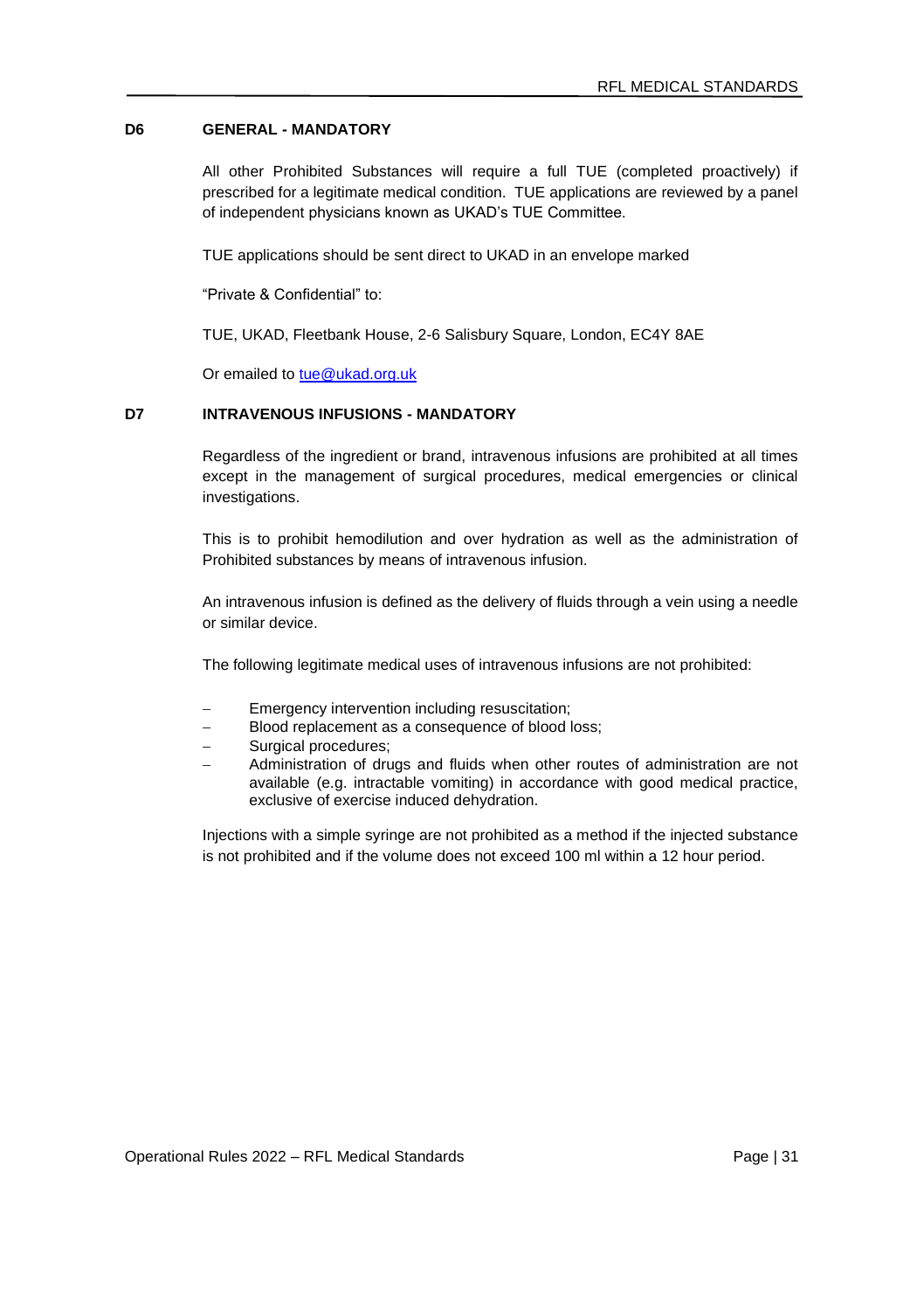# **D6 GENERAL - MANDATORY**

All other Prohibited Substances will require a full TUE (completed proactively) if prescribed for a legitimate medical condition. TUE applications are reviewed by a panel of independent physicians known as UKAD's TUE Committee.

TUE applications should be sent direct to UKAD in an envelope marked

"Private & Confidential" to:

TUE, UKAD, Fleetbank House, 2-6 Salisbury Square, London, EC4Y 8AE

Or emailed to [tue@ukad.org.uk](mailto:tue@ukad.org.uk)

# **D7 INTRAVENOUS INFUSIONS - MANDATORY**

Regardless of the ingredient or brand, intravenous infusions are prohibited at all times except in the management of surgical procedures, medical emergencies or clinical investigations.

This is to prohibit hemodilution and over hydration as well as the administration of Prohibited substances by means of intravenous infusion.

An intravenous infusion is defined as the delivery of fluids through a vein using a needle or similar device.

The following legitimate medical uses of intravenous infusions are not prohibited:

- Emergency intervention including resuscitation;
- Blood replacement as a consequence of blood loss;
- Surgical procedures:
- Administration of drugs and fluids when other routes of administration are not available (e.g. intractable vomiting) in accordance with good medical practice, exclusive of exercise induced dehydration.

Injections with a simple syringe are not prohibited as a method if the injected substance is not prohibited and if the volume does not exceed 100 ml within a 12 hour period.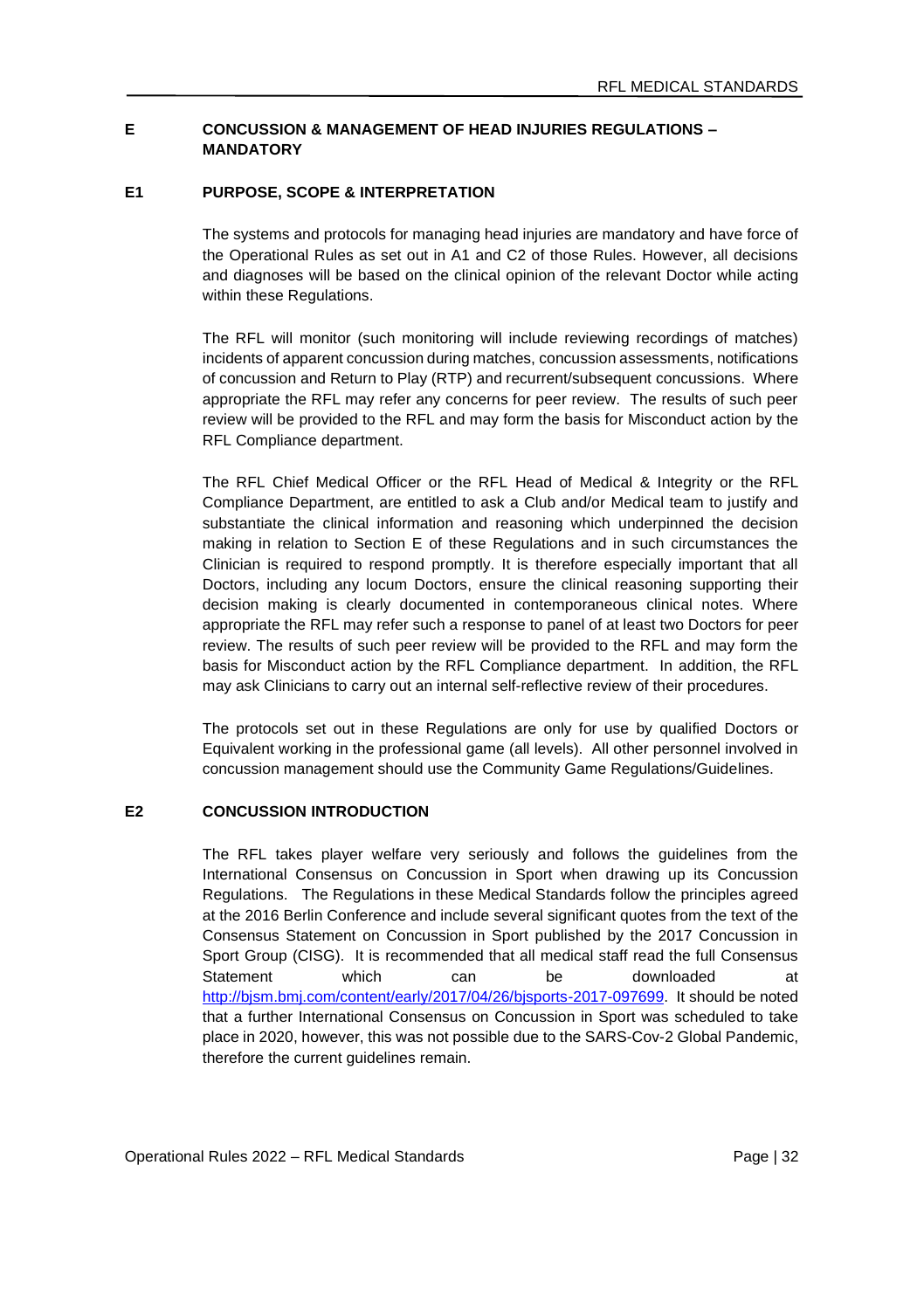### **E CONCUSSION & MANAGEMENT OF HEAD INJURIES REGULATIONS – MANDATORY**

### **E1 PURPOSE, SCOPE & INTERPRETATION**

The systems and protocols for managing head injuries are mandatory and have force of the Operational Rules as set out in A1 and C2 of those Rules. However, all decisions and diagnoses will be based on the clinical opinion of the relevant Doctor while acting within these Regulations.

The RFL will monitor (such monitoring will include reviewing recordings of matches) incidents of apparent concussion during matches, concussion assessments, notifications of concussion and Return to Play (RTP) and recurrent/subsequent concussions. Where appropriate the RFL may refer any concerns for peer review. The results of such peer review will be provided to the RFL and may form the basis for Misconduct action by the RFL Compliance department.

The RFL Chief Medical Officer or the RFL Head of Medical & Integrity or the RFL Compliance Department, are entitled to ask a Club and/or Medical team to justify and substantiate the clinical information and reasoning which underpinned the decision making in relation to Section E of these Regulations and in such circumstances the Clinician is required to respond promptly. It is therefore especially important that all Doctors, including any locum Doctors, ensure the clinical reasoning supporting their decision making is clearly documented in contemporaneous clinical notes. Where appropriate the RFL may refer such a response to panel of at least two Doctors for peer review. The results of such peer review will be provided to the RFL and may form the basis for Misconduct action by the RFL Compliance department. In addition, the RFL may ask Clinicians to carry out an internal self-reflective review of their procedures.

The protocols set out in these Regulations are only for use by qualified Doctors or Equivalent working in the professional game (all levels). All other personnel involved in concussion management should use the Community Game Regulations/Guidelines.

# **E2 CONCUSSION INTRODUCTION**

The RFL takes player welfare very seriously and follows the guidelines from the International Consensus on Concussion in Sport when drawing up its Concussion Regulations. The Regulations in these Medical Standards follow the principles agreed at the 2016 Berlin Conference and include several significant quotes from the text of the Consensus Statement on Concussion in Sport published by the 2017 Concussion in Sport Group (CISG). It is recommended that all medical staff read the full Consensus Statement which can be downloaded at [http://bjsm.bmj.com/content/early/2017/04/26/bjsports-2017-097699.](http://bjsm.bmj.com/content/early/2017/04/26/bjsports-2017-097699) It should be noted that a further International Consensus on Concussion in Sport was scheduled to take place in 2020, however, this was not possible due to the SARS-Cov-2 Global Pandemic, therefore the current guidelines remain.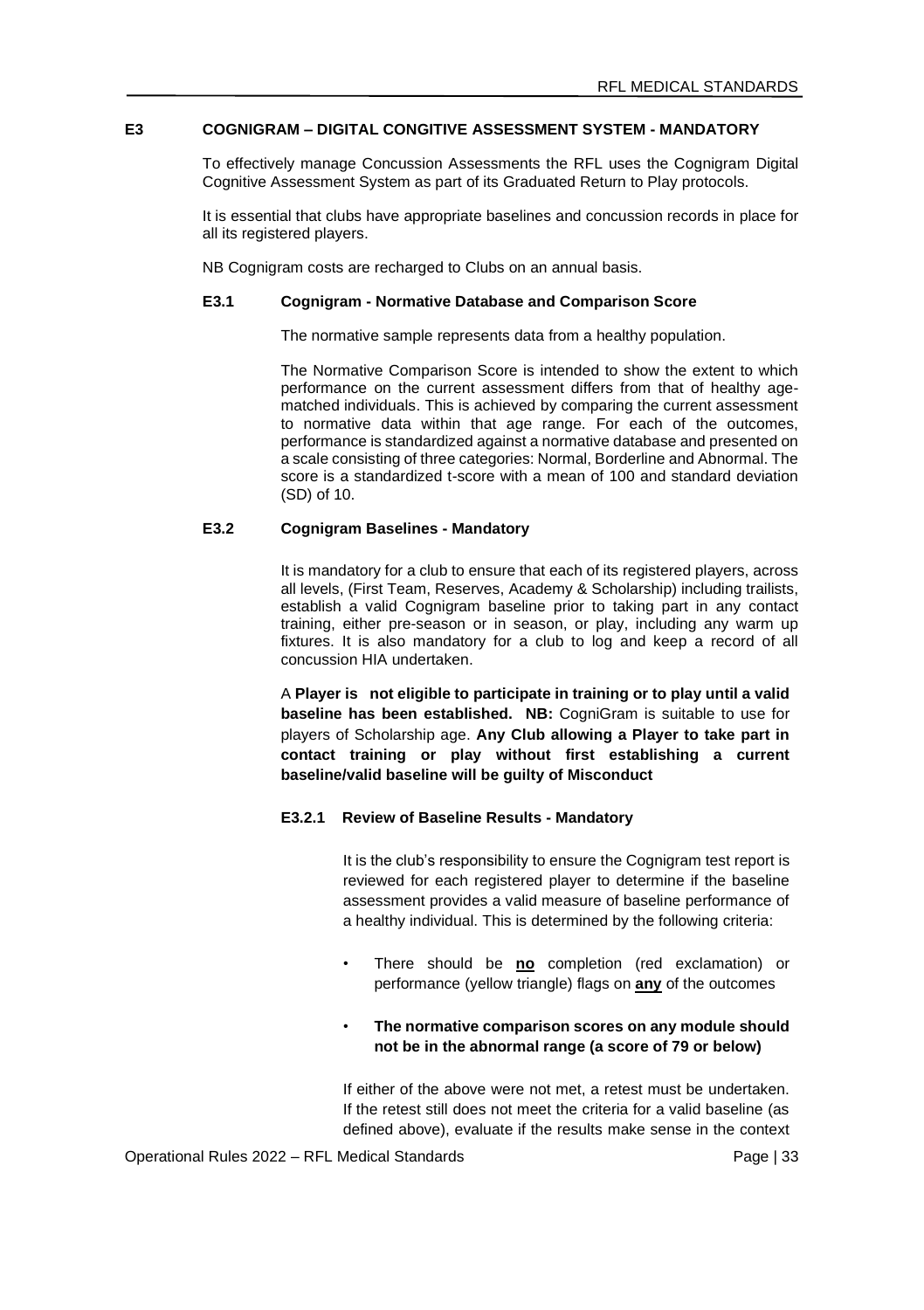#### **E3 COGNIGRAM – DIGITAL CONGITIVE ASSESSMENT SYSTEM - MANDATORY**

To effectively manage Concussion Assessments the RFL uses the Cognigram Digital Cognitive Assessment System as part of its Graduated Return to Play protocols.

It is essential that clubs have appropriate baselines and concussion records in place for all its registered players.

NB Cognigram costs are recharged to Clubs on an annual basis.

#### **E3.1 Cognigram - Normative Database and Comparison Score**

The normative sample represents data from a healthy population.

The Normative Comparison Score is intended to show the extent to which performance on the current assessment differs from that of healthy agematched individuals. This is achieved by comparing the current assessment to normative data within that age range. For each of the outcomes, performance is standardized against a normative database and presented on a scale consisting of three categories: Normal, Borderline and Abnormal. The score is a standardized t-score with a mean of 100 and standard deviation (SD) of 10.

### **E3.2 Cognigram Baselines - Mandatory**

It is mandatory for a club to ensure that each of its registered players, across all levels, (First Team, Reserves, Academy & Scholarship) including trailists, establish a valid Cognigram baseline prior to taking part in any contact training, either pre-season or in season, or play, including any warm up fixtures. It is also mandatory for a club to log and keep a record of all concussion HIA undertaken.

A **Player is not eligible to participate in training or to play until a valid baseline has been established. NB:** CogniGram is suitable to use for players of Scholarship age. **Any Club allowing a Player to take part in contact training or play without first establishing a current baseline/valid baseline will be guilty of Misconduct**

### **E3.2.1 Review of Baseline Results - Mandatory**

It is the club's responsibility to ensure the Cognigram test report is reviewed for each registered player to determine if the baseline assessment provides a valid measure of baseline performance of a healthy individual. This is determined by the following criteria:

• There should be **no** completion (red exclamation) or performance (yellow triangle) flags on **any** of the outcomes

### • **The normative comparison scores on any module should not be in the abnormal range (a score of 79 or below)**

If either of the above were not met, a retest must be undertaken. If the retest still does not meet the criteria for a valid baseline (as defined above), evaluate if the results make sense in the context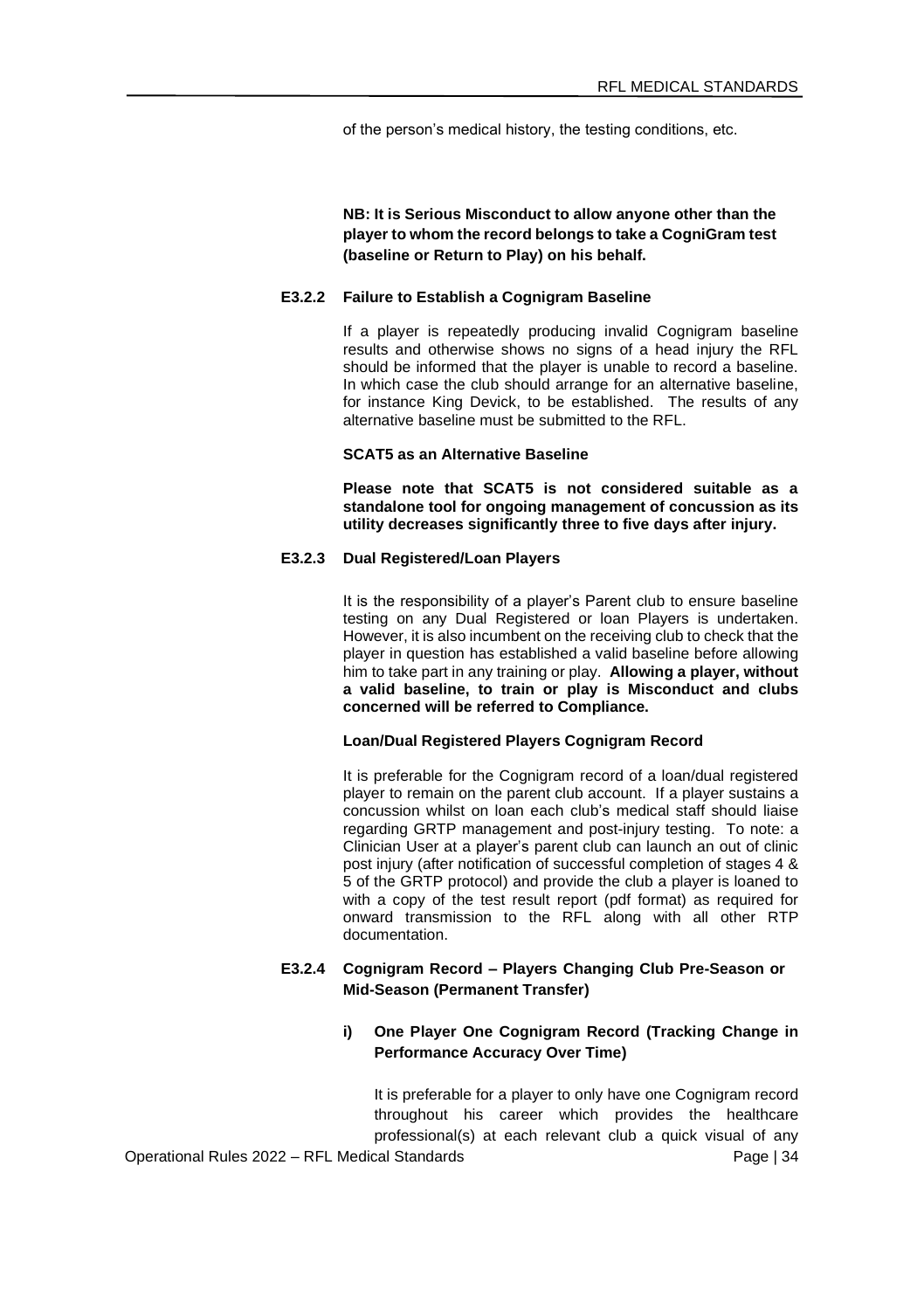of the person's medical history, the testing conditions, etc.

**NB: It is Serious Misconduct to allow anyone other than the player to whom the record belongs to take a CogniGram test (baseline or Return to Play) on his behalf.** 

#### **E3.2.2 Failure to Establish a Cognigram Baseline**

If a player is repeatedly producing invalid Cognigram baseline results and otherwise shows no signs of a head injury the RFL should be informed that the player is unable to record a baseline. In which case the club should arrange for an alternative baseline for instance King Devick, to be established. The results of any alternative baseline must be submitted to the RFL.

#### **SCAT5 as an Alternative Baseline**

**Please note that SCAT5 is not considered suitable as a standalone tool for ongoing management of concussion as its utility decreases significantly three to five days after injury.** 

#### **E3.2.3 Dual Registered/Loan Players**

It is the responsibility of a player's Parent club to ensure baseline testing on any Dual Registered or loan Players is undertaken. However, it is also incumbent on the receiving club to check that the player in question has established a valid baseline before allowing him to take part in any training or play. **Allowing a player, without a valid baseline, to train or play is Misconduct and clubs concerned will be referred to Compliance.** 

### **Loan/Dual Registered Players Cognigram Record**

It is preferable for the Cognigram record of a loan/dual registered player to remain on the parent club account. If a player sustains a concussion whilst on loan each club's medical staff should liaise regarding GRTP management and post-injury testing. To note: a Clinician User at a player's parent club can launch an out of clinic post injury (after notification of successful completion of stages 4 & 5 of the GRTP protocol) and provide the club a player is loaned to with a copy of the test result report (pdf format) as required for onward transmission to the RFL along with all other RTP documentation.

### **E3.2.4 Cognigram Record – Players Changing Club Pre-Season or Mid-Season (Permanent Transfer)**

### **i) One Player One Cognigram Record (Tracking Change in Performance Accuracy Over Time)**

Operational Rules 2022 – RFL Medical Standards Page | 34 It is preferable for a player to only have one Cognigram record throughout his career which provides the healthcare professional(s) at each relevant club a quick visual of any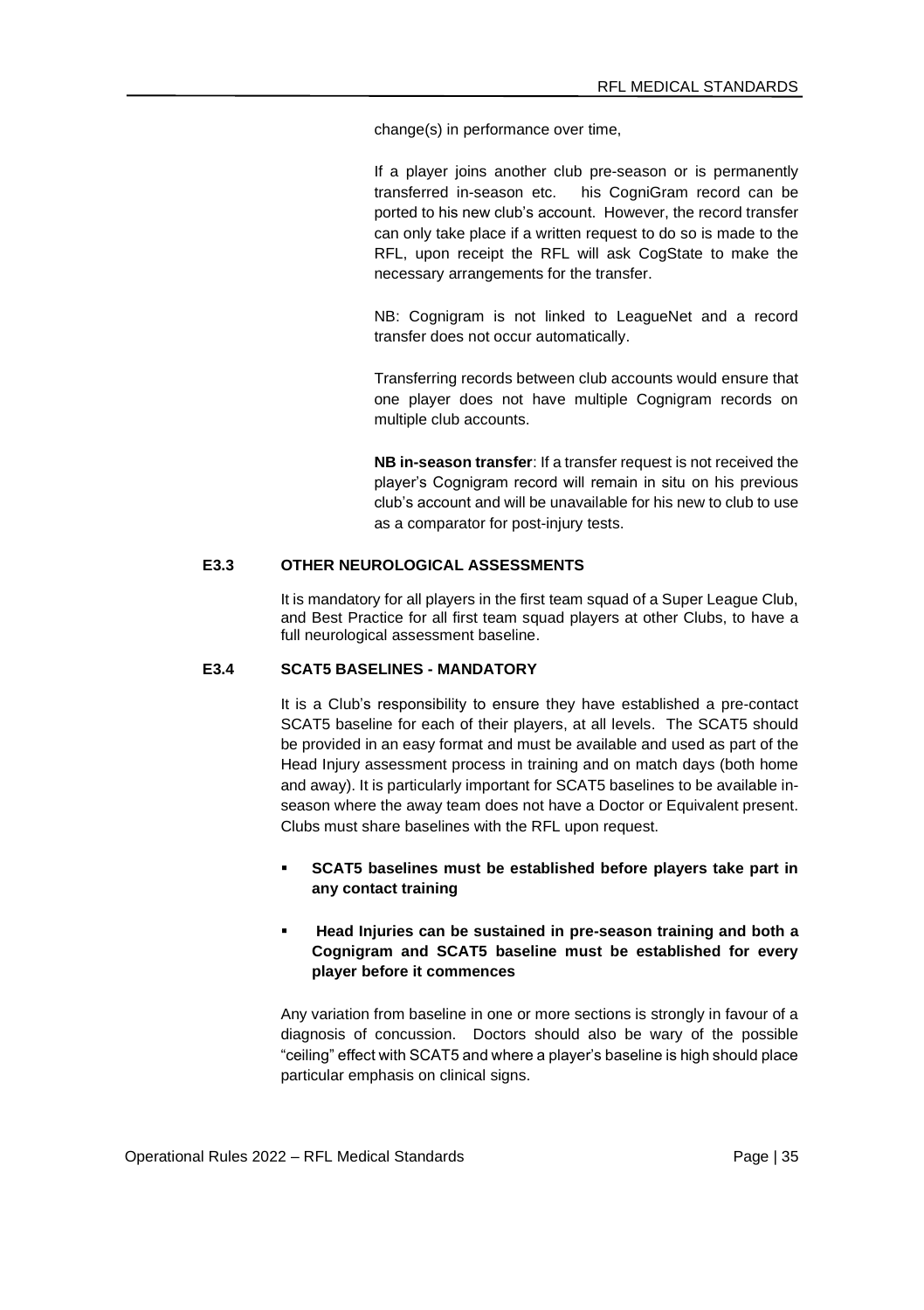change(s) in performance over time,

If a player joins another club pre-season or is permanently transferred in-season etc. his CogniGram record can be ported to his new club's account. However, the record transfer can only take place if a written request to do so is made to the RFL, upon receipt the RFL will ask CogState to make the necessary arrangements for the transfer.

NB: Cognigram is not linked to LeagueNet and a record transfer does not occur automatically.

Transferring records between club accounts would ensure that one player does not have multiple Cognigram records on multiple club accounts.

**NB in-season transfer**: If a transfer request is not received the player's Cognigram record will remain in situ on his previous club's account and will be unavailable for his new to club to use as a comparator for post-injury tests.

#### **E3.3 OTHER NEUROLOGICAL ASSESSMENTS**

It is mandatory for all players in the first team squad of a Super League Club, and Best Practice for all first team squad players at other Clubs, to have a full neurological assessment baseline.

# **E3.4 SCAT5 BASELINES - MANDATORY**

It is a Club's responsibility to ensure they have established a pre-contact SCAT5 baseline for each of their players, at all levels. The SCAT5 should be provided in an easy format and must be available and used as part of the Head Injury assessment process in training and on match days (both home and away). It is particularly important for SCAT5 baselines to be available inseason where the away team does not have a Doctor or Equivalent present. Clubs must share baselines with the RFL upon request.

SCAT5 baselines must be established before players take part in **any contact training**

### ▪ **Head Injuries can be sustained in pre-season training and both a Cognigram and SCAT5 baseline must be established for every player before it commences**

Any variation from baseline in one or more sections is strongly in favour of a diagnosis of concussion. Doctors should also be wary of the possible "ceiling" effect with SCAT5 and where a player's baseline is high should place particular emphasis on clinical signs.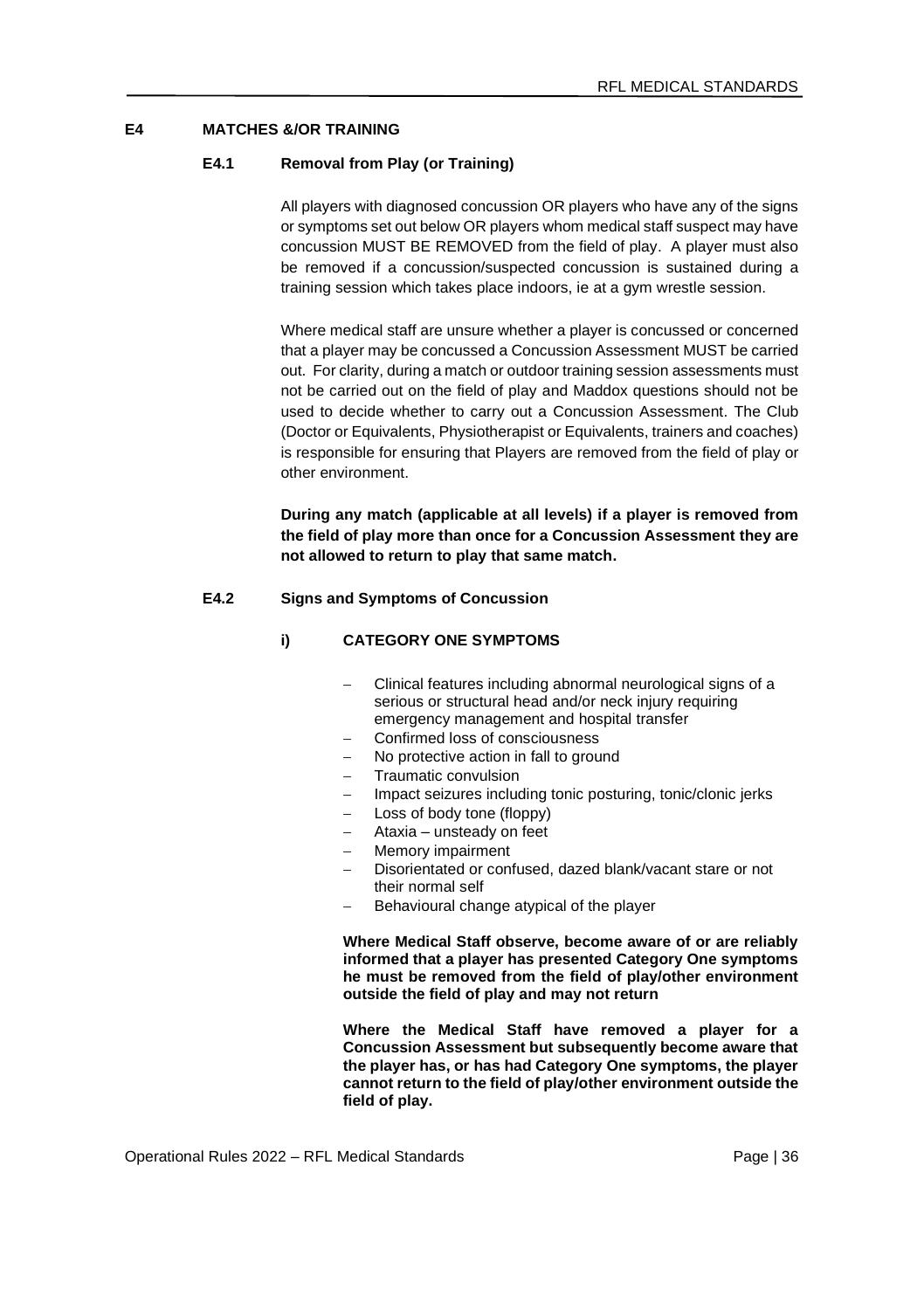# **E4 MATCHES &/OR TRAINING**

### **E4.1 Removal from Play (or Training)**

All players with diagnosed concussion OR players who have any of the signs or symptoms set out below OR players whom medical staff suspect may have concussion MUST BE REMOVED from the field of play. A player must also be removed if a concussion/suspected concussion is sustained during a training session which takes place indoors, ie at a gym wrestle session.

Where medical staff are unsure whether a player is concussed or concerned that a player may be concussed a Concussion Assessment MUST be carried out. For clarity, during a match or outdoor training session assessments must not be carried out on the field of play and Maddox questions should not be used to decide whether to carry out a Concussion Assessment. The Club (Doctor or Equivalents, Physiotherapist or Equivalents, trainers and coaches) is responsible for ensuring that Players are removed from the field of play or other environment.

**During any match (applicable at all levels) if a player is removed from the field of play more than once for a Concussion Assessment they are not allowed to return to play that same match.**

#### **E4.2 Signs and Symptoms of Concussion**

#### **i) CATEGORY ONE SYMPTOMS**

- − Clinical features including abnormal neurological signs of a serious or structural head and/or neck injury requiring emergency management and hospital transfer
- − Confirmed loss of consciousness
- − No protective action in fall to ground
- − Traumatic convulsion
- Impact seizures including tonic posturing, tonic/clonic jerks
- − Loss of body tone (floppy)
- − Ataxia unsteady on feet
- − Memory impairment
- − Disorientated or confused, dazed blank/vacant stare or not their normal self
- − Behavioural change atypical of the player

**Where Medical Staff observe, become aware of or are reliably informed that a player has presented Category One symptoms he must be removed from the field of play/other environment outside the field of play and may not return**

**Where the Medical Staff have removed a player for a Concussion Assessment but subsequently become aware that the player has, or has had Category One symptoms, the player cannot return to the field of play/other environment outside the field of play.**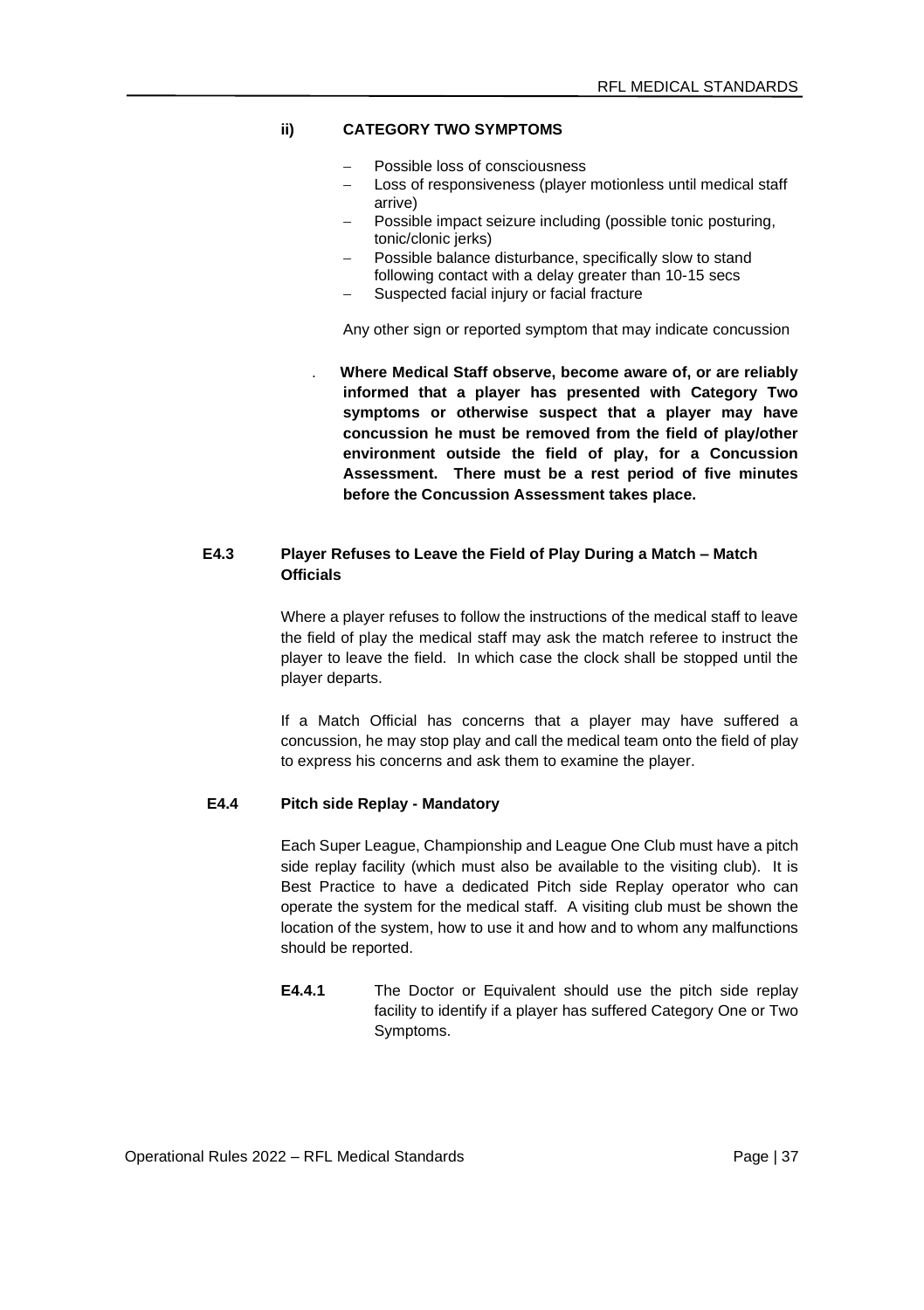### **ii) CATEGORY TWO SYMPTOMS**

- − Possible loss of consciousness
- Loss of responsiveness (player motionless until medical staff arrive)
- − Possible impact seizure including (possible tonic posturing, tonic/clonic jerks)
- − Possible balance disturbance, specifically slow to stand following contact with a delay greater than 10-15 secs
- Suspected facial injury or facial fracture

Any other sign or reported symptom that may indicate concussion

. **Where Medical Staff observe, become aware of, or are reliably informed that a player has presented with Category Two symptoms or otherwise suspect that a player may have concussion he must be removed from the field of play/other environment outside the field of play, for a Concussion Assessment. There must be a rest period of five minutes before the Concussion Assessment takes place.**

# **E4.3 Player Refuses to Leave the Field of Play During a Match – Match Officials**

Where a player refuses to follow the instructions of the medical staff to leave the field of play the medical staff may ask the match referee to instruct the player to leave the field. In which case the clock shall be stopped until the player departs.

If a Match Official has concerns that a player may have suffered a concussion, he may stop play and call the medical team onto the field of play to express his concerns and ask them to examine the player.

### **E4.4 Pitch side Replay - Mandatory**

Each Super League, Championship and League One Club must have a pitch side replay facility (which must also be available to the visiting club). It is Best Practice to have a dedicated Pitch side Replay operator who can operate the system for the medical staff. A visiting club must be shown the location of the system, how to use it and how and to whom any malfunctions should be reported.

**E4.4.1** The Doctor or Equivalent should use the pitch side replay facility to identify if a player has suffered Category One or Two Symptoms.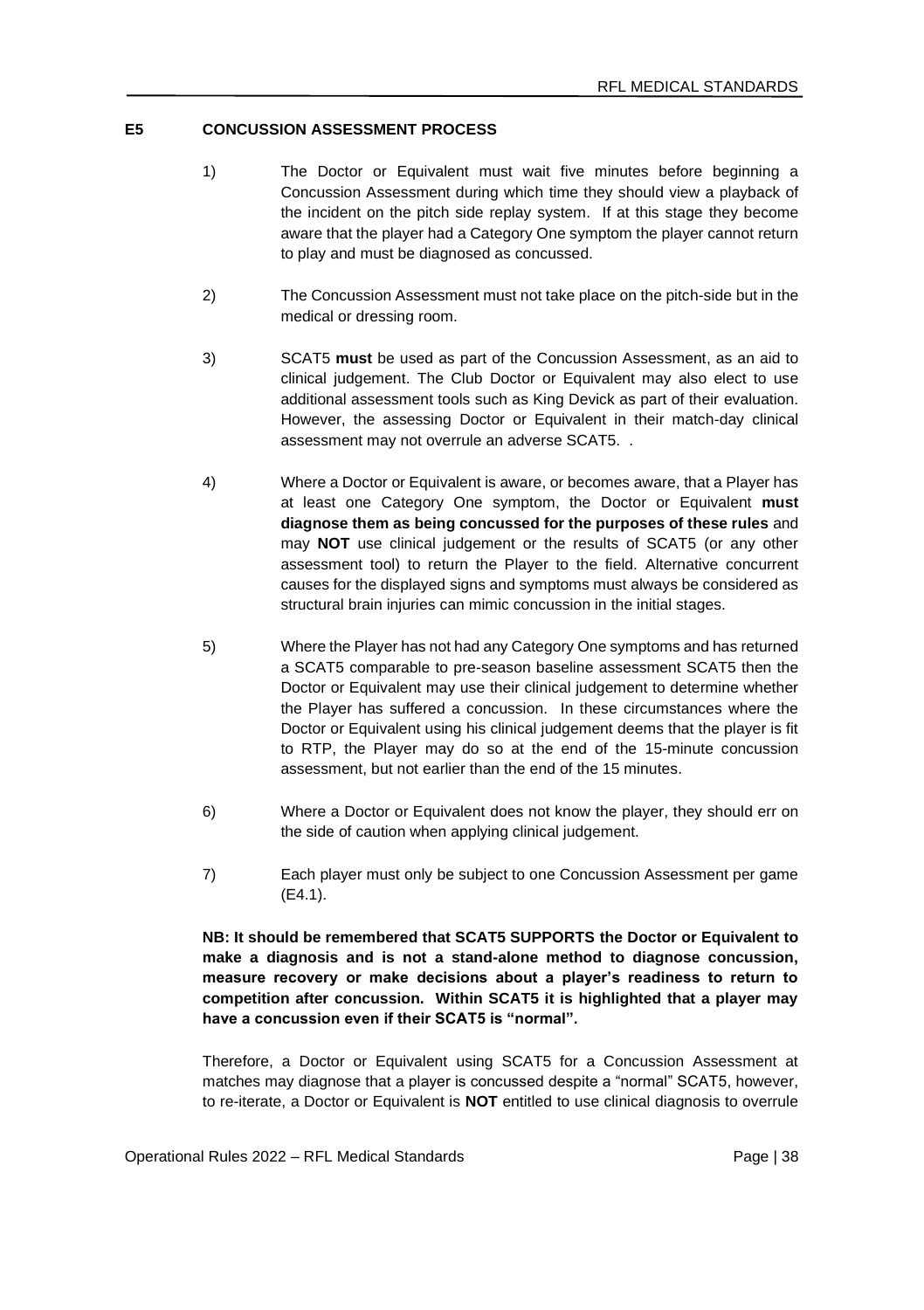### **E5 CONCUSSION ASSESSMENT PROCESS**

- 1) The Doctor or Equivalent must wait five minutes before beginning a Concussion Assessment during which time they should view a playback of the incident on the pitch side replay system. If at this stage they become aware that the player had a Category One symptom the player cannot return to play and must be diagnosed as concussed.
- 2) The Concussion Assessment must not take place on the pitch-side but in the medical or dressing room.
- 3) SCAT5 **must** be used as part of the Concussion Assessment, as an aid to clinical judgement. The Club Doctor or Equivalent may also elect to use additional assessment tools such as King Devick as part of their evaluation. However, the assessing Doctor or Equivalent in their match-day clinical assessment may not overrule an adverse SCAT5. .
- 4) Where a Doctor or Equivalent is aware, or becomes aware, that a Player has at least one Category One symptom, the Doctor or Equivalent **must diagnose them as being concussed for the purposes of these rules** and may **NOT** use clinical judgement or the results of SCAT5 (or any other assessment tool) to return the Player to the field. Alternative concurrent causes for the displayed signs and symptoms must always be considered as structural brain injuries can mimic concussion in the initial stages.
- 5) Where the Player has not had any Category One symptoms and has returned a SCAT5 comparable to pre-season baseline assessment SCAT5 then the Doctor or Equivalent may use their clinical judgement to determine whether the Player has suffered a concussion. In these circumstances where the Doctor or Equivalent using his clinical judgement deems that the player is fit to RTP, the Player may do so at the end of the 15-minute concussion assessment, but not earlier than the end of the 15 minutes.
- 6) Where a Doctor or Equivalent does not know the player, they should err on the side of caution when applying clinical judgement.
- 7) Each player must only be subject to one Concussion Assessment per game (E4.1).

**NB: It should be remembered that SCAT5 SUPPORTS the Doctor or Equivalent to make a diagnosis and is not a stand-alone method to diagnose concussion, measure recovery or make decisions about a player's readiness to return to competition after concussion. Within SCAT5 it is highlighted that a player may have a concussion even if their SCAT5 is "normal".**

Therefore, a Doctor or Equivalent using SCAT5 for a Concussion Assessment at matches may diagnose that a player is concussed despite a "normal" SCAT5, however, to re-iterate, a Doctor or Equivalent is **NOT** entitled to use clinical diagnosis to overrule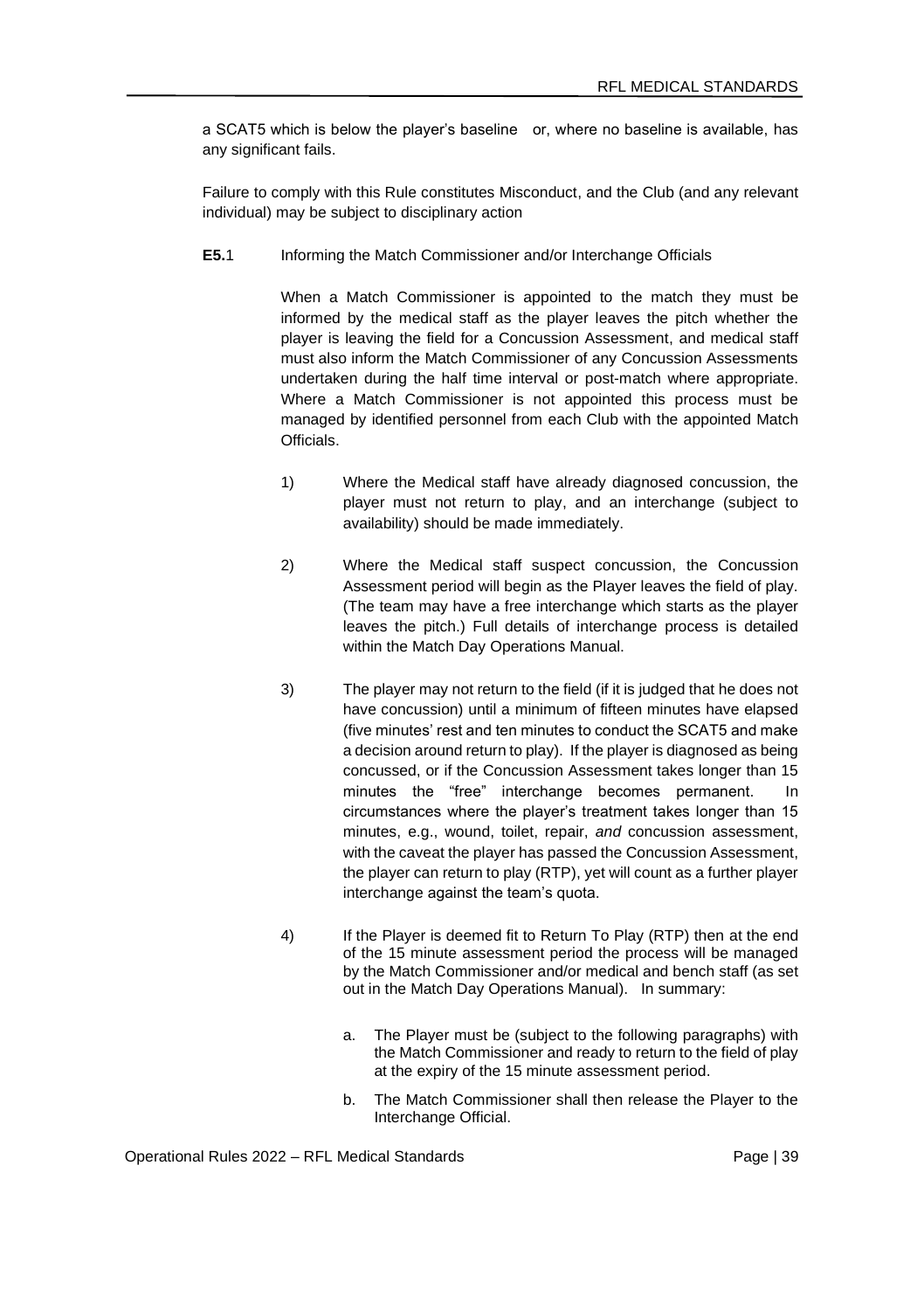a SCAT5 which is below the player's baseline or, where no baseline is available, has any significant fails.

Failure to comply with this Rule constitutes Misconduct, and the Club (and any relevant individual) may be subject to disciplinary action

**E5.**1 Informing the Match Commissioner and/or Interchange Officials

When a Match Commissioner is appointed to the match they must be informed by the medical staff as the player leaves the pitch whether the player is leaving the field for a Concussion Assessment, and medical staff must also inform the Match Commissioner of any Concussion Assessments undertaken during the half time interval or post-match where appropriate. Where a Match Commissioner is not appointed this process must be managed by identified personnel from each Club with the appointed Match Officials.

- 1) Where the Medical staff have already diagnosed concussion, the player must not return to play, and an interchange (subject to availability) should be made immediately.
- 2) Where the Medical staff suspect concussion, the Concussion Assessment period will begin as the Player leaves the field of play. (The team may have a free interchange which starts as the player leaves the pitch.) Full details of interchange process is detailed within the Match Day Operations Manual.
- 3) The player may not return to the field (if it is judged that he does not have concussion) until a minimum of fifteen minutes have elapsed (five minutes' rest and ten minutes to conduct the SCAT5 and make a decision around return to play). If the player is diagnosed as being concussed, or if the Concussion Assessment takes longer than 15 minutes the "free" interchange becomes permanent. In circumstances where the player's treatment takes longer than 15 minutes, e.g., wound, toilet, repair, *and* concussion assessment, with the caveat the player has passed the Concussion Assessment, the player can return to play (RTP), yet will count as a further player interchange against the team's quota.
- 4) If the Player is deemed fit to Return To Play (RTP) then at the end of the 15 minute assessment period the process will be managed by the Match Commissioner and/or medical and bench staff (as set out in the Match Day Operations Manual). In summary:
	- a. The Player must be (subject to the following paragraphs) with the Match Commissioner and ready to return to the field of play at the expiry of the 15 minute assessment period.
	- b. The Match Commissioner shall then release the Player to the Interchange Official.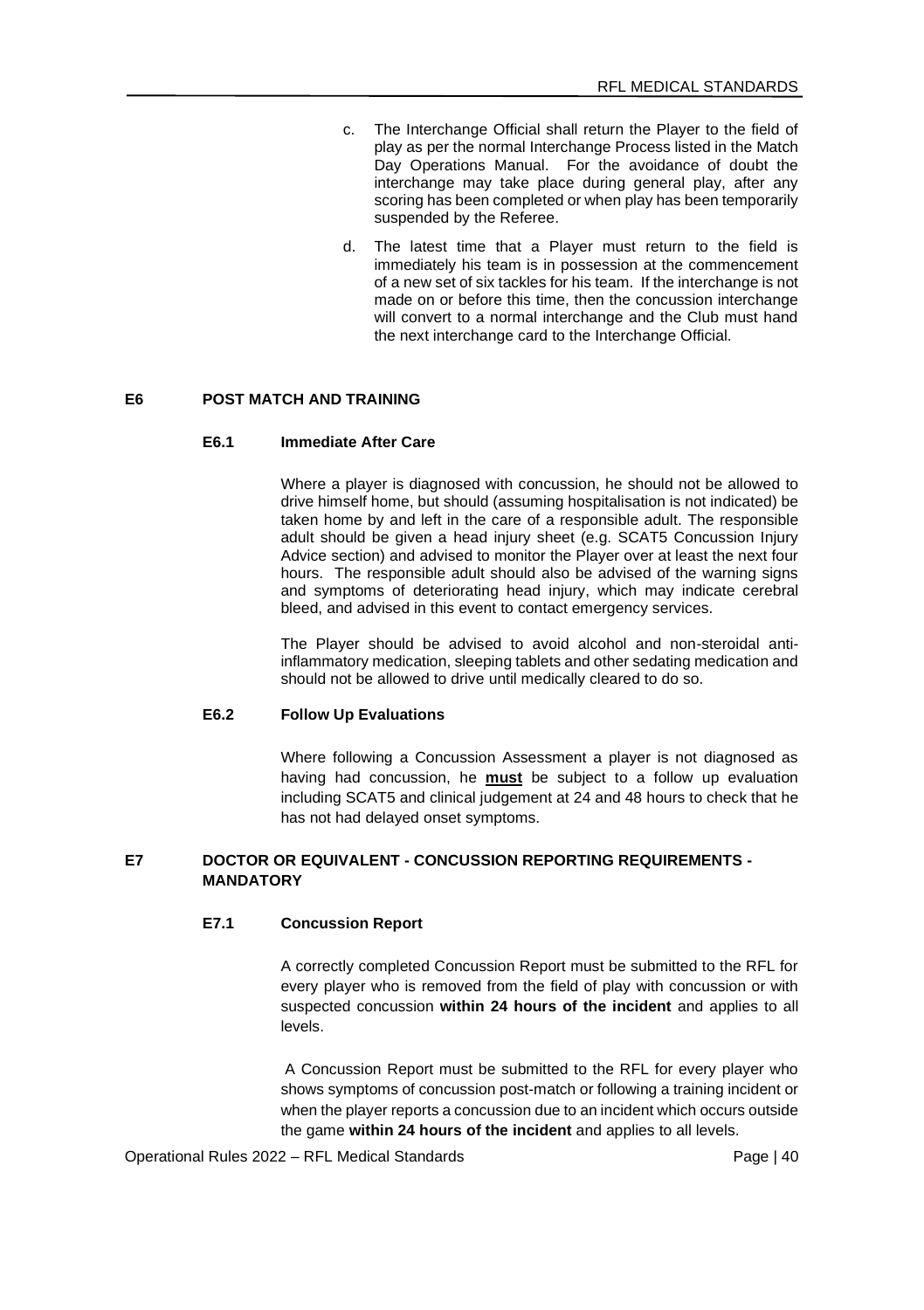- c. The Interchange Official shall return the Player to the field of play as per the normal Interchange Process listed in the Match Day Operations Manual. For the avoidance of doubt the interchange may take place during general play, after any scoring has been completed or when play has been temporarily suspended by the Referee.
- d. The latest time that a Player must return to the field is immediately his team is in possession at the commencement of a new set of six tackles for his team. If the interchange is not made on or before this time, then the concussion interchange will convert to a normal interchange and the Club must hand the next interchange card to the Interchange Official.

# **E6 POST MATCH AND TRAINING**

#### **E6.1 Immediate After Care**

Where a player is diagnosed with concussion, he should not be allowed to drive himself home, but should (assuming hospitalisation is not indicated) be taken home by and left in the care of a responsible adult. The responsible adult should be given a head injury sheet (e.g. SCAT5 Concussion Injury Advice section) and advised to monitor the Player over at least the next four hours. The responsible adult should also be advised of the warning signs and symptoms of deteriorating head injury, which may indicate cerebral bleed, and advised in this event to contact emergency services.

The Player should be advised to avoid alcohol and non-steroidal antiinflammatory medication, sleeping tablets and other sedating medication and should not be allowed to drive until medically cleared to do so.

#### **E6.2 Follow Up Evaluations**

Where following a Concussion Assessment a player is not diagnosed as having had concussion, he **must** be subject to a follow up evaluation including SCAT5 and clinical judgement at 24 and 48 hours to check that he has not had delayed onset symptoms.

### **E7 DOCTOR OR EQUIVALENT - CONCUSSION REPORTING REQUIREMENTS - MANDATORY**

### **E7.1 Concussion Report**

A correctly completed Concussion Report must be submitted to the RFL for every player who is removed from the field of play with concussion or with suspected concussion **within 24 hours of the incident** and applies to all levels.

A Concussion Report must be submitted to the RFL for every player who shows symptoms of concussion post-match or following a training incident or when the player reports a concussion due to an incident which occurs outside the game **within 24 hours of the incident** and applies to all levels.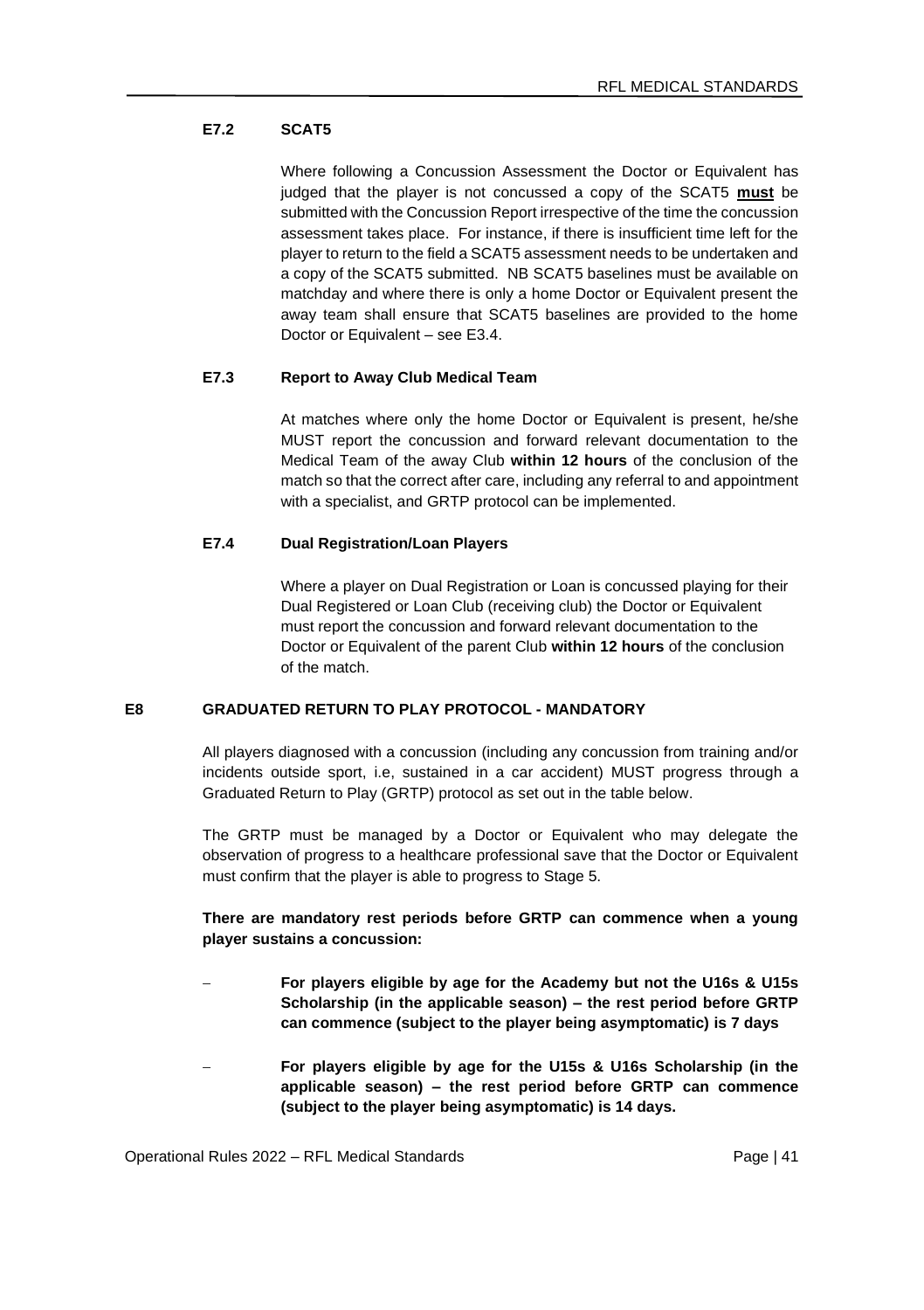# **E7.2 SCAT5**

Where following a Concussion Assessment the Doctor or Equivalent has judged that the player is not concussed a copy of the SCAT5 **must** be submitted with the Concussion Report irrespective of the time the concussion assessment takes place. For instance, if there is insufficient time left for the player to return to the field a SCAT5 assessment needs to be undertaken and a copy of the SCAT5 submitted. NB SCAT5 baselines must be available on matchday and where there is only a home Doctor or Equivalent present the away team shall ensure that SCAT5 baselines are provided to the home Doctor or Equivalent – see E3.4.

### **E7.3 Report to Away Club Medical Team**

At matches where only the home Doctor or Equivalent is present, he/she MUST report the concussion and forward relevant documentation to the Medical Team of the away Club **within 12 hours** of the conclusion of the match so that the correct after care, including any referral to and appointment with a specialist, and GRTP protocol can be implemented.

# **E7.4 Dual Registration/Loan Players**

Where a player on Dual Registration or Loan is concussed playing for their Dual Registered or Loan Club (receiving club) the Doctor or Equivalent must report the concussion and forward relevant documentation to the Doctor or Equivalent of the parent Club **within 12 hours** of the conclusion of the match.

### **E8 GRADUATED RETURN TO PLAY PROTOCOL - MANDATORY**

All players diagnosed with a concussion (including any concussion from training and/or incidents outside sport, i.e, sustained in a car accident) MUST progress through a Graduated Return to Play (GRTP) protocol as set out in the table below.

The GRTP must be managed by a Doctor or Equivalent who may delegate the observation of progress to a healthcare professional save that the Doctor or Equivalent must confirm that the player is able to progress to Stage 5.

### **There are mandatory rest periods before GRTP can commence when a young player sustains a concussion:**

- − **For players eligible by age for the Academy but not the U16s & U15s Scholarship (in the applicable season) – the rest period before GRTP can commence (subject to the player being asymptomatic) is 7 days**
- − **For players eligible by age for the U15s & U16s Scholarship (in the applicable season) – the rest period before GRTP can commence (subject to the player being asymptomatic) is 14 days.**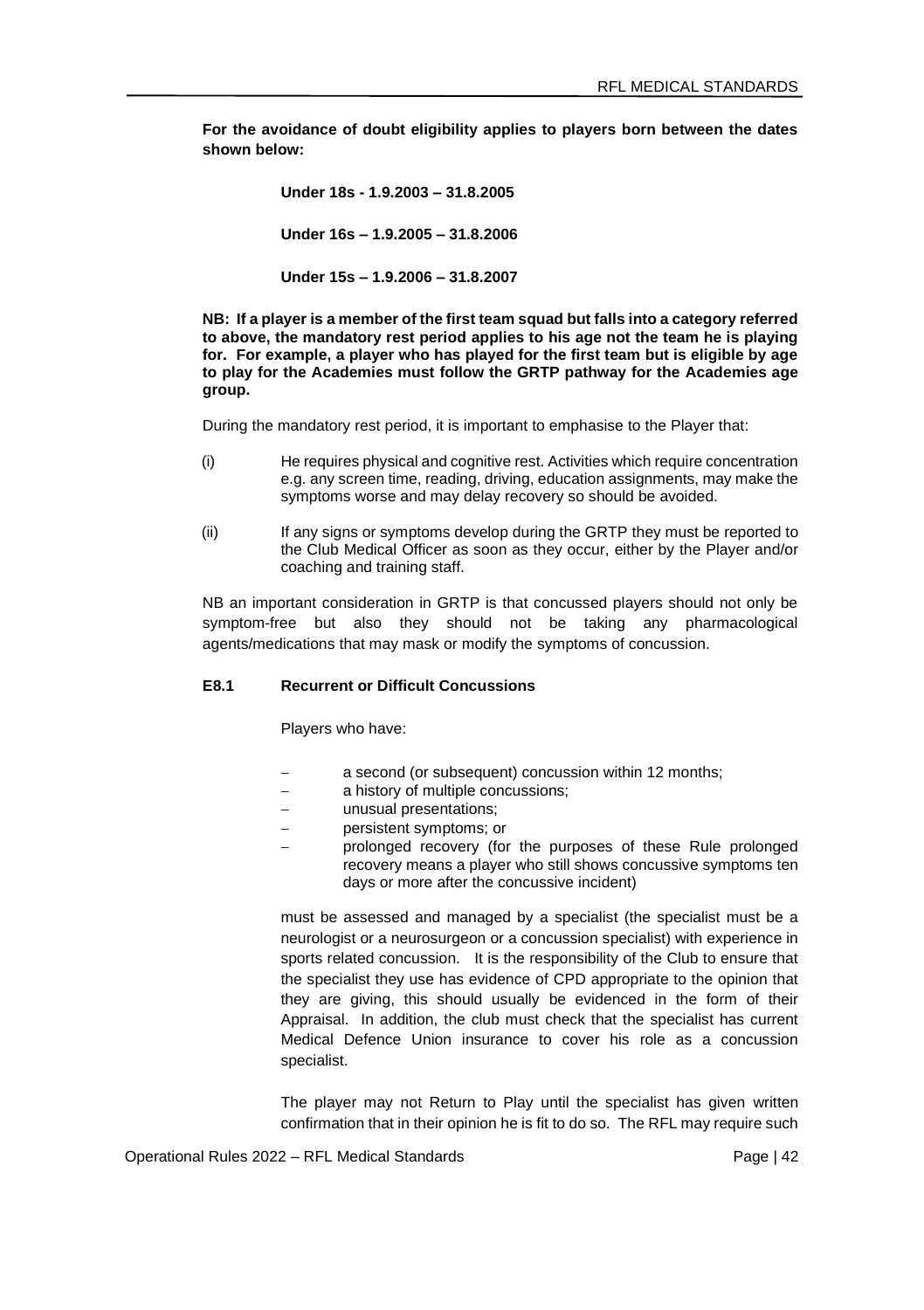**For the avoidance of doubt eligibility applies to players born between the dates shown below:** 

> **Under 18s - 1.9.2003 – 31.8.2005 Under 16s – 1.9.2005 – 31.8.2006 Under 15s – 1.9.2006 – 31.8.2007**

**NB: If a player is a member of the first team squad but falls into a category referred to above, the mandatory rest period applies to his age not the team he is playing for. For example, a player who has played for the first team but is eligible by age to play for the Academies must follow the GRTP pathway for the Academies age group.**

During the mandatory rest period, it is important to emphasise to the Player that:

- (i) He requires physical and cognitive rest. Activities which require concentration e.g. any screen time, reading, driving, education assignments, may make the symptoms worse and may delay recovery so should be avoided.
- (ii) If any signs or symptoms develop during the GRTP they must be reported to the Club Medical Officer as soon as they occur, either by the Player and/or coaching and training staff.

NB an important consideration in GRTP is that concussed players should not only be symptom-free but also they should not be taking any pharmacological agents/medications that may mask or modify the symptoms of concussion.

#### **E8.1 Recurrent or Difficult Concussions**

Players who have:

- a second (or subsequent) concussion within 12 months;
- a history of multiple concussions:
- − unusual presentations;
- − persistent symptoms; or
- prolonged recovery (for the purposes of these Rule prolonged recovery means a player who still shows concussive symptoms ten days or more after the concussive incident)

must be assessed and managed by a specialist (the specialist must be a neurologist or a neurosurgeon or a concussion specialist) with experience in sports related concussion. It is the responsibility of the Club to ensure that the specialist they use has evidence of CPD appropriate to the opinion that they are giving, this should usually be evidenced in the form of their Appraisal. In addition, the club must check that the specialist has current Medical Defence Union insurance to cover his role as a concussion specialist.

The player may not Return to Play until the specialist has given written confirmation that in their opinion he is fit to do so. The RFL may require such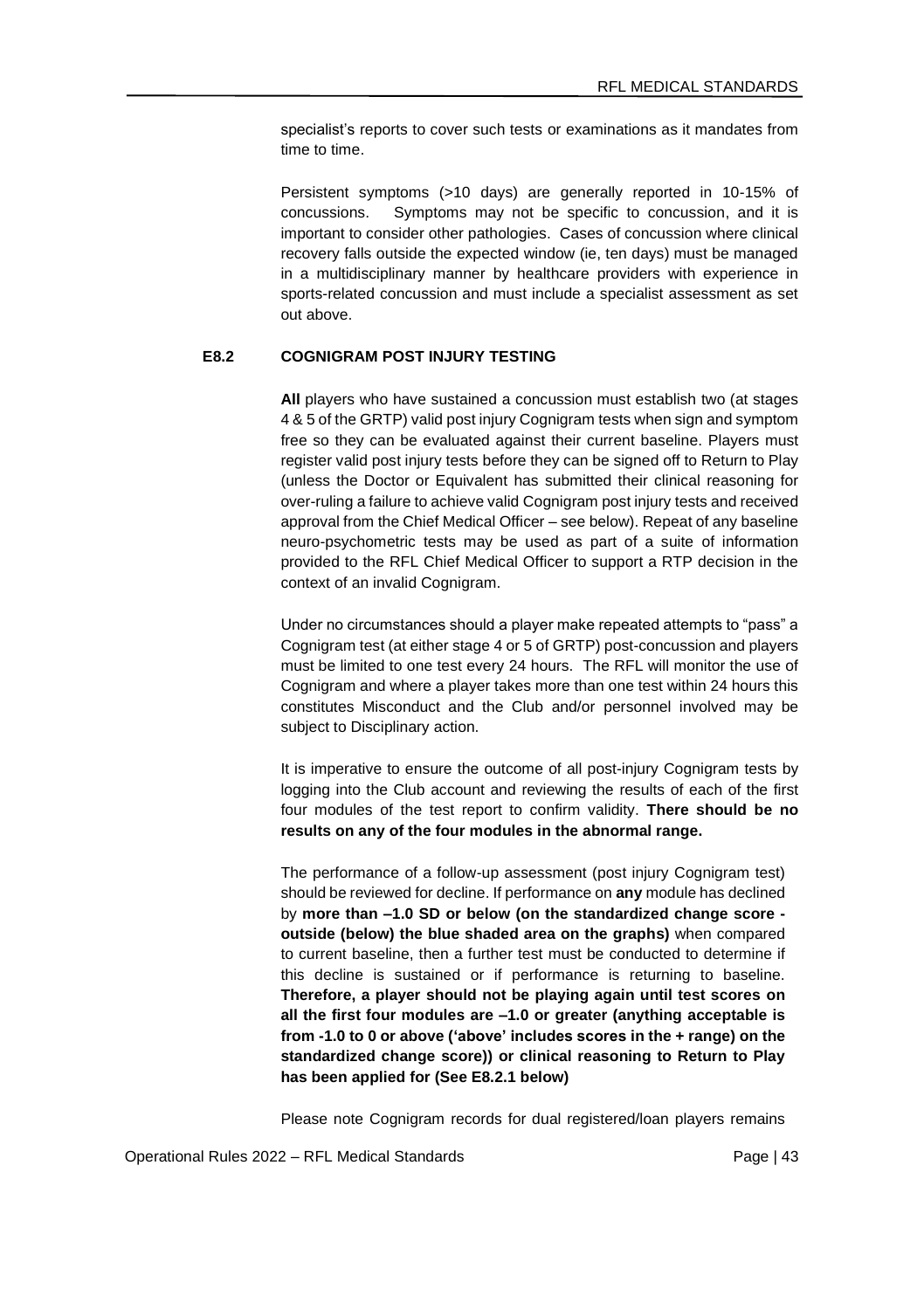specialist's reports to cover such tests or examinations as it mandates from time to time.

Persistent symptoms (>10 days) are generally reported in 10-15% of concussions. Symptoms may not be specific to concussion, and it is important to consider other pathologies. Cases of concussion where clinical recovery falls outside the expected window (ie, ten days) must be managed in a multidisciplinary manner by healthcare providers with experience in sports-related concussion and must include a specialist assessment as set out above.

### **E8.2 COGNIGRAM POST INJURY TESTING**

**All** players who have sustained a concussion must establish two (at stages 4 & 5 of the GRTP) valid post injury Cognigram tests when sign and symptom free so they can be evaluated against their current baseline. Players must register valid post injury tests before they can be signed off to Return to Play (unless the Doctor or Equivalent has submitted their clinical reasoning for over-ruling a failure to achieve valid Cognigram post injury tests and received approval from the Chief Medical Officer – see below). Repeat of any baseline neuro-psychometric tests may be used as part of a suite of information provided to the RFL Chief Medical Officer to support a RTP decision in the context of an invalid Cognigram.

Under no circumstances should a player make repeated attempts to "pass" a Cognigram test (at either stage 4 or 5 of GRTP) post-concussion and players must be limited to one test every 24 hours. The RFL will monitor the use of Cognigram and where a player takes more than one test within 24 hours this constitutes Misconduct and the Club and/or personnel involved may be subject to Disciplinary action.

It is imperative to ensure the outcome of all post-injury Cognigram tests by logging into the Club account and reviewing the results of each of the first four modules of the test report to confirm validity. **There should be no results on any of the four modules in the abnormal range.**

The performance of a follow-up assessment (post injury Cognigram test) should be reviewed for decline. If performance on **any** module has declined by **more than –1.0 SD or below (on the standardized change score outside (below) the blue shaded area on the graphs)** when compared to current baseline, then a further test must be conducted to determine if this decline is sustained or if performance is returning to baseline. **Therefore, a player should not be playing again until test scores on all the first four modules are –1.0 or greater (anything acceptable is from -1.0 to 0 or above ('above' includes scores in the + range) on the standardized change score)) or clinical reasoning to Return to Play has been applied for (See E8.2.1 below)**

Please note Cognigram records for dual registered/loan players remains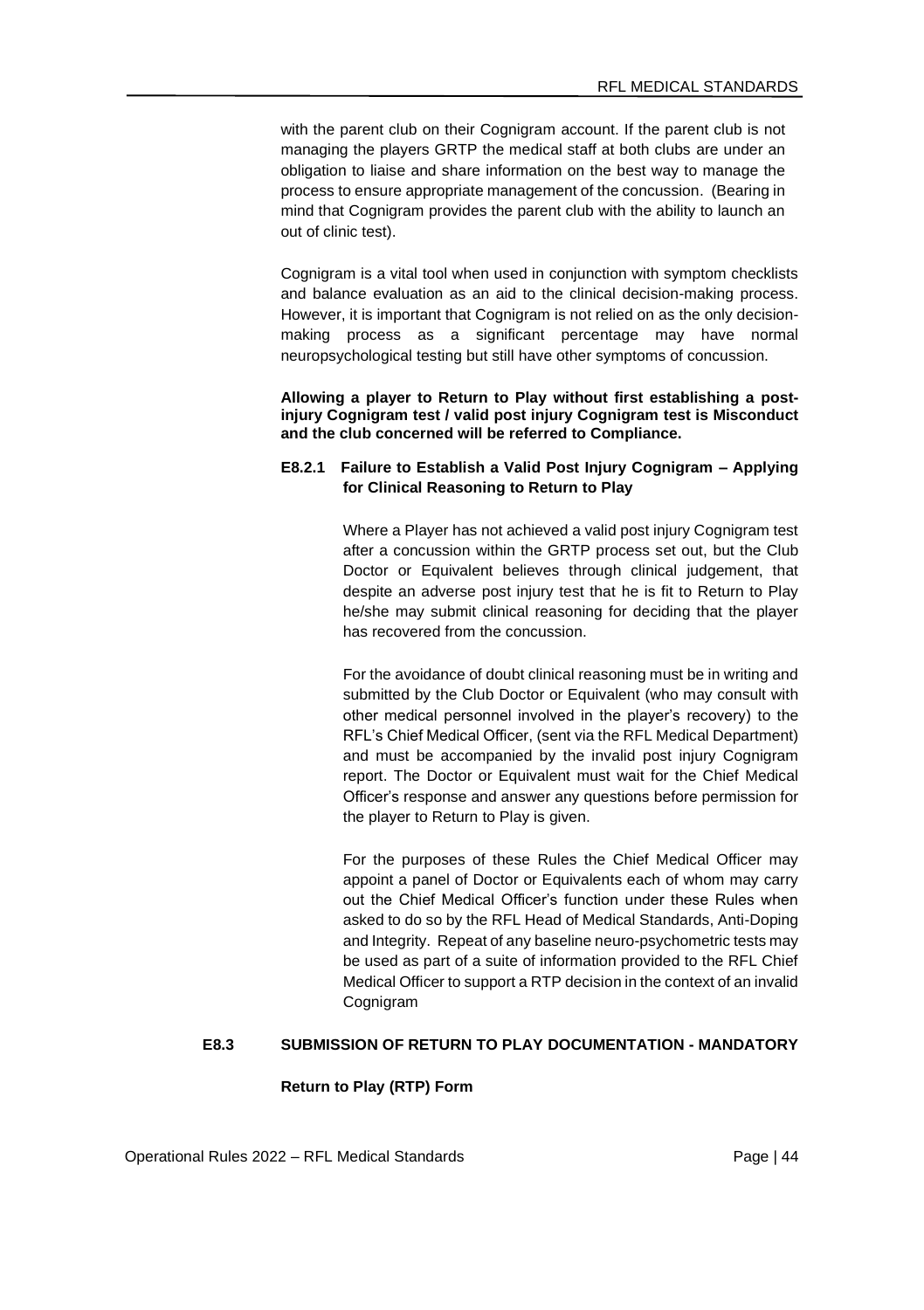with the parent club on their Cognigram account. If the parent club is not managing the players GRTP the medical staff at both clubs are under an obligation to liaise and share information on the best way to manage the process to ensure appropriate management of the concussion. (Bearing in mind that Cognigram provides the parent club with the ability to launch an out of clinic test).

Cognigram is a vital tool when used in conjunction with symptom checklists and balance evaluation as an aid to the clinical decision-making process. However, it is important that Cognigram is not relied on as the only decisionmaking process as a significant percentage may have normal neuropsychological testing but still have other symptoms of concussion.

**Allowing a player to Return to Play without first establishing a postinjury Cognigram test / valid post injury Cognigram test is Misconduct and the club concerned will be referred to Compliance.**

### **E8.2.1 Failure to Establish a Valid Post Injury Cognigram – Applying for Clinical Reasoning to Return to Play**

Where a Player has not achieved a valid post injury Cognigram test after a concussion within the GRTP process set out, but the Club Doctor or Equivalent believes through clinical judgement, that despite an adverse post injury test that he is fit to Return to Play he/she may submit clinical reasoning for deciding that the player has recovered from the concussion.

For the avoidance of doubt clinical reasoning must be in writing and submitted by the Club Doctor or Equivalent (who may consult with other medical personnel involved in the player's recovery) to the RFL's Chief Medical Officer, (sent via the RFL Medical Department) and must be accompanied by the invalid post injury Cognigram report. The Doctor or Equivalent must wait for the Chief Medical Officer's response and answer any questions before permission for the player to Return to Play is given.

For the purposes of these Rules the Chief Medical Officer may appoint a panel of Doctor or Equivalents each of whom may carry out the Chief Medical Officer's function under these Rules when asked to do so by the RFL Head of Medical Standards, Anti-Doping and Integrity. Repeat of any baseline neuro-psychometric tests may be used as part of a suite of information provided to the RFL Chief Medical Officer to support a RTP decision in the context of an invalid Cognigram

#### **E8.3 SUBMISSION OF RETURN TO PLAY DOCUMENTATION - MANDATORY**

#### **Return to Play (RTP) Form**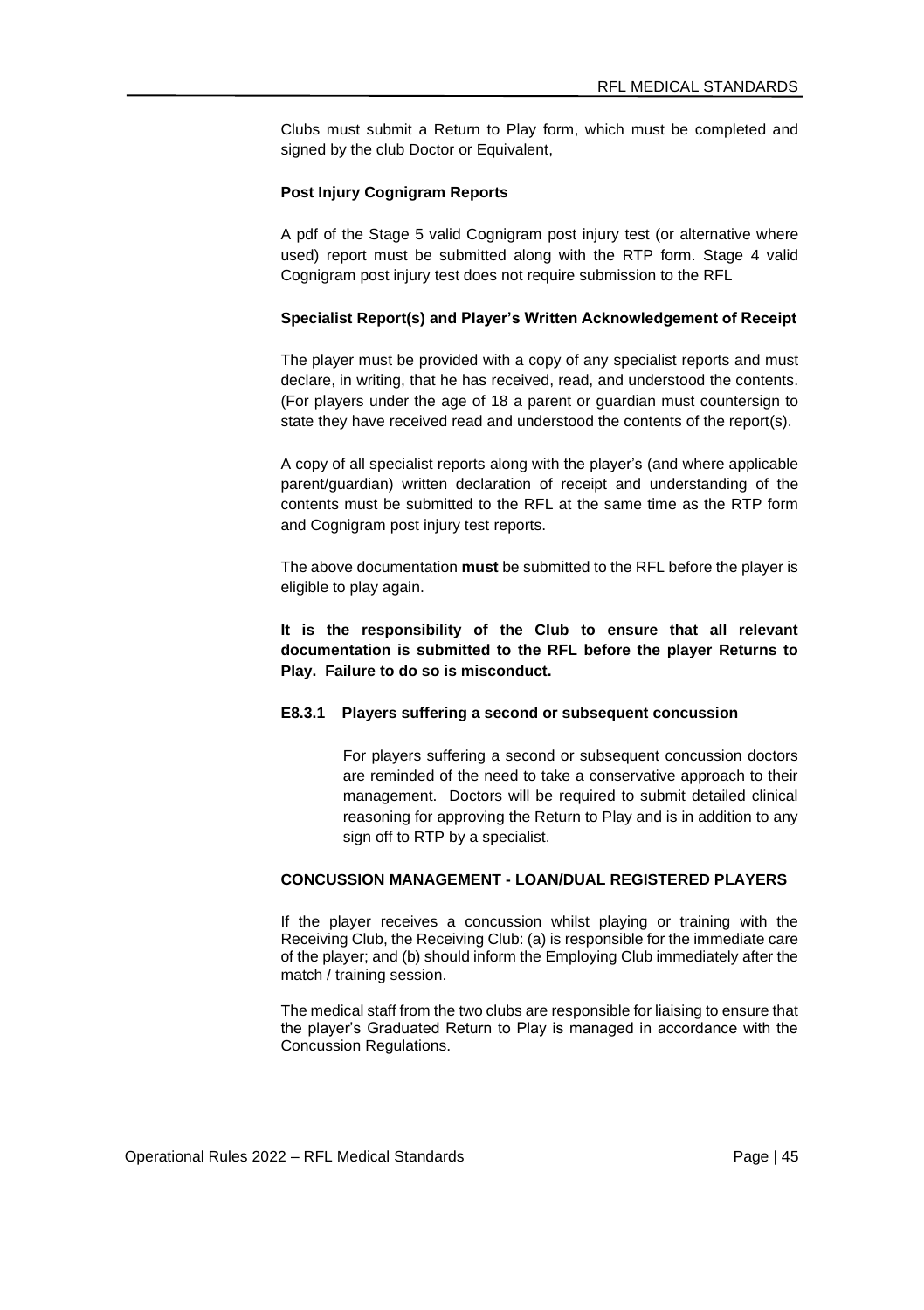Clubs must submit a Return to Play form, which must be completed and signed by the club Doctor or Equivalent,

#### **Post Injury Cognigram Reports**

A pdf of the Stage 5 valid Cognigram post injury test (or alternative where used) report must be submitted along with the RTP form. Stage 4 valid Cognigram post injury test does not require submission to the RFL

### **Specialist Report(s) and Player's Written Acknowledgement of Receipt**

The player must be provided with a copy of any specialist reports and must declare, in writing, that he has received, read, and understood the contents. (For players under the age of 18 a parent or guardian must countersign to state they have received read and understood the contents of the report(s).

A copy of all specialist reports along with the player's (and where applicable parent/guardian) written declaration of receipt and understanding of the contents must be submitted to the RFL at the same time as the RTP form and Cognigram post injury test reports.

The above documentation **must** be submitted to the RFL before the player is eligible to play again.

**It is the responsibility of the Club to ensure that all relevant documentation is submitted to the RFL before the player Returns to Play. Failure to do so is misconduct.**

### **E8.3.1 Players suffering a second or subsequent concussion**

For players suffering a second or subsequent concussion doctors are reminded of the need to take a conservative approach to their management. Doctors will be required to submit detailed clinical reasoning for approving the Return to Play and is in addition to any sign off to RTP by a specialist.

### **CONCUSSION MANAGEMENT - LOAN/DUAL REGISTERED PLAYERS**

If the player receives a concussion whilst playing or training with the Receiving Club, the Receiving Club: (a) is responsible for the immediate care of the player; and (b) should inform the Employing Club immediately after the match / training session.

The medical staff from the two clubs are responsible for liaising to ensure that the player's Graduated Return to Play is managed in accordance with the Concussion Regulations.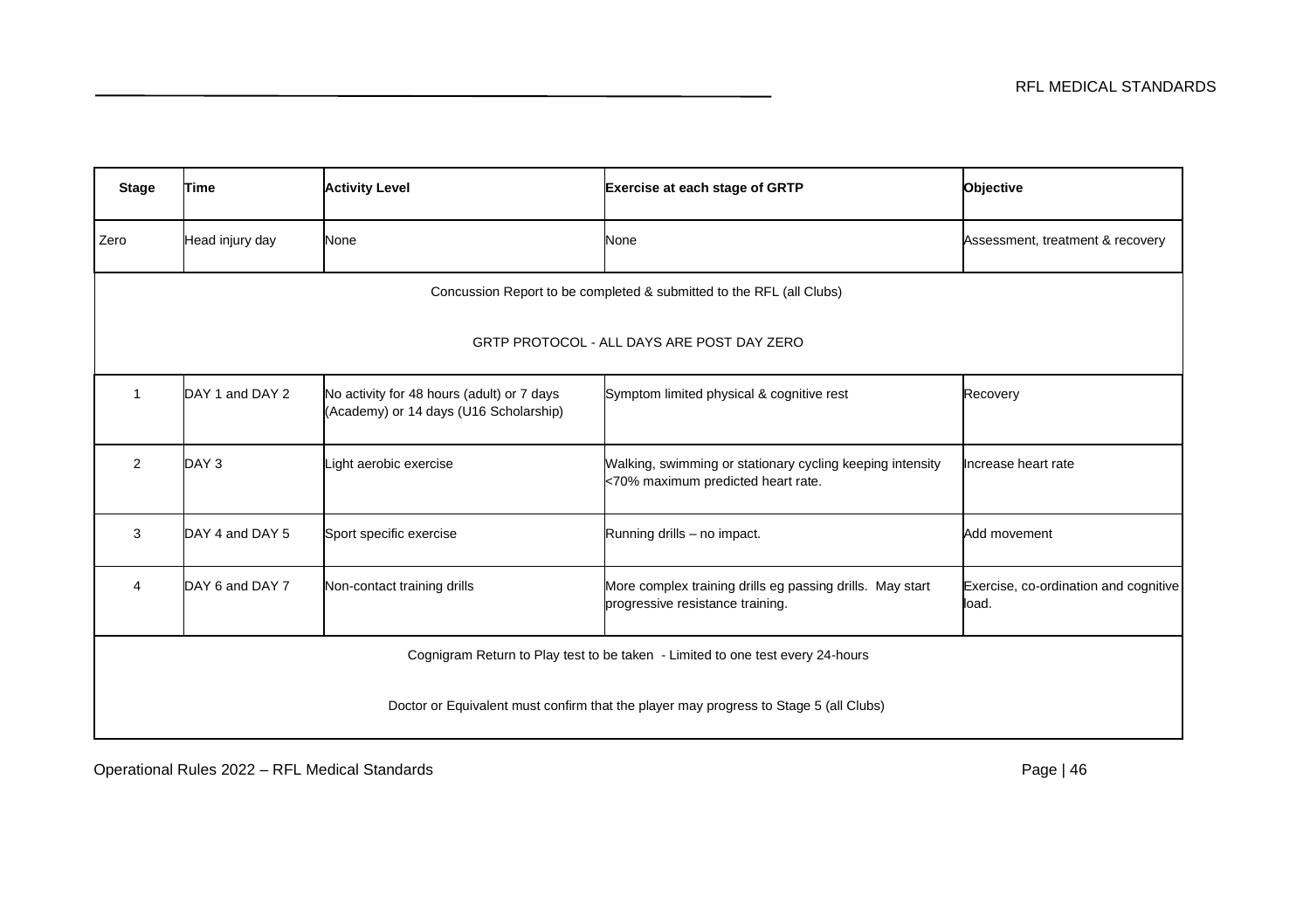| <b>Stage</b>                                                                          | Time                                                                 | <b>Activity Level</b>                                                                | Exercise at each stage of GRTP                                                                  | Objective                                      |
|---------------------------------------------------------------------------------------|----------------------------------------------------------------------|--------------------------------------------------------------------------------------|-------------------------------------------------------------------------------------------------|------------------------------------------------|
| Zero                                                                                  | Head injury day                                                      | None                                                                                 | None                                                                                            | Assessment, treatment & recovery               |
|                                                                                       | Concussion Report to be completed & submitted to the RFL (all Clubs) |                                                                                      |                                                                                                 |                                                |
| GRTP PROTOCOL - ALL DAYS ARE POST DAY ZERO                                            |                                                                      |                                                                                      |                                                                                                 |                                                |
| 1                                                                                     | DAY 1 and DAY 2                                                      | No activity for 48 hours (adult) or 7 days<br>(Academy) or 14 days (U16 Scholarship) | Symptom limited physical & cognitive rest                                                       | Recovery                                       |
| $\overline{2}$                                                                        | DAY <sub>3</sub>                                                     | Light aerobic exercise                                                               | Walking, swimming or stationary cycling keeping intensity<br><70% maximum predicted heart rate. | Increase heart rate                            |
| 3                                                                                     | DAY 4 and DAY 5                                                      | Sport specific exercise                                                              | Running drills - no impact.                                                                     | Add movement                                   |
| 4                                                                                     | DAY 6 and DAY 7                                                      | Non-contact training drills                                                          | More complex training drills eg passing drills. May start<br>progressive resistance training.   | Exercise, co-ordination and cognitive<br>load. |
| Cognigram Return to Play test to be taken - Limited to one test every 24-hours        |                                                                      |                                                                                      |                                                                                                 |                                                |
| Doctor or Equivalent must confirm that the player may progress to Stage 5 (all Clubs) |                                                                      |                                                                                      |                                                                                                 |                                                |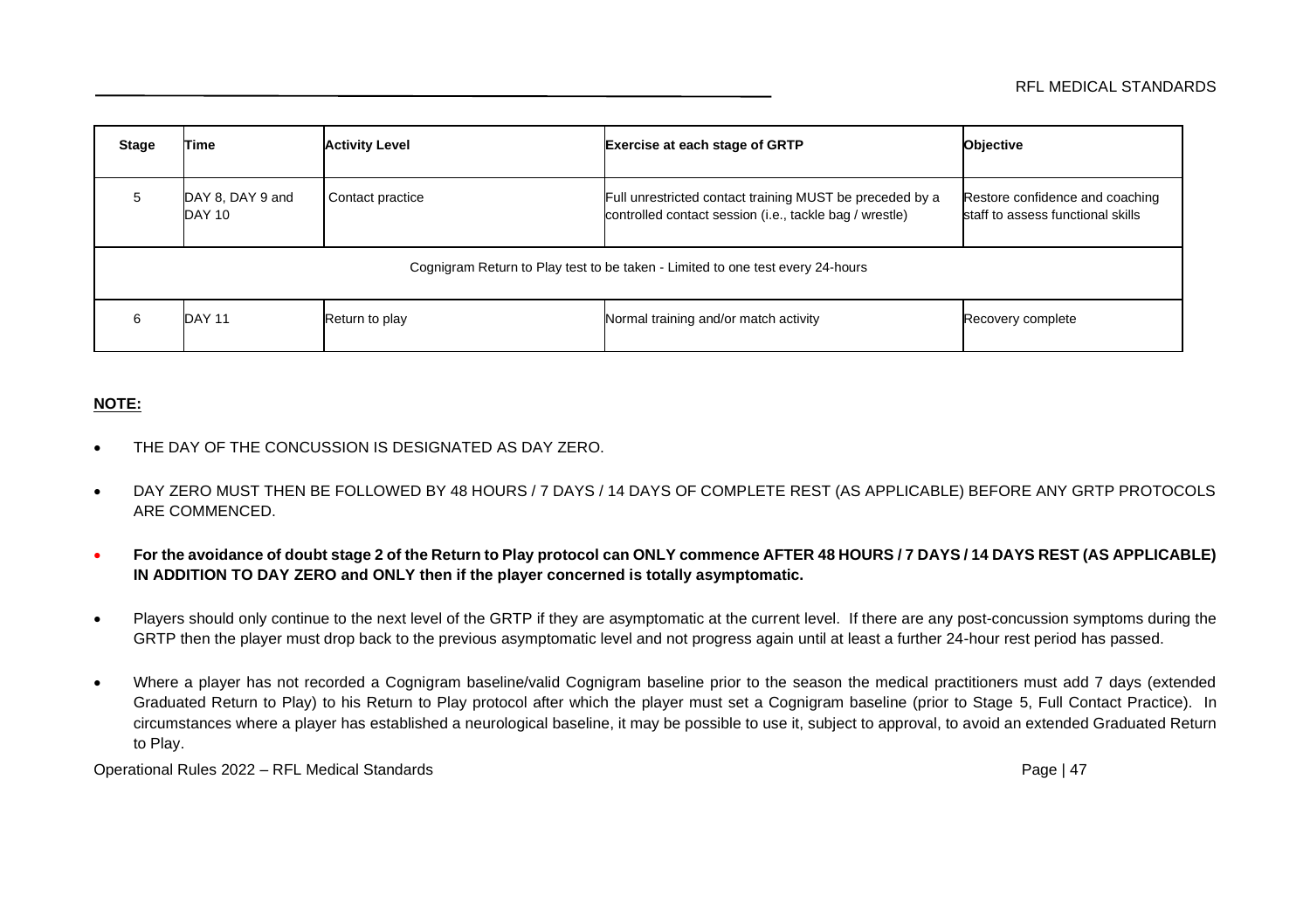| Stage                                                                          | Гіmе                       | <b>Activity Level</b> | <b>Exercise at each stage of GRTP</b>                                                                               | Objective                                                            |
|--------------------------------------------------------------------------------|----------------------------|-----------------------|---------------------------------------------------------------------------------------------------------------------|----------------------------------------------------------------------|
| 5                                                                              | DAY 8, DAY 9 and<br>DAY 10 | Contact practice      | Full unrestricted contact training MUST be preceded by a<br>controlled contact session (i.e., tackle bag / wrestle) | Restore confidence and coaching<br>staff to assess functional skills |
| Cognigram Return to Play test to be taken - Limited to one test every 24-hours |                            |                       |                                                                                                                     |                                                                      |
| 6                                                                              | DAY 11                     | Return to play        | Normal training and/or match activity                                                                               | Recovery complete                                                    |

# **NOTE:**

- THE DAY OF THE CONCUSSION IS DESIGNATED AS DAY ZERO.
- DAY ZERO MUST THEN BE FOLLOWED BY 48 HOURS / 7 DAYS / 14 DAYS OF COMPLETE REST (AS APPLICABLE) BEFORE ANY GRTP PROTOCOLS ARE COMMENCED.
- **For the avoidance of doubt stage 2 of the Return to Play protocol can ONLY commence AFTER 48 HOURS / 7 DAYS / 14 DAYS REST (AS APPLICABLE) IN ADDITION TO DAY ZERO and ONLY then if the player concerned is totally asymptomatic.**
- Players should only continue to the next level of the GRTP if they are asymptomatic at the current level. If there are any post-concussion symptoms during the GRTP then the player must drop back to the previous asymptomatic level and not progress again until at least a further 24-hour rest period has passed.
- Where a player has not recorded a Cognigram baseline/valid Cognigram baseline prior to the season the medical practitioners must add 7 days (extended Graduated Return to Play) to his Return to Play protocol after which the player must set a Cognigram baseline (prior to Stage 5, Full Contact Practice). In circumstances where a player has established a neurological baseline, it may be possible to use it, subject to approval, to avoid an extended Graduated Return to Play.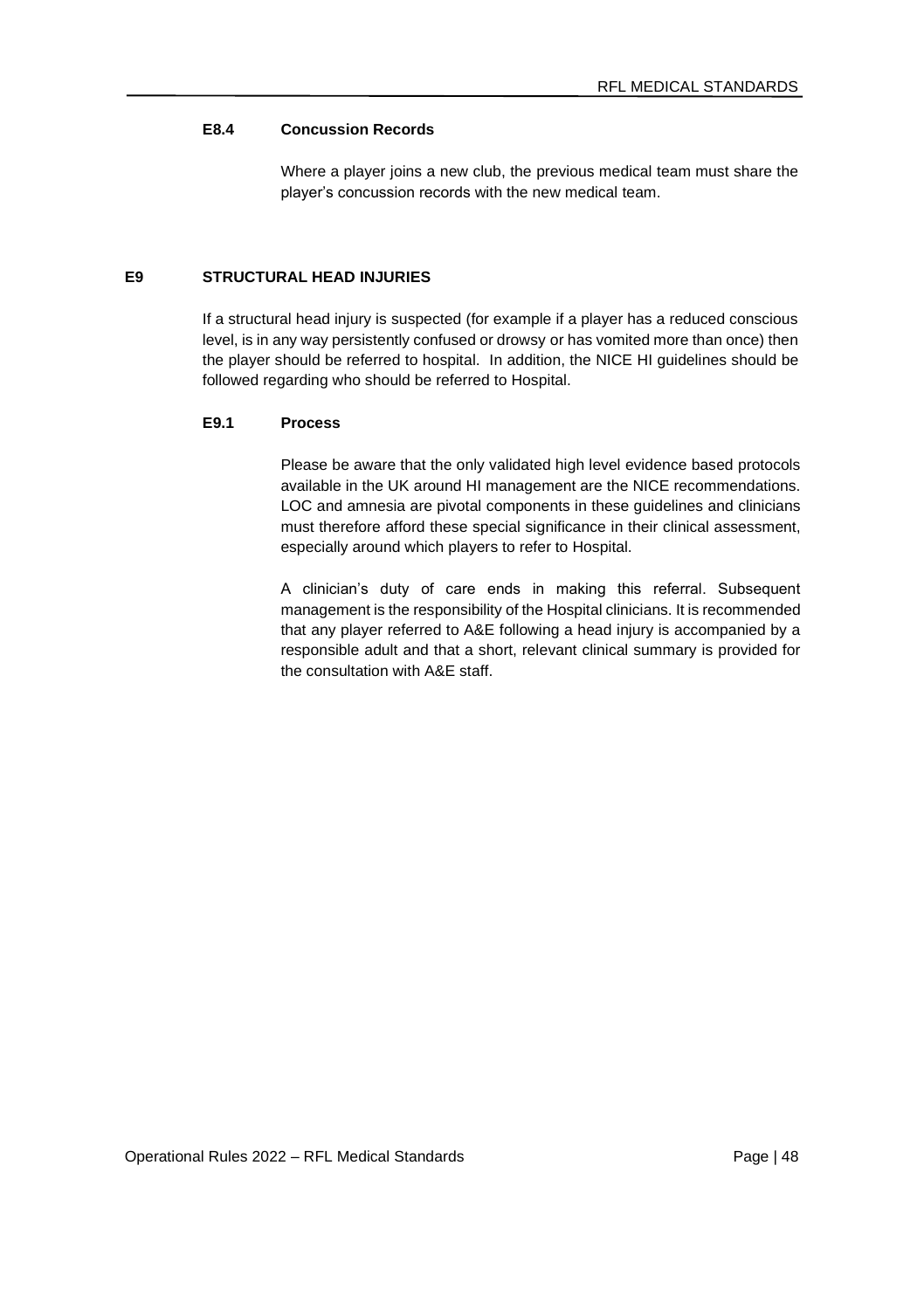# **E8.4 Concussion Records**

Where a player joins a new club, the previous medical team must share the player's concussion records with the new medical team.

# **E9 STRUCTURAL HEAD INJURIES**

If a structural head injury is suspected (for example if a player has a reduced conscious level, is in any way persistently confused or drowsy or has vomited more than once) then the player should be referred to hospital. In addition, the NICE HI guidelines should be followed regarding who should be referred to Hospital.

#### **E9.1 Process**

Please be aware that the only validated high level evidence based protocols available in the UK around HI management are the NICE recommendations. LOC and amnesia are pivotal components in these guidelines and clinicians must therefore afford these special significance in their clinical assessment, especially around which players to refer to Hospital.

A clinician's duty of care ends in making this referral. Subsequent management is the responsibility of the Hospital clinicians. It is recommended that any player referred to A&E following a head injury is accompanied by a responsible adult and that a short, relevant clinical summary is provided for the consultation with A&E staff.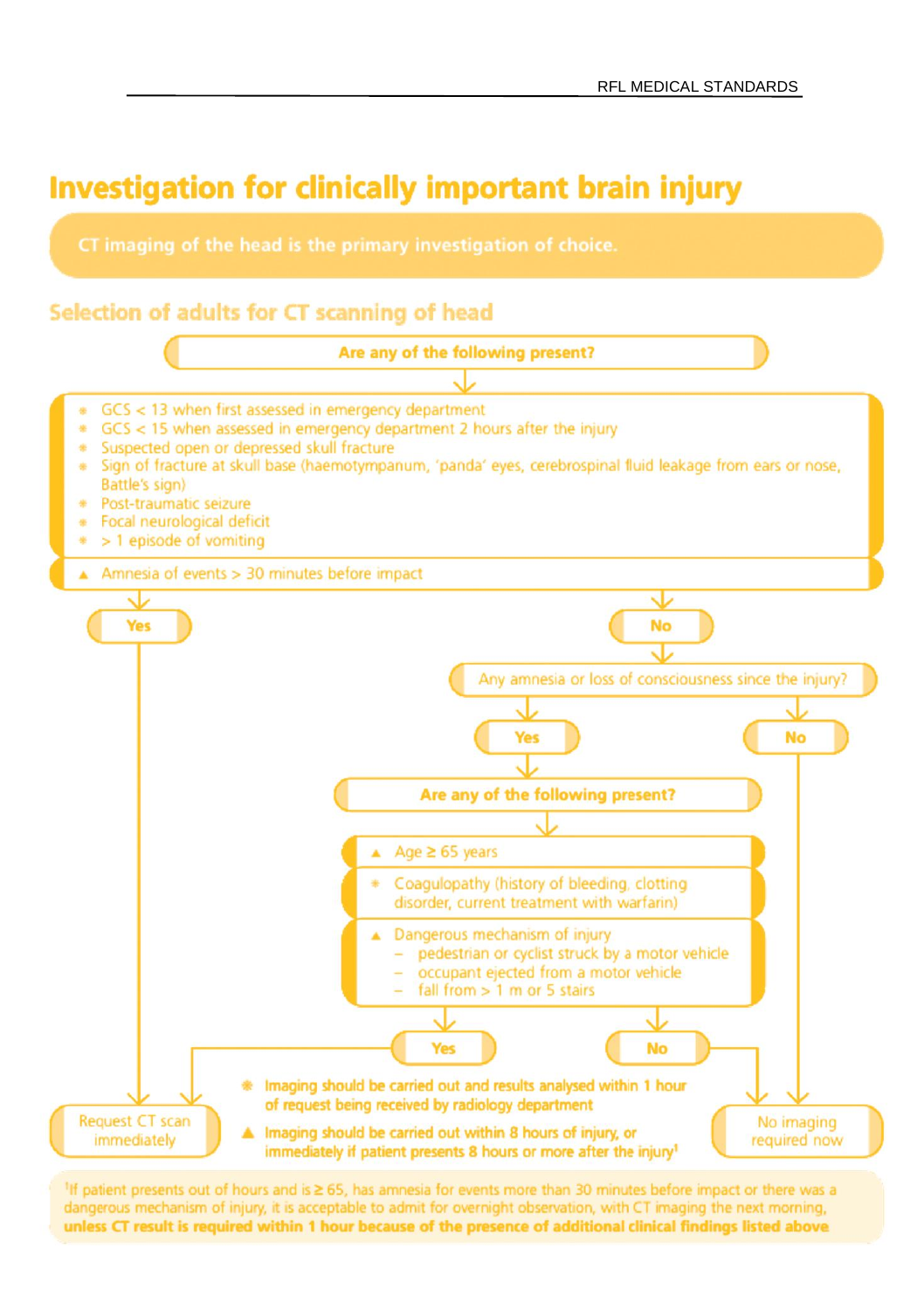

# Selection of adults for CT scanning of head



<sup>1</sup>If patient presents out of hours and is ≥ 65, has amnesia for events more than 30 minutes before impact or there was a dangerous mechanism of injury, it is acceptable to admit for overnight observation, with CT imaging the next morning, unless CT result is required within 1 hour because of the presence of additional clinical findings listed above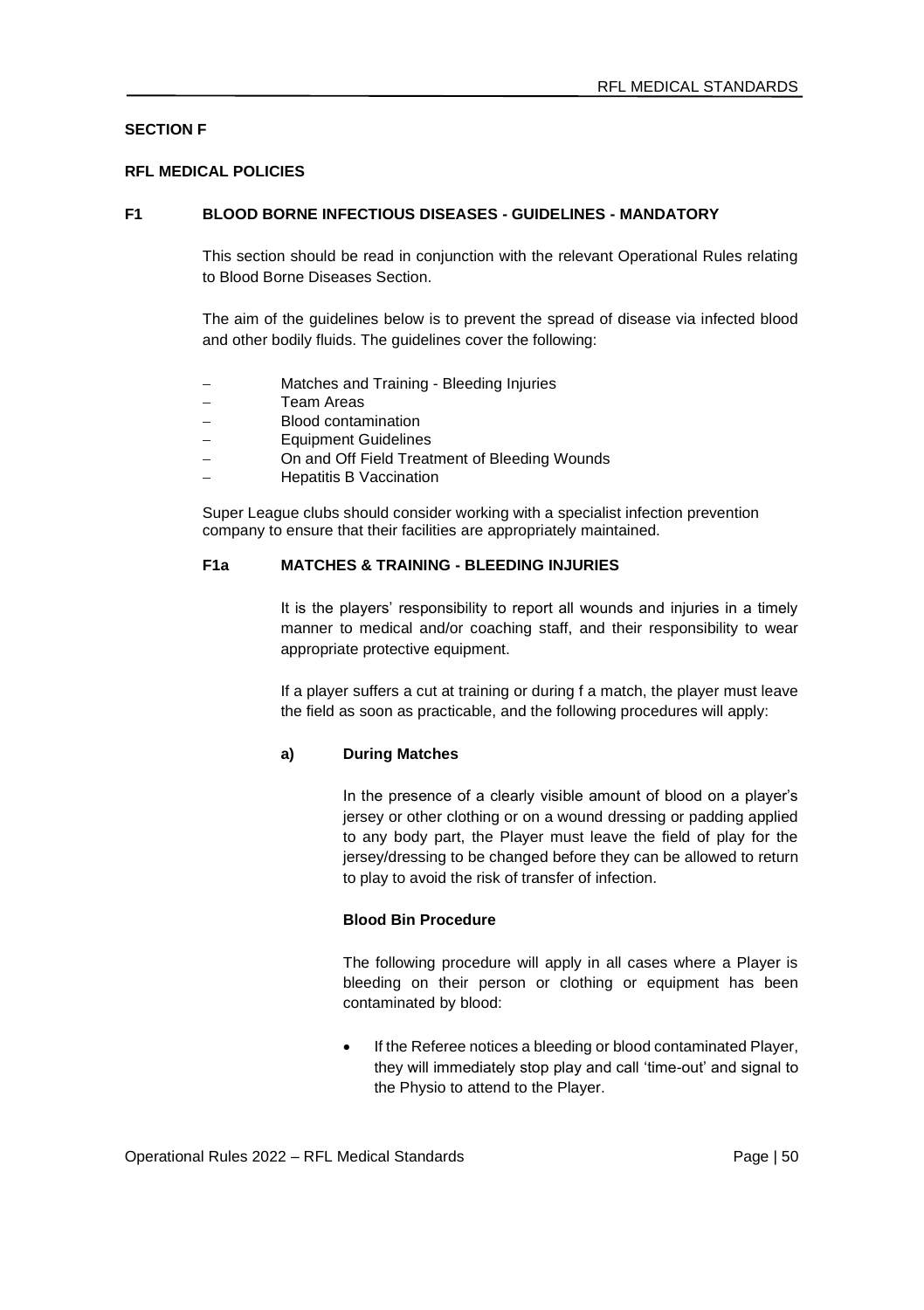# **SECTION F**

#### **RFL MEDICAL POLICIES**

#### **F1 BLOOD BORNE INFECTIOUS DISEASES - GUIDELINES - MANDATORY**

This section should be read in conjunction with the relevant Operational Rules relating to Blood Borne Diseases Section.

The aim of the guidelines below is to prevent the spread of disease via infected blood and other bodily fluids. The guidelines cover the following:

- − Matches and Training Bleeding Injuries
- − Team Areas
- − Blood contamination
- − Equipment Guidelines
- On and Off Field Treatment of Bleeding Wounds
- − Hepatitis B Vaccination

Super League clubs should consider working with a specialist infection prevention company to ensure that their facilities are appropriately maintained.

#### **F1a MATCHES & TRAINING - BLEEDING INJURIES**

It is the players' responsibility to report all wounds and injuries in a timely manner to medical and/or coaching staff, and their responsibility to wear appropriate protective equipment.

If a player suffers a cut at training or during f a match, the player must leave the field as soon as practicable, and the following procedures will apply:

### **a) During Matches**

In the presence of a clearly visible amount of blood on a player's jersey or other clothing or on a wound dressing or padding applied to any body part, the Player must leave the field of play for the jersey/dressing to be changed before they can be allowed to return to play to avoid the risk of transfer of infection.

#### **Blood Bin Procedure**

The following procedure will apply in all cases where a Player is bleeding on their person or clothing or equipment has been contaminated by blood:

• If the Referee notices a bleeding or blood contaminated Player, they will immediately stop play and call 'time-out' and signal to the Physio to attend to the Player.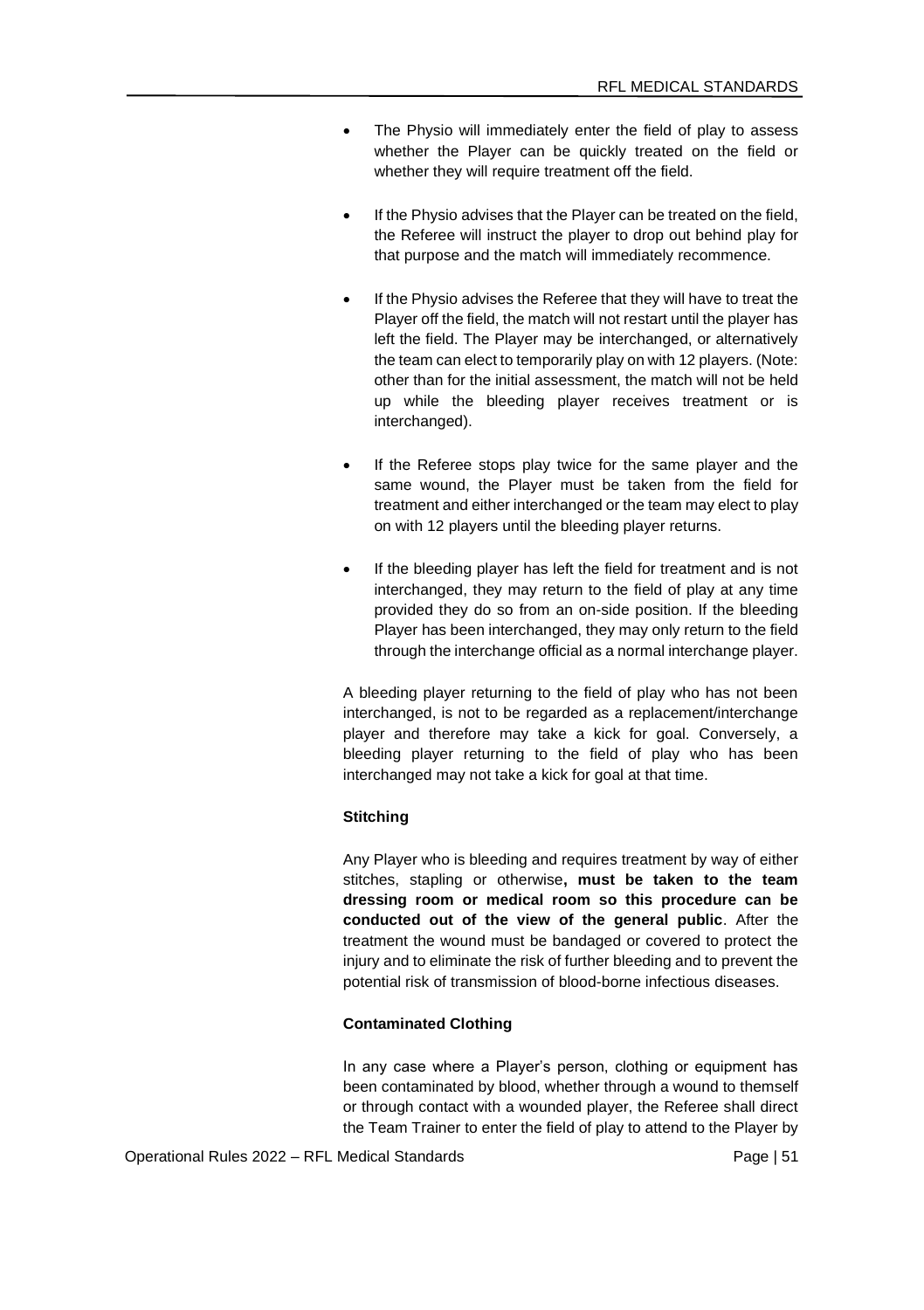- The Physio will immediately enter the field of play to assess whether the Player can be quickly treated on the field or whether they will require treatment off the field.
- If the Physio advises that the Player can be treated on the field. the Referee will instruct the player to drop out behind play for that purpose and the match will immediately recommence.
- If the Physio advises the Referee that they will have to treat the Player off the field, the match will not restart until the player has left the field. The Player may be interchanged, or alternatively the team can elect to temporarily play on with 12 players. (Note: other than for the initial assessment, the match will not be held up while the bleeding player receives treatment or is interchanged).
- If the Referee stops play twice for the same player and the same wound, the Player must be taken from the field for treatment and either interchanged or the team may elect to play on with 12 players until the bleeding player returns.
- If the bleeding player has left the field for treatment and is not interchanged, they may return to the field of play at any time provided they do so from an on-side position. If the bleeding Player has been interchanged, they may only return to the field through the interchange official as a normal interchange player.

A bleeding player returning to the field of play who has not been interchanged, is not to be regarded as a replacement/interchange player and therefore may take a kick for goal. Conversely, a bleeding player returning to the field of play who has been interchanged may not take a kick for goal at that time.

### **Stitching**

Any Player who is bleeding and requires treatment by way of either stitches, stapling or otherwise**, must be taken to the team dressing room or medical room so this procedure can be conducted out of the view of the general public**. After the treatment the wound must be bandaged or covered to protect the injury and to eliminate the risk of further bleeding and to prevent the potential risk of transmission of blood-borne infectious diseases.

#### **Contaminated Clothing**

In any case where a Player's person, clothing or equipment has been contaminated by blood, whether through a wound to themself or through contact with a wounded player, the Referee shall direct the Team Trainer to enter the field of play to attend to the Player by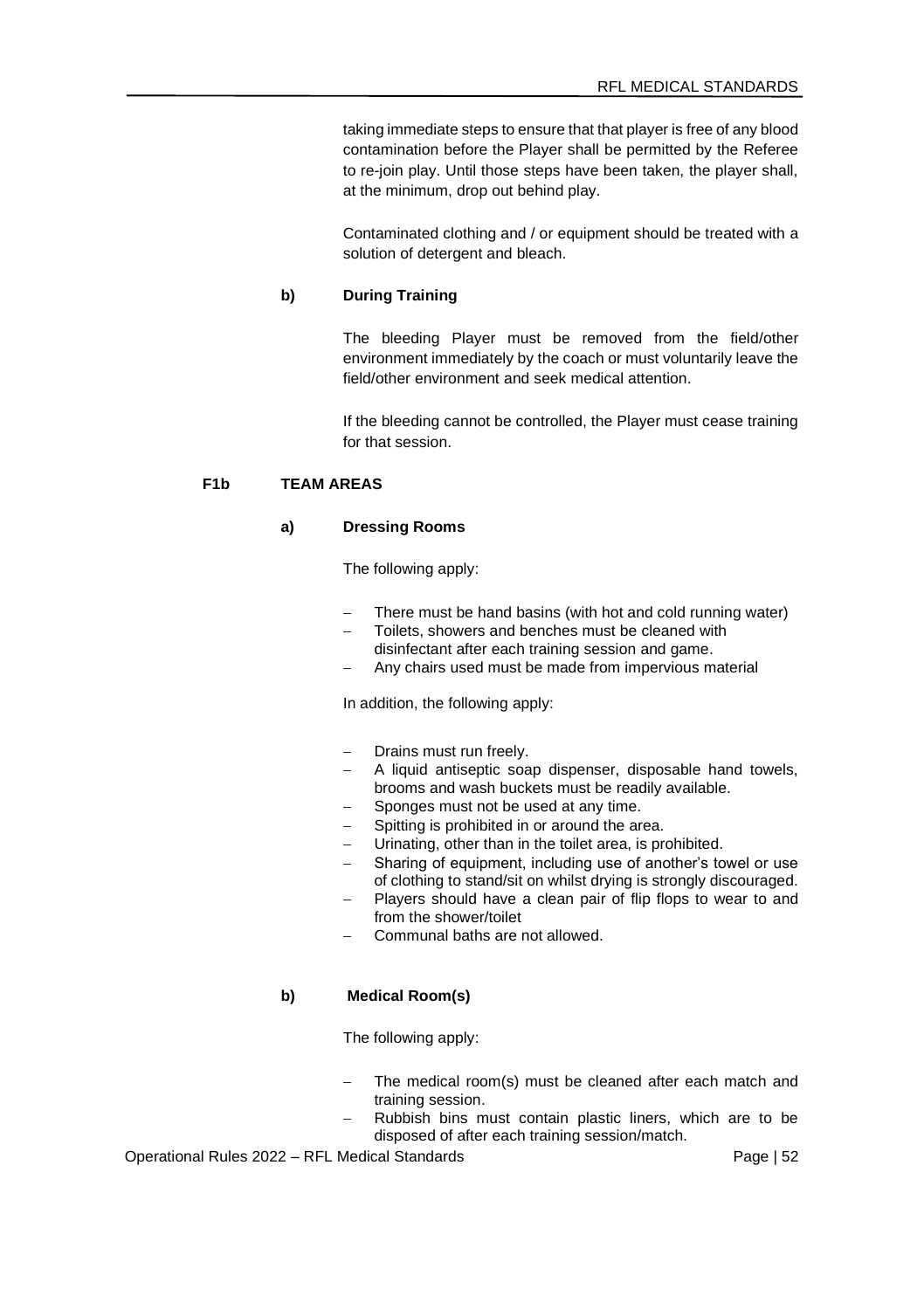taking immediate steps to ensure that that player is free of any blood contamination before the Player shall be permitted by the Referee to re-join play. Until those steps have been taken, the player shall, at the minimum, drop out behind play.

Contaminated clothing and / or equipment should be treated with a solution of detergent and bleach.

### **b) During Training**

The bleeding Player must be removed from the field/other environment immediately by the coach or must voluntarily leave the field/other environment and seek medical attention.

If the bleeding cannot be controlled, the Player must cease training for that session.

# **F1b TEAM AREAS**

### **a) Dressing Rooms**

The following apply:

- There must be hand basins (with hot and cold running water)
- Toilets, showers and benches must be cleaned with disinfectant after each training session and game.
- Any chairs used must be made from impervious material

In addition, the following apply:

- Drains must run freely.
- − A liquid antiseptic soap dispenser, disposable hand towels, brooms and wash buckets must be readily available.
- Sponges must not be used at any time.
- Spitting is prohibited in or around the area.
- Urinating, other than in the toilet area, is prohibited.
- Sharing of equipment, including use of another's towel or use of clothing to stand/sit on whilst drying is strongly discouraged.
- Players should have a clean pair of flip flops to wear to and from the shower/toilet
- − Communal baths are not allowed.

#### **b) Medical Room(s)**

The following apply:

- The medical room(s) must be cleaned after each match and training session.
- Rubbish bins must contain plastic liners, which are to be disposed of after each training session/match.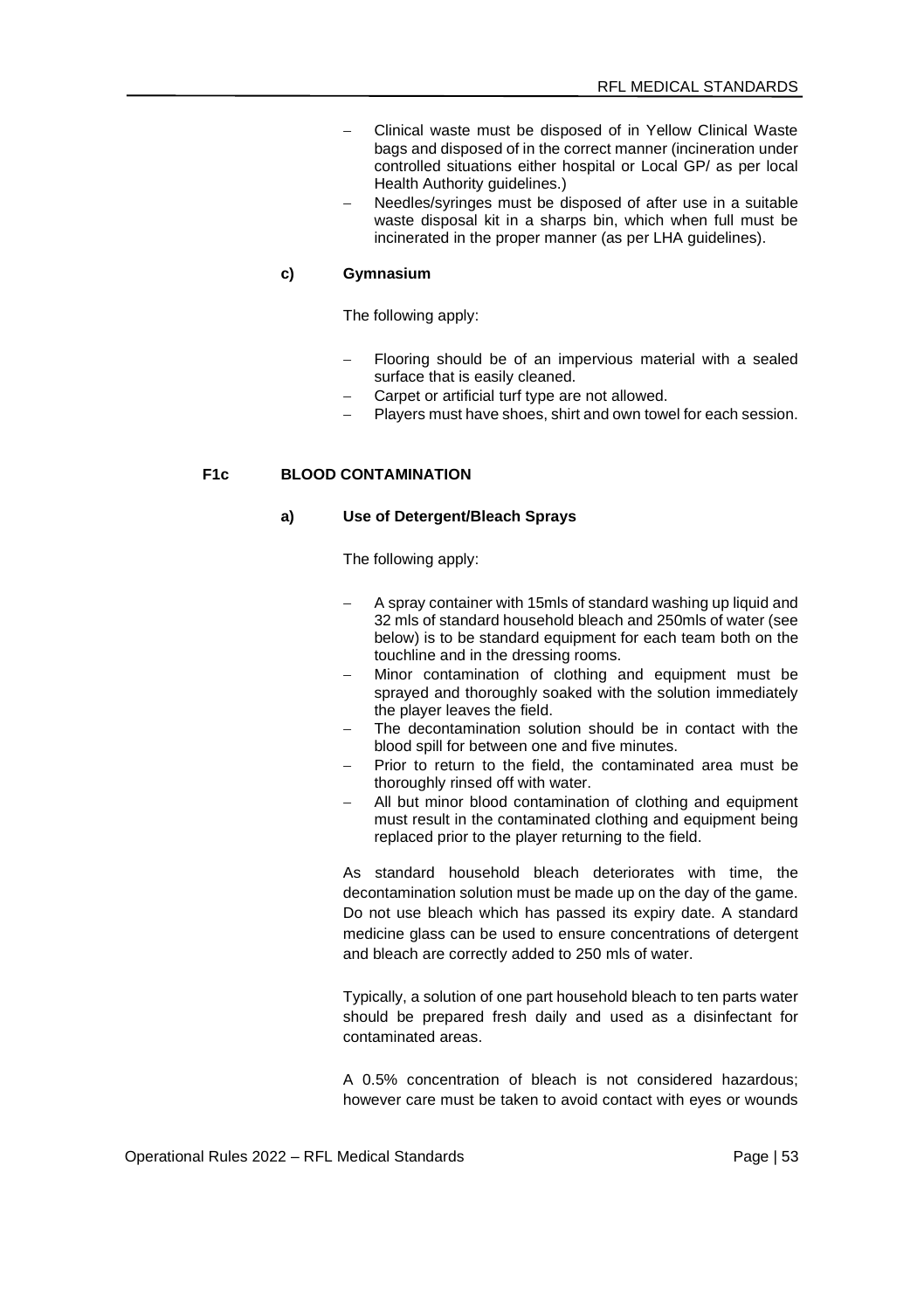- − Clinical waste must be disposed of in Yellow Clinical Waste bags and disposed of in the correct manner (incineration under controlled situations either hospital or Local GP/ as per local Health Authority guidelines.)
- Needles/syringes must be disposed of after use in a suitable waste disposal kit in a sharps bin, which when full must be incinerated in the proper manner (as per LHA guidelines).

#### **c) Gymnasium**

The following apply:

- Flooring should be of an impervious material with a sealed surface that is easily cleaned.
- Carpet or artificial turf type are not allowed.
- − Players must have shoes, shirt and own towel for each session.

# **F1c BLOOD CONTAMINATION**

#### **a) Use of Detergent/Bleach Sprays**

The following apply:

- A spray container with 15mls of standard washing up liquid and 32 mls of standard household bleach and 250mls of water (see below) is to be standard equipment for each team both on the touchline and in the dressing rooms.
- Minor contamination of clothing and equipment must be sprayed and thoroughly soaked with the solution immediately the player leaves the field.
- The decontamination solution should be in contact with the blood spill for between one and five minutes.
- Prior to return to the field, the contaminated area must be thoroughly rinsed off with water.
- All but minor blood contamination of clothing and equipment must result in the contaminated clothing and equipment being replaced prior to the player returning to the field.

As standard household bleach deteriorates with time, the decontamination solution must be made up on the day of the game. Do not use bleach which has passed its expiry date. A standard medicine glass can be used to ensure concentrations of detergent and bleach are correctly added to 250 mls of water.

Typically, a solution of one part household bleach to ten parts water should be prepared fresh daily and used as a disinfectant for contaminated areas.

A 0.5% concentration of bleach is not considered hazardous; however care must be taken to avoid contact with eyes or wounds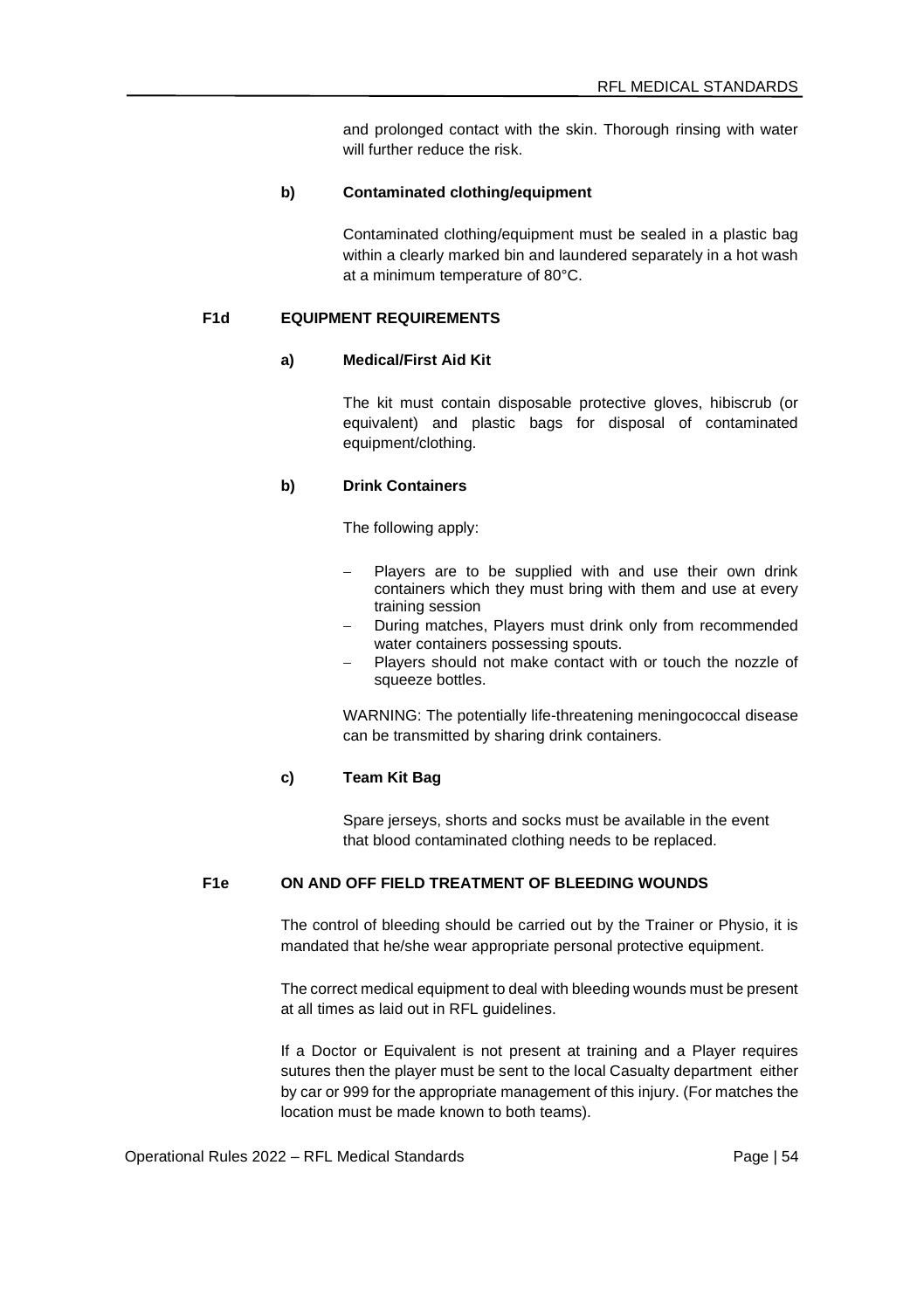and prolonged contact with the skin. Thorough rinsing with water will further reduce the risk.

#### **b) Contaminated clothing/equipment**

Contaminated clothing/equipment must be sealed in a plastic bag within a clearly marked bin and laundered separately in a hot wash at a minimum temperature of 80°C.

# **F1d EQUIPMENT REQUIREMENTS**

# **a) Medical/First Aid Kit**

The kit must contain disposable protective gloves, hibiscrub (or equivalent) and plastic bags for disposal of contaminated equipment/clothing.

#### **b) Drink Containers**

The following apply:

- Players are to be supplied with and use their own drink containers which they must bring with them and use at every training session
- During matches, Players must drink only from recommended water containers possessing spouts.
- Players should not make contact with or touch the nozzle of squeeze bottles.

WARNING: The potentially life-threatening meningococcal disease can be transmitted by sharing drink containers.

### **c) Team Kit Bag**

Spare jerseys, shorts and socks must be available in the event that blood contaminated clothing needs to be replaced.

# **F1e ON AND OFF FIELD TREATMENT OF BLEEDING WOUNDS**

The control of bleeding should be carried out by the Trainer or Physio, it is mandated that he/she wear appropriate personal protective equipment.

The correct medical equipment to deal with bleeding wounds must be present at all times as laid out in RFL guidelines.

If a Doctor or Equivalent is not present at training and a Player requires sutures then the player must be sent to the local Casualty department either by car or 999 for the appropriate management of this injury. (For matches the location must be made known to both teams).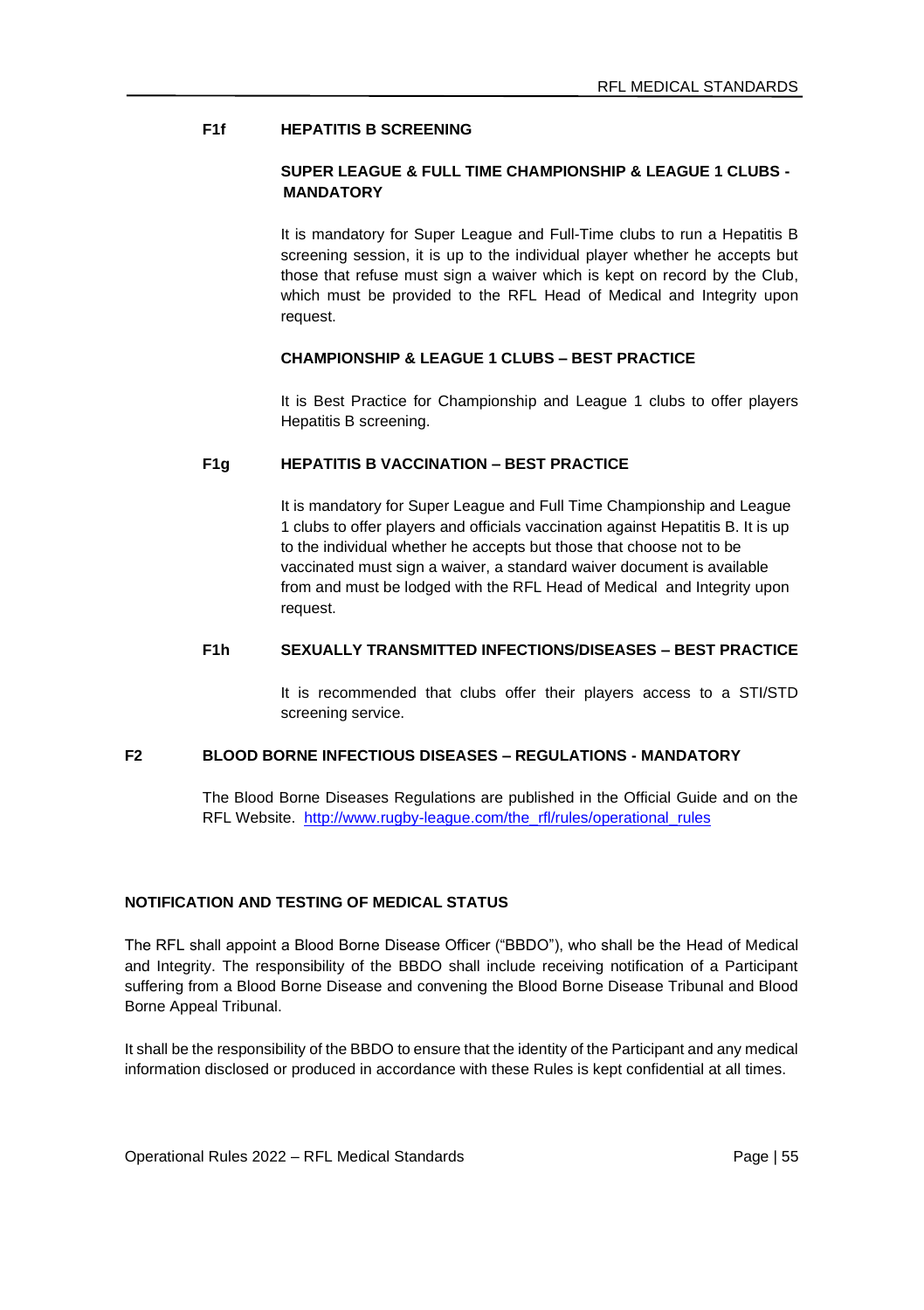# **F1f HEPATITIS B SCREENING**

### **SUPER LEAGUE & FULL TIME CHAMPIONSHIP & LEAGUE 1 CLUBS - MANDATORY**

It is mandatory for Super League and Full-Time clubs to run a Hepatitis B screening session, it is up to the individual player whether he accepts but those that refuse must sign a waiver which is kept on record by the Club, which must be provided to the RFL Head of Medical and Integrity upon request.

### **CHAMPIONSHIP & LEAGUE 1 CLUBS – BEST PRACTICE**

It is Best Practice for Championship and League 1 clubs to offer players Hepatitis B screening.

# **F1g HEPATITIS B VACCINATION – BEST PRACTICE**

It is mandatory for Super League and Full Time Championship and League 1 clubs to offer players and officials vaccination against Hepatitis B. It is up to the individual whether he accepts but those that choose not to be vaccinated must sign a waiver, a standard waiver document is available from and must be lodged with the RFL Head of Medical and Integrity upon request.

## **F1h SEXUALLY TRANSMITTED INFECTIONS/DISEASES – BEST PRACTICE**

It is recommended that clubs offer their players access to a STI/STD screening service.

#### **F2 BLOOD BORNE INFECTIOUS DISEASES – REGULATIONS - MANDATORY**

The Blood Borne Diseases Regulations are published in the Official Guide and on the RFL Website. [http://www.rugby-league.com/the\\_rfl/rules/operational\\_rules](http://www.rugby-league.com/the_rfl/rules/operational_rules)

# **NOTIFICATION AND TESTING OF MEDICAL STATUS**

The RFL shall appoint a Blood Borne Disease Officer ("BBDO"), who shall be the Head of Medical and Integrity. The responsibility of the BBDO shall include receiving notification of a Participant suffering from a Blood Borne Disease and convening the Blood Borne Disease Tribunal and Blood Borne Appeal Tribunal.

It shall be the responsibility of the BBDO to ensure that the identity of the Participant and any medical information disclosed or produced in accordance with these Rules is kept confidential at all times.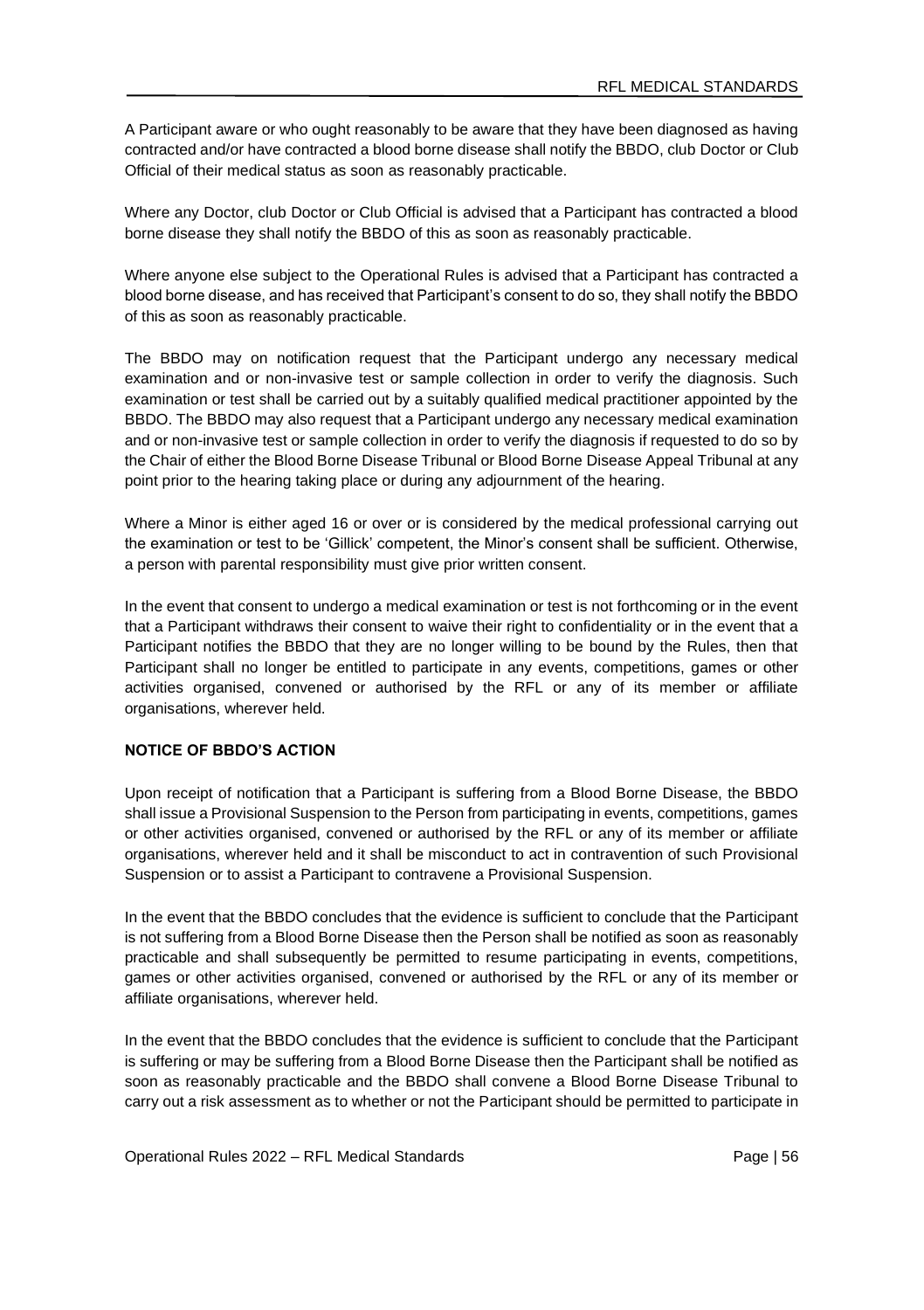A Participant aware or who ought reasonably to be aware that they have been diagnosed as having contracted and/or have contracted a blood borne disease shall notify the BBDO, club Doctor or Club Official of their medical status as soon as reasonably practicable.

Where any Doctor, club Doctor or Club Official is advised that a Participant has contracted a blood borne disease they shall notify the BBDO of this as soon as reasonably practicable.

Where anyone else subject to the Operational Rules is advised that a Participant has contracted a blood borne disease, and has received that Participant's consent to do so, they shall notify the BBDO of this as soon as reasonably practicable.

The BBDO may on notification request that the Participant undergo any necessary medical examination and or non-invasive test or sample collection in order to verify the diagnosis. Such examination or test shall be carried out by a suitably qualified medical practitioner appointed by the BBDO. The BBDO may also request that a Participant undergo any necessary medical examination and or non-invasive test or sample collection in order to verify the diagnosis if requested to do so by the Chair of either the Blood Borne Disease Tribunal or Blood Borne Disease Appeal Tribunal at any point prior to the hearing taking place or during any adjournment of the hearing.

Where a Minor is either aged 16 or over or is considered by the medical professional carrying out the examination or test to be 'Gillick' competent, the Minor's consent shall be sufficient. Otherwise, a person with parental responsibility must give prior written consent.

In the event that consent to undergo a medical examination or test is not forthcoming or in the event that a Participant withdraws their consent to waive their right to confidentiality or in the event that a Participant notifies the BBDO that they are no longer willing to be bound by the Rules, then that Participant shall no longer be entitled to participate in any events, competitions, games or other activities organised, convened or authorised by the RFL or any of its member or affiliate organisations, wherever held.

# **NOTICE OF BBDO'S ACTION**

Upon receipt of notification that a Participant is suffering from a Blood Borne Disease, the BBDO shall issue a Provisional Suspension to the Person from participating in events, competitions, games or other activities organised, convened or authorised by the RFL or any of its member or affiliate organisations, wherever held and it shall be misconduct to act in contravention of such Provisional Suspension or to assist a Participant to contravene a Provisional Suspension.

In the event that the BBDO concludes that the evidence is sufficient to conclude that the Participant is not suffering from a Blood Borne Disease then the Person shall be notified as soon as reasonably practicable and shall subsequently be permitted to resume participating in events, competitions, games or other activities organised, convened or authorised by the RFL or any of its member or affiliate organisations, wherever held.

In the event that the BBDO concludes that the evidence is sufficient to conclude that the Participant is suffering or may be suffering from a Blood Borne Disease then the Participant shall be notified as soon as reasonably practicable and the BBDO shall convene a Blood Borne Disease Tribunal to carry out a risk assessment as to whether or not the Participant should be permitted to participate in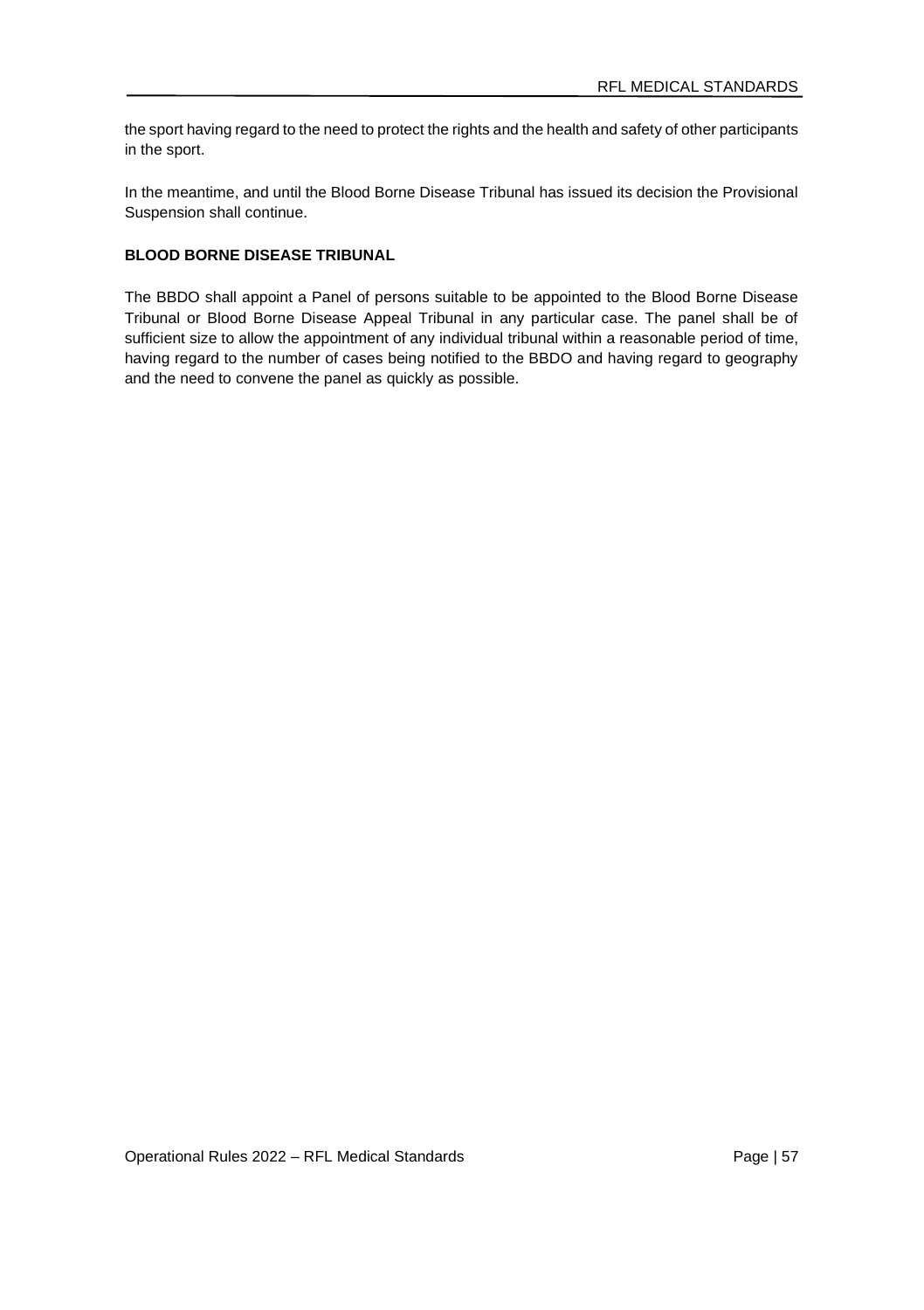the sport having regard to the need to protect the rights and the health and safety of other participants in the sport.

In the meantime, and until the Blood Borne Disease Tribunal has issued its decision the Provisional Suspension shall continue.

# **BLOOD BORNE DISEASE TRIBUNAL**

The BBDO shall appoint a Panel of persons suitable to be appointed to the Blood Borne Disease Tribunal or Blood Borne Disease Appeal Tribunal in any particular case. The panel shall be of sufficient size to allow the appointment of any individual tribunal within a reasonable period of time, having regard to the number of cases being notified to the BBDO and having regard to geography and the need to convene the panel as quickly as possible.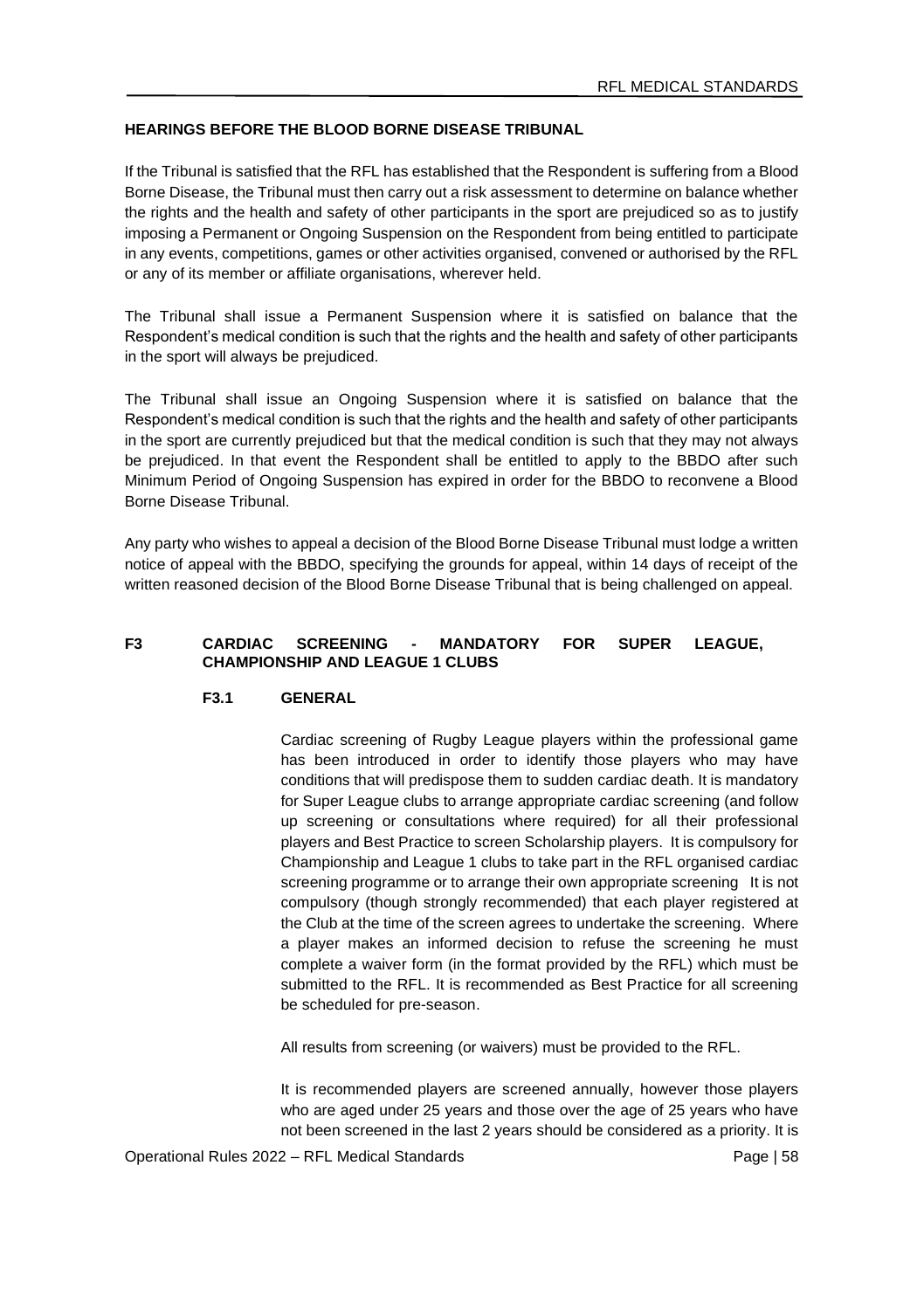### **HEARINGS BEFORE THE BLOOD BORNE DISEASE TRIBUNAL**

If the Tribunal is satisfied that the RFL has established that the Respondent is suffering from a Blood Borne Disease, the Tribunal must then carry out a risk assessment to determine on balance whether the rights and the health and safety of other participants in the sport are prejudiced so as to justify imposing a Permanent or Ongoing Suspension on the Respondent from being entitled to participate in any events, competitions, games or other activities organised, convened or authorised by the RFL or any of its member or affiliate organisations, wherever held.

The Tribunal shall issue a Permanent Suspension where it is satisfied on balance that the Respondent's medical condition is such that the rights and the health and safety of other participants in the sport will always be prejudiced.

The Tribunal shall issue an Ongoing Suspension where it is satisfied on balance that the Respondent's medical condition is such that the rights and the health and safety of other participants in the sport are currently prejudiced but that the medical condition is such that they may not always be prejudiced. In that event the Respondent shall be entitled to apply to the BBDO after such Minimum Period of Ongoing Suspension has expired in order for the BBDO to reconvene a Blood Borne Disease Tribunal.

Any party who wishes to appeal a decision of the Blood Borne Disease Tribunal must lodge a written notice of appeal with the BBDO, specifying the grounds for appeal, within 14 days of receipt of the written reasoned decision of the Blood Borne Disease Tribunal that is being challenged on appeal.

### **F3 CARDIAC SCREENING - MANDATORY FOR SUPER LEAGUE, CHAMPIONSHIP AND LEAGUE 1 CLUBS**

#### **F3.1 GENERAL**

Cardiac screening of Rugby League players within the professional game has been introduced in order to identify those players who may have conditions that will predispose them to sudden cardiac death. It is mandatory for Super League clubs to arrange appropriate cardiac screening (and follow up screening or consultations where required) for all their professional players and Best Practice to screen Scholarship players. It is compulsory for Championship and League 1 clubs to take part in the RFL organised cardiac screening programme or to arrange their own appropriate screening It is not compulsory (though strongly recommended) that each player registered at the Club at the time of the screen agrees to undertake the screening. Where a player makes an informed decision to refuse the screening he must complete a waiver form (in the format provided by the RFL) which must be submitted to the RFL. It is recommended as Best Practice for all screening be scheduled for pre-season.

All results from screening (or waivers) must be provided to the RFL.

It is recommended players are screened annually, however those players who are aged under 25 years and those over the age of 25 years who have not been screened in the last 2 years should be considered as a priority. It is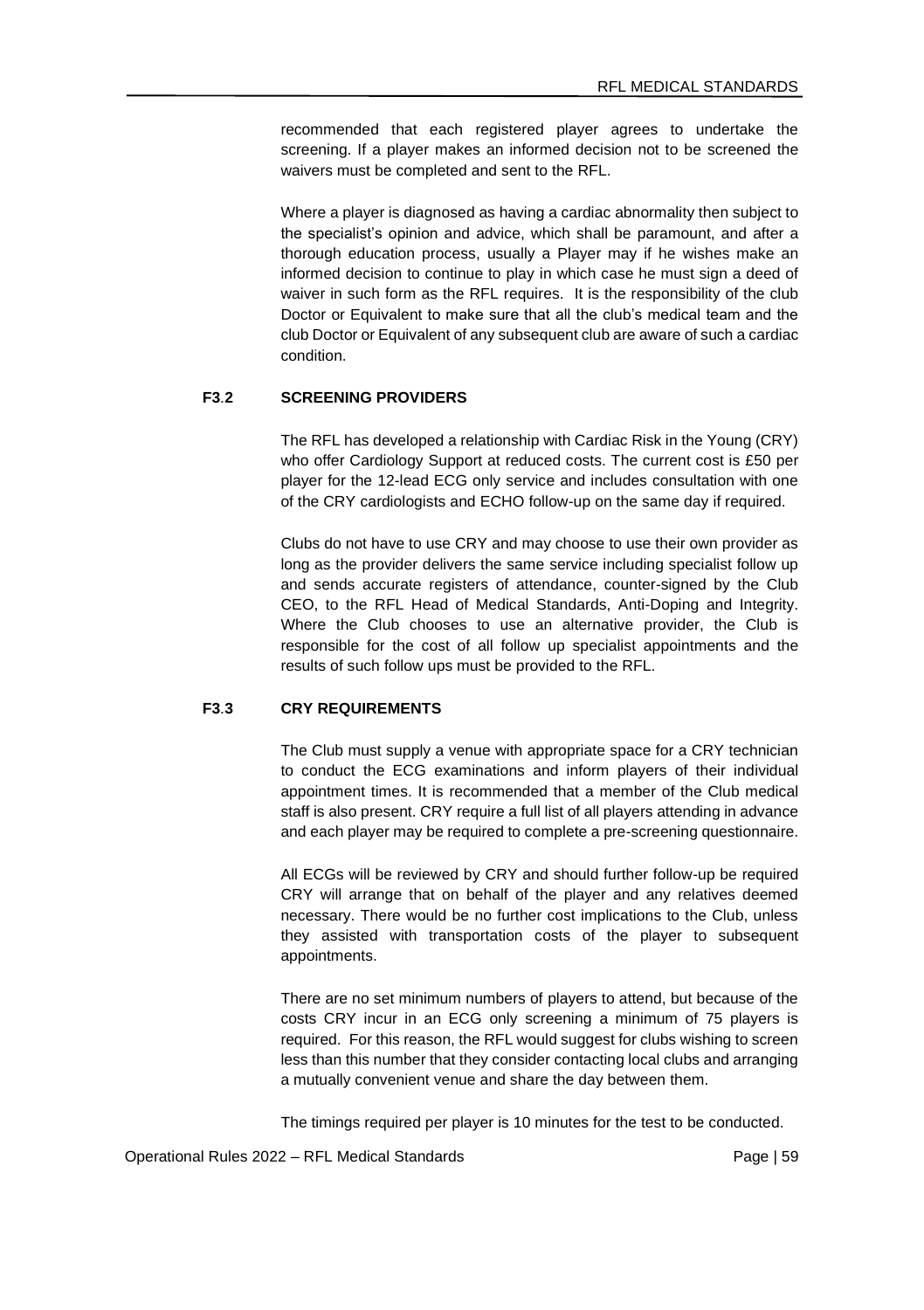recommended that each registered player agrees to undertake the screening. If a player makes an informed decision not to be screened the waivers must be completed and sent to the RFL.

Where a player is diagnosed as having a cardiac abnormality then subject to the specialist's opinion and advice, which shall be paramount, and after a thorough education process, usually a Player may if he wishes make an informed decision to continue to play in which case he must sign a deed of waiver in such form as the RFL requires. It is the responsibility of the club Doctor or Equivalent to make sure that all the club's medical team and the club Doctor or Equivalent of any subsequent club are aware of such a cardiac condition.

### **F3**.**2 SCREENING PROVIDERS**

The RFL has developed a relationship with Cardiac Risk in the Young (CRY) who offer Cardiology Support at reduced costs. The current cost is £50 per player for the 12-lead ECG only service and includes consultation with one of the CRY cardiologists and ECHO follow-up on the same day if required.

Clubs do not have to use CRY and may choose to use their own provider as long as the provider delivers the same service including specialist follow up and sends accurate registers of attendance, counter-signed by the Club CEO, to the RFL Head of Medical Standards, Anti-Doping and Integrity. Where the Club chooses to use an alternative provider, the Club is responsible for the cost of all follow up specialist appointments and the results of such follow ups must be provided to the RFL.

# **F3**.**3 CRY REQUIREMENTS**

The Club must supply a venue with appropriate space for a CRY technician to conduct the ECG examinations and inform players of their individual appointment times. It is recommended that a member of the Club medical staff is also present. CRY require a full list of all players attending in advance and each player may be required to complete a pre-screening questionnaire.

All ECGs will be reviewed by CRY and should further follow-up be required CRY will arrange that on behalf of the player and any relatives deemed necessary. There would be no further cost implications to the Club, unless they assisted with transportation costs of the player to subsequent appointments.

There are no set minimum numbers of players to attend, but because of the costs CRY incur in an ECG only screening a minimum of 75 players is required. For this reason, the RFL would suggest for clubs wishing to screen less than this number that they consider contacting local clubs and arranging a mutually convenient venue and share the day between them.

The timings required per player is 10 minutes for the test to be conducted.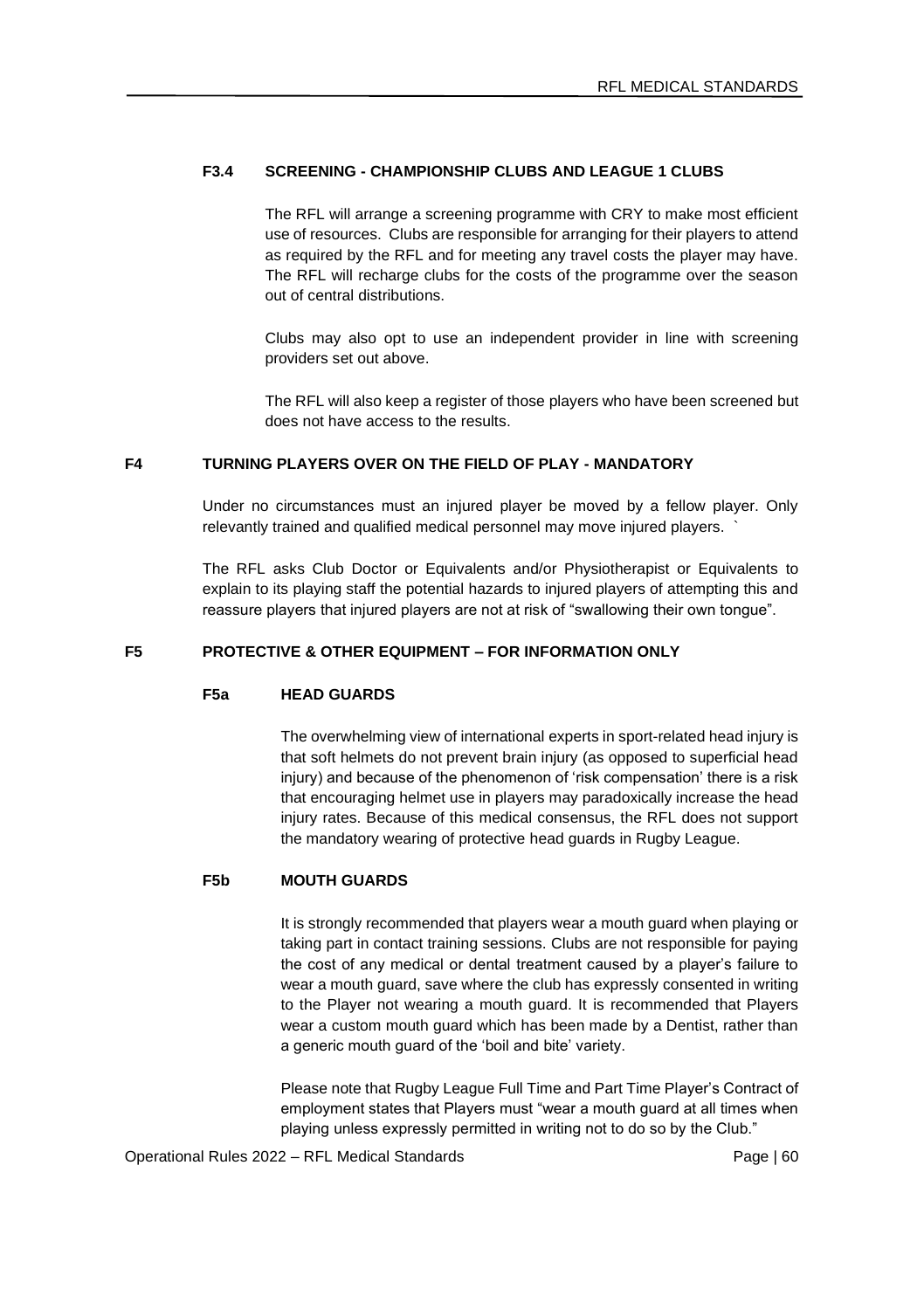### **F3.4 SCREENING - CHAMPIONSHIP CLUBS AND LEAGUE 1 CLUBS**

The RFL will arrange a screening programme with CRY to make most efficient use of resources. Clubs are responsible for arranging for their players to attend as required by the RFL and for meeting any travel costs the player may have. The RFL will recharge clubs for the costs of the programme over the season out of central distributions.

Clubs may also opt to use an independent provider in line with screening providers set out above.

The RFL will also keep a register of those players who have been screened but does not have access to the results.

# **F4 TURNING PLAYERS OVER ON THE FIELD OF PLAY - MANDATORY**

Under no circumstances must an injured player be moved by a fellow player. Only relevantly trained and qualified medical personnel may move injured players.

The RFL asks Club Doctor or Equivalents and/or Physiotherapist or Equivalents to explain to its playing staff the potential hazards to injured players of attempting this and reassure players that injured players are not at risk of "swallowing their own tongue".

#### **F5 PROTECTIVE & OTHER EQUIPMENT – FOR INFORMATION ONLY**

#### **F5a HEAD GUARDS**

The overwhelming view of international experts in sport-related head injury is that soft helmets do not prevent brain injury (as opposed to superficial head injury) and because of the phenomenon of 'risk compensation' there is a risk that encouraging helmet use in players may paradoxically increase the head injury rates. Because of this medical consensus, the RFL does not support the mandatory wearing of protective head guards in Rugby League.

# **F5b MOUTH GUARDS**

It is strongly recommended that players wear a mouth guard when playing or taking part in contact training sessions. Clubs are not responsible for paying the cost of any medical or dental treatment caused by a player's failure to wear a mouth guard, save where the club has expressly consented in writing to the Player not wearing a mouth guard. It is recommended that Players wear a custom mouth guard which has been made by a Dentist, rather than a generic mouth guard of the 'boil and bite' variety.

Please note that Rugby League Full Time and Part Time Player's Contract of employment states that Players must "wear a mouth guard at all times when playing unless expressly permitted in writing not to do so by the Club."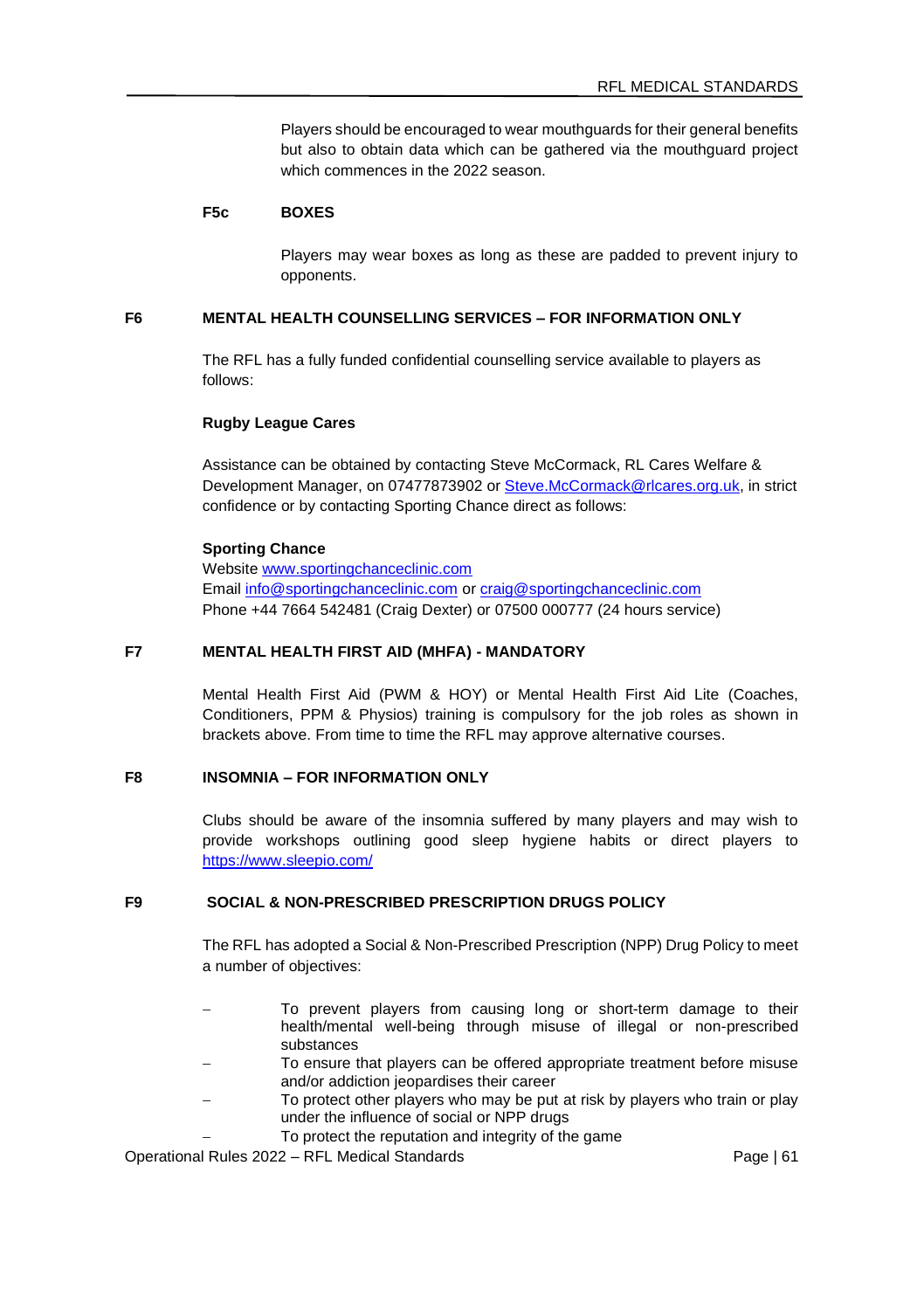Players should be encouraged to wear mouthguards for their general benefits but also to obtain data which can be gathered via the mouthguard project which commences in the 2022 season.

# **F5c BOXES**

Players may wear boxes as long as these are padded to prevent injury to opponents.

### **F6 MENTAL HEALTH COUNSELLING SERVICES – FOR INFORMATION ONLY**

The RFL has a fully funded confidential counselling service available to players as follows:

#### **Rugby League Cares**

Assistance can be obtained by contacting Steve McCormack, RL Cares Welfare & Development Manager, on 07477873902 o[r Steve.McCormack@rlcares.org.uk,](mailto:Steve.McCormack@rlcares.org.uk) in strict confidence or by contacting Sporting Chance direct as follows:

#### **Sporting Chance**

Websit[e www.sportingchanceclinic.com](http://www.sportingchanceclinic.com/) Emai[l info@sportingchanceclinic.com](mailto:info@sportingchanceclinic.com) o[r craig@sportingchanceclinic.com](mailto:craig@sportingchanceclinic.com) Phone +44 7664 542481 (Craig Dexter) or 07500 000777 (24 hours service)

### **F7 MENTAL HEALTH FIRST AID (MHFA) - MANDATORY**

Mental Health First Aid (PWM & HOY) or Mental Health First Aid Lite (Coaches, Conditioners, PPM & Physios) training is compulsory for the job roles as shown in brackets above. From time to time the RFL may approve alternative courses.

# **F8 INSOMNIA – FOR INFORMATION ONLY**

Clubs should be aware of the insomnia suffered by many players and may wish to provide workshops outlining good sleep hygiene habits or direct players to <https://www.sleepio.com/>

### **F9 SOCIAL & NON-PRESCRIBED PRESCRIPTION DRUGS POLICY**

The RFL has adopted a Social & Non-Prescribed Prescription (NPP) Drug Policy to meet a number of objectives:

- To prevent players from causing long or short-term damage to their health/mental well-being through misuse of illegal or non-prescribed substances
- To ensure that players can be offered appropriate treatment before misuse and/or addiction jeopardises their career
- − To protect other players who may be put at risk by players who train or play under the influence of social or NPP drugs
	- To protect the reputation and integrity of the game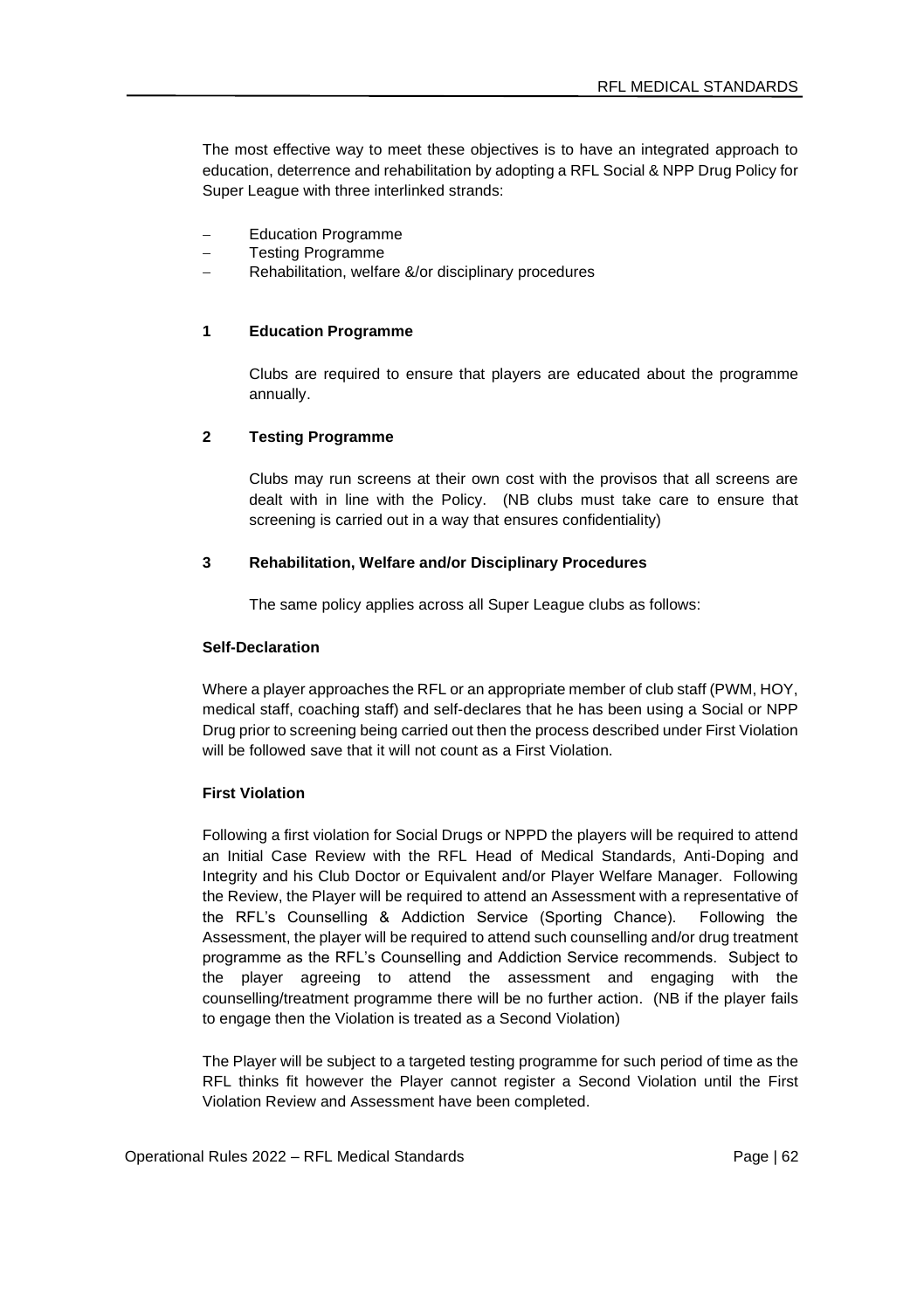The most effective way to meet these objectives is to have an integrated approach to education, deterrence and rehabilitation by adopting a RFL Social & NPP Drug Policy for Super League with three interlinked strands:

- − Education Programme
- − Testing Programme
- − Rehabilitation, welfare &/or disciplinary procedures

#### **1 Education Programme**

Clubs are required to ensure that players are educated about the programme annually.

#### **2 Testing Programme**

Clubs may run screens at their own cost with the provisos that all screens are dealt with in line with the Policy. (NB clubs must take care to ensure that screening is carried out in a way that ensures confidentiality)

#### **3 Rehabilitation, Welfare and/or Disciplinary Procedures**

The same policy applies across all Super League clubs as follows:

#### **Self-Declaration**

Where a player approaches the RFL or an appropriate member of club staff (PWM, HOY, medical staff, coaching staff) and self-declares that he has been using a Social or NPP Drug prior to screening being carried out then the process described under First Violation will be followed save that it will not count as a First Violation.

# **First Violation**

Following a first violation for Social Drugs or NPPD the players will be required to attend an Initial Case Review with the RFL Head of Medical Standards, Anti-Doping and Integrity and his Club Doctor or Equivalent and/or Player Welfare Manager. Following the Review, the Player will be required to attend an Assessment with a representative of the RFL's Counselling & Addiction Service (Sporting Chance). Following the Assessment, the player will be required to attend such counselling and/or drug treatment programme as the RFL's Counselling and Addiction Service recommends. Subject to the player agreeing to attend the assessment and engaging with the counselling/treatment programme there will be no further action. (NB if the player fails to engage then the Violation is treated as a Second Violation)

The Player will be subject to a targeted testing programme for such period of time as the RFL thinks fit however the Player cannot register a Second Violation until the First Violation Review and Assessment have been completed.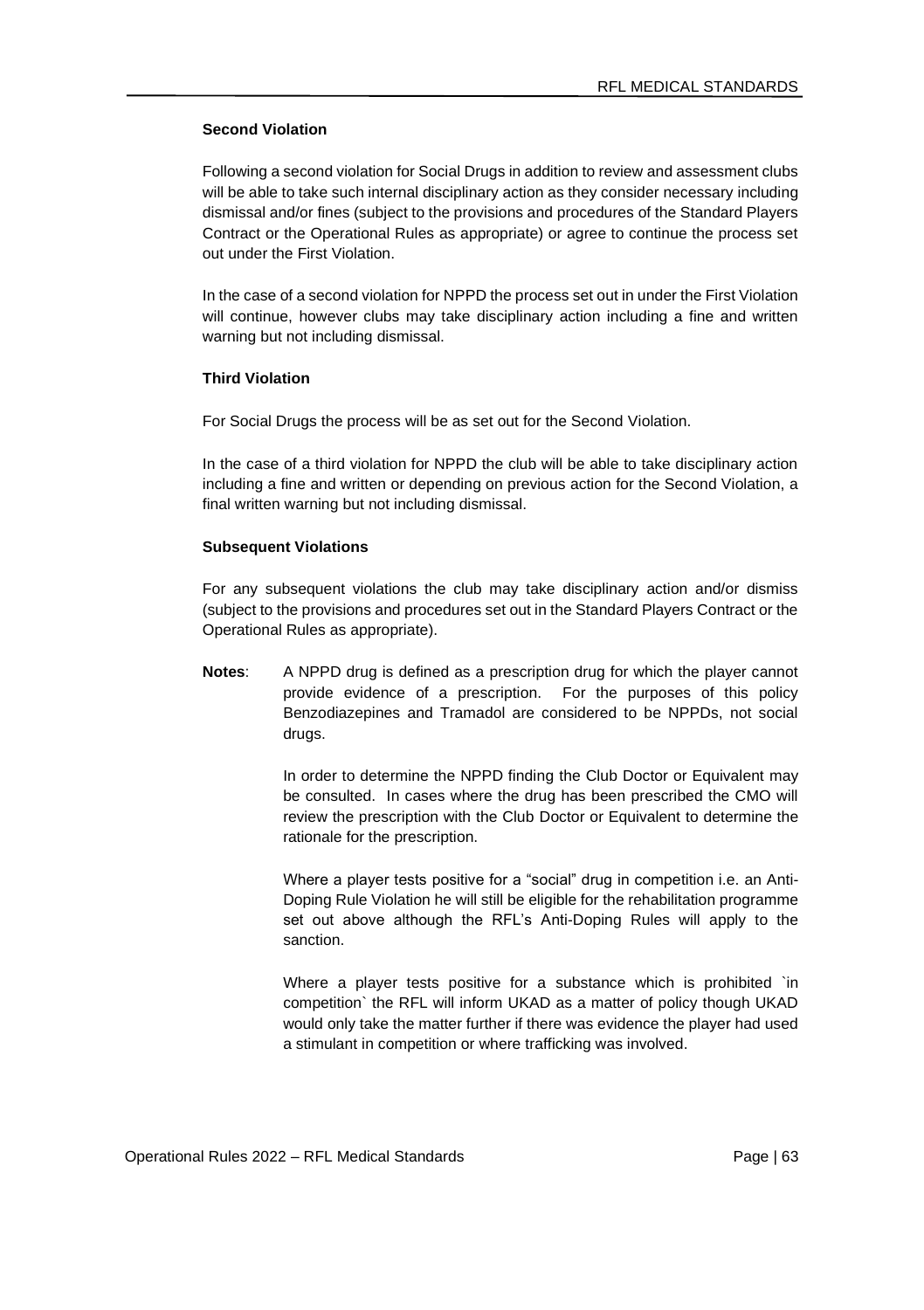#### **Second Violation**

Following a second violation for Social Drugs in addition to review and assessment clubs will be able to take such internal disciplinary action as they consider necessary including dismissal and/or fines (subject to the provisions and procedures of the Standard Players Contract or the Operational Rules as appropriate) or agree to continue the process set out under the First Violation.

In the case of a second violation for NPPD the process set out in under the First Violation will continue, however clubs may take disciplinary action including a fine and written warning but not including dismissal.

### **Third Violation**

For Social Drugs the process will be as set out for the Second Violation.

In the case of a third violation for NPPD the club will be able to take disciplinary action including a fine and written or depending on previous action for the Second Violation, a final written warning but not including dismissal.

#### **Subsequent Violations**

For any subsequent violations the club may take disciplinary action and/or dismiss (subject to the provisions and procedures set out in the Standard Players Contract or the Operational Rules as appropriate).

**Notes**: A NPPD drug is defined as a prescription drug for which the player cannot provide evidence of a prescription. For the purposes of this policy Benzodiazepines and Tramadol are considered to be NPPDs, not social drugs.

> In order to determine the NPPD finding the Club Doctor or Equivalent may be consulted. In cases where the drug has been prescribed the CMO will review the prescription with the Club Doctor or Equivalent to determine the rationale for the prescription.

> Where a player tests positive for a "social" drug in competition i.e. an Anti-Doping Rule Violation he will still be eligible for the rehabilitation programme set out above although the RFL's Anti-Doping Rules will apply to the sanction.

> Where a player tests positive for a substance which is prohibited `in competition` the RFL will inform UKAD as a matter of policy though UKAD would only take the matter further if there was evidence the player had used a stimulant in competition or where trafficking was involved.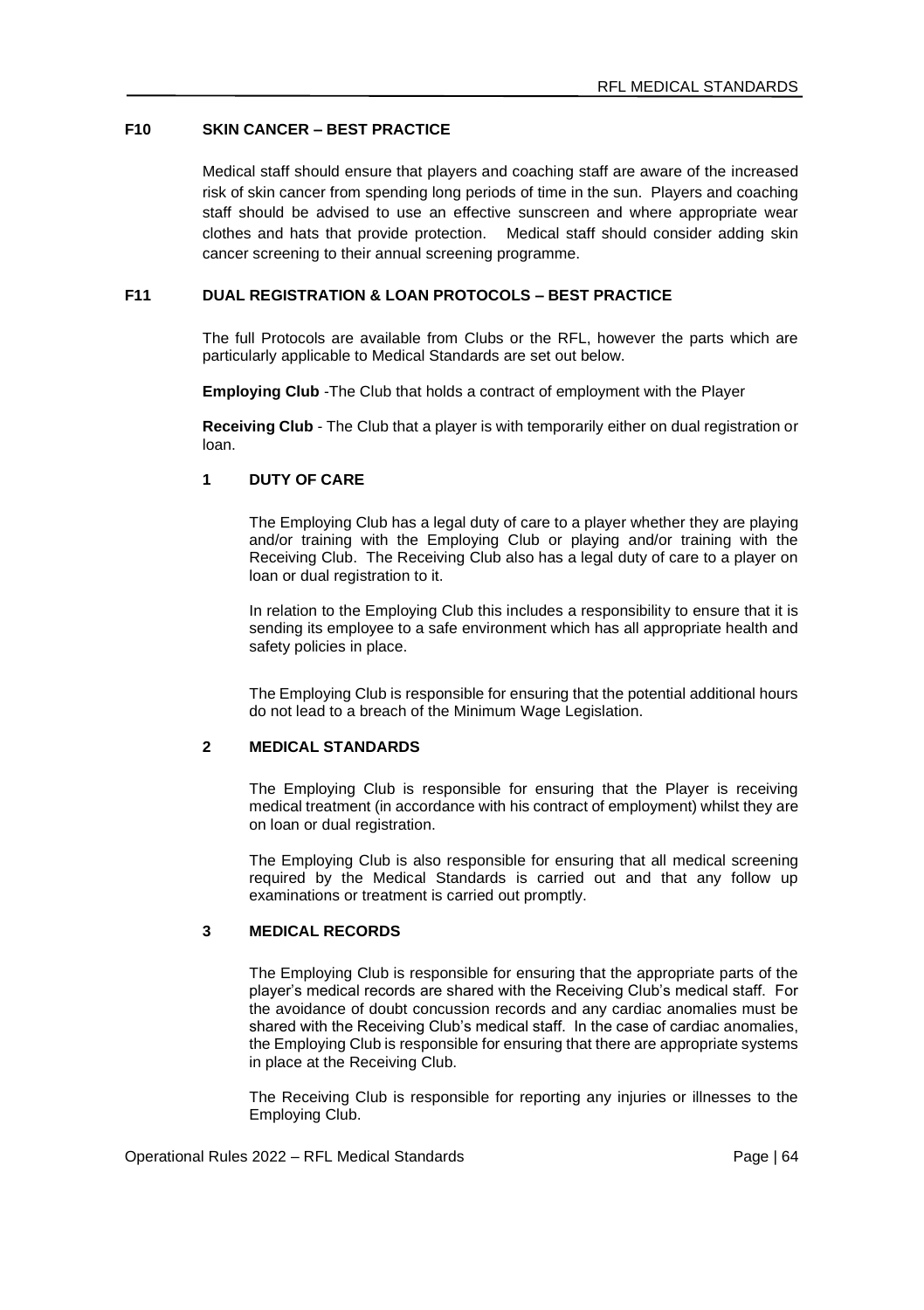# **F10 SKIN CANCER – BEST PRACTICE**

Medical staff should ensure that players and coaching staff are aware of the increased risk of skin cancer from spending long periods of time in the sun. Players and coaching staff should be advised to use an effective sunscreen and where appropriate wear clothes and hats that provide protection. Medical staff should consider adding skin cancer screening to their annual screening programme.

### **F11 DUAL REGISTRATION & LOAN PROTOCOLS – BEST PRACTICE**

The full Protocols are available from Clubs or the RFL, however the parts which are particularly applicable to Medical Standards are set out below.

**Employing Club** -The Club that holds a contract of employment with the Player

**Receiving Club** - The Club that a player is with temporarily either on dual registration or loan.

# **1 DUTY OF CARE**

The Employing Club has a legal duty of care to a player whether they are playing and/or training with the Employing Club or playing and/or training with the Receiving Club. The Receiving Club also has a legal duty of care to a player on loan or dual registration to it.

In relation to the Employing Club this includes a responsibility to ensure that it is sending its employee to a safe environment which has all appropriate health and safety policies in place.

The Employing Club is responsible for ensuring that the potential additional hours do not lead to a breach of the Minimum Wage Legislation.

### **2 MEDICAL STANDARDS**

The Employing Club is responsible for ensuring that the Player is receiving medical treatment (in accordance with his contract of employment) whilst they are on loan or dual registration.

The Employing Club is also responsible for ensuring that all medical screening required by the Medical Standards is carried out and that any follow up examinations or treatment is carried out promptly.

### **3 MEDICAL RECORDS**

The Employing Club is responsible for ensuring that the appropriate parts of the player's medical records are shared with the Receiving Club's medical staff. For the avoidance of doubt concussion records and any cardiac anomalies must be shared with the Receiving Club's medical staff. In the case of cardiac anomalies, the Employing Club is responsible for ensuring that there are appropriate systems in place at the Receiving Club.

The Receiving Club is responsible for reporting any injuries or illnesses to the Employing Club.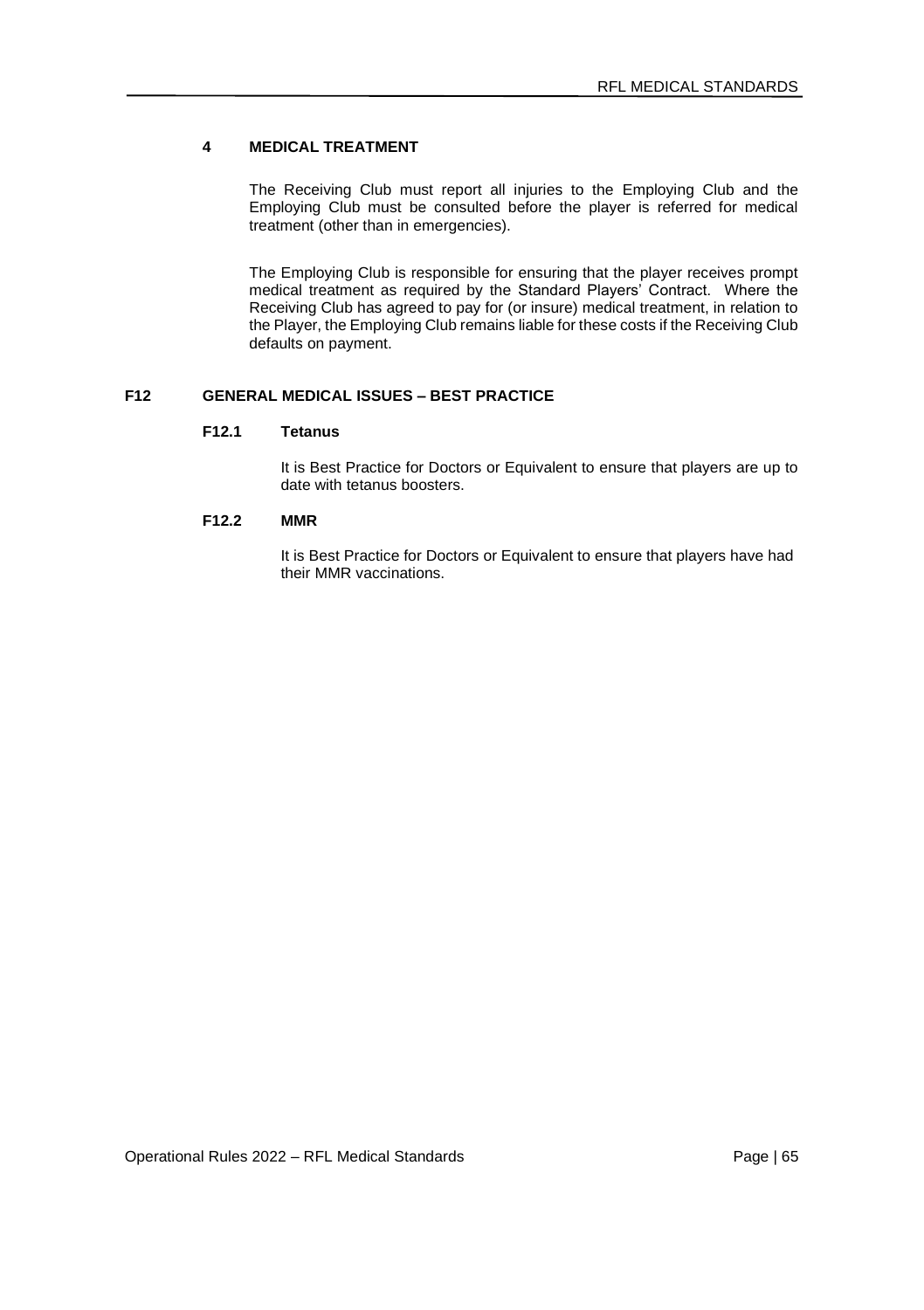# **4 MEDICAL TREATMENT**

The Receiving Club must report all injuries to the Employing Club and the Employing Club must be consulted before the player is referred for medical treatment (other than in emergencies).

The Employing Club is responsible for ensuring that the player receives prompt medical treatment as required by the Standard Players' Contract. Where the Receiving Club has agreed to pay for (or insure) medical treatment, in relation to the Player, the Employing Club remains liable for these costs if the Receiving Club defaults on payment.

# **F12 GENERAL MEDICAL ISSUES – BEST PRACTICE**

# **F12.1 Tetanus**

It is Best Practice for Doctors or Equivalent to ensure that players are up to date with tetanus boosters.

### **F12.2 MMR**

It is Best Practice for Doctors or Equivalent to ensure that players have had their MMR vaccinations.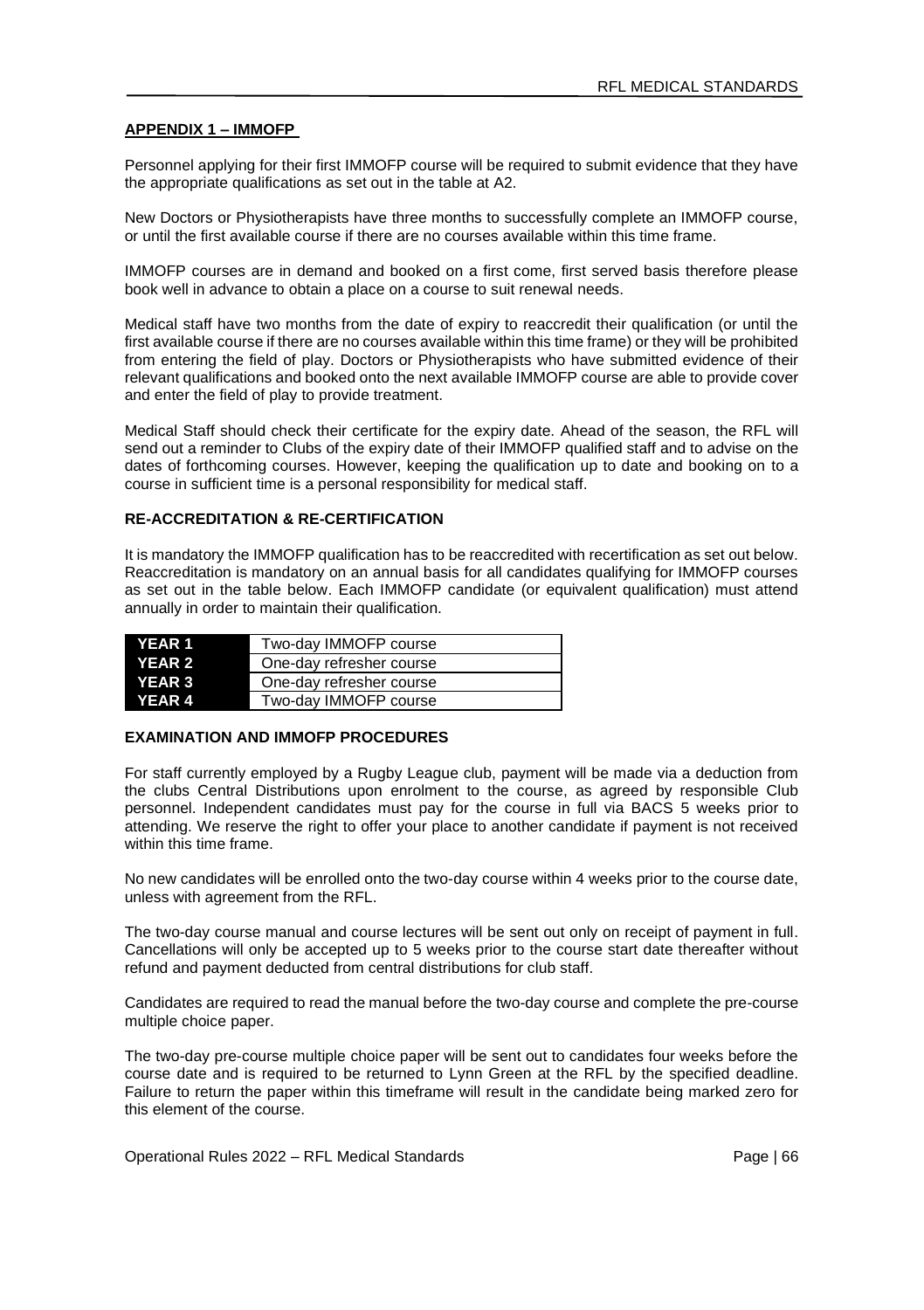#### **APPENDIX 1 – IMMOFP**

Personnel applying for their first IMMOFP course will be required to submit evidence that they have the appropriate qualifications as set out in the table at A2.

New Doctors or Physiotherapists have three months to successfully complete an IMMOFP course, or until the first available course if there are no courses available within this time frame.

IMMOFP courses are in demand and booked on a first come, first served basis therefore please book well in advance to obtain a place on a course to suit renewal needs.

Medical staff have two months from the date of expiry to reaccredit their qualification (or until the first available course if there are no courses available within this time frame) or they will be prohibited from entering the field of play. Doctors or Physiotherapists who have submitted evidence of their relevant qualifications and booked onto the next available IMMOFP course are able to provide cover and enter the field of play to provide treatment.

Medical Staff should check their certificate for the expiry date. Ahead of the season, the RFL will send out a reminder to Clubs of the expiry date of their IMMOFP qualified staff and to advise on the dates of forthcoming courses. However, keeping the qualification up to date and booking on to a course in sufficient time is a personal responsibility for medical staff.

#### **RE-ACCREDITATION & RE-CERTIFICATION**

It is mandatory the IMMOFP qualification has to be reaccredited with recertification as set out below. Reaccreditation is mandatory on an annual basis for all candidates qualifying for IMMOFP courses as set out in the table below. Each IMMOFP candidate (or equivalent qualification) must attend annually in order to maintain their qualification.

| <b>YEAR 1</b> | Two-day IMMOFP course    |
|---------------|--------------------------|
| <b>YEAR 2</b> | One-day refresher course |
| <b>YEAR 3</b> | One-day refresher course |
| <b>YEAR 4</b> | Two-day IMMOFP course    |

### **EXAMINATION AND IMMOFP PROCEDURES**

For staff currently employed by a Rugby League club, payment will be made via a deduction from the clubs Central Distributions upon enrolment to the course, as agreed by responsible Club personnel. Independent candidates must pay for the course in full via BACS 5 weeks prior to attending. We reserve the right to offer your place to another candidate if payment is not received within this time frame.

No new candidates will be enrolled onto the two-day course within 4 weeks prior to the course date, unless with agreement from the RFL.

The two-day course manual and course lectures will be sent out only on receipt of payment in full. Cancellations will only be accepted up to 5 weeks prior to the course start date thereafter without refund and payment deducted from central distributions for club staff.

Candidates are required to read the manual before the two-day course and complete the pre-course multiple choice paper.

The two-day pre-course multiple choice paper will be sent out to candidates four weeks before the course date and is required to be returned to Lynn Green at the RFL by the specified deadline. Failure to return the paper within this timeframe will result in the candidate being marked zero for this element of the course.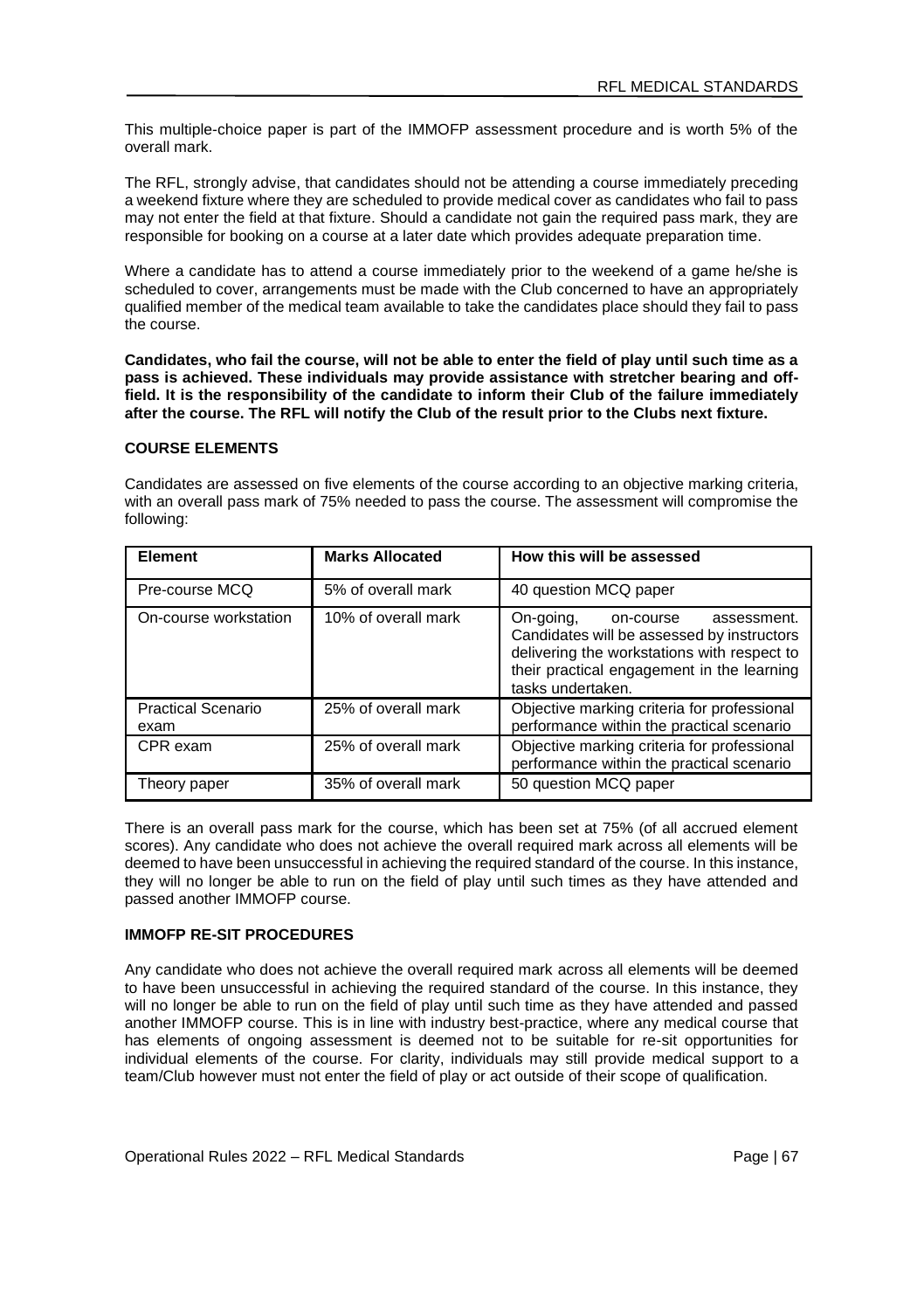This multiple-choice paper is part of the IMMOFP assessment procedure and is worth 5% of the overall mark.

The RFL, strongly advise, that candidates should not be attending a course immediately preceding a weekend fixture where they are scheduled to provide medical cover as candidates who fail to pass may not enter the field at that fixture. Should a candidate not gain the required pass mark, they are responsible for booking on a course at a later date which provides adequate preparation time.

Where a candidate has to attend a course immediately prior to the weekend of a game he/she is scheduled to cover, arrangements must be made with the Club concerned to have an appropriately qualified member of the medical team available to take the candidates place should they fail to pass the course.

**Candidates, who fail the course, will not be able to enter the field of play until such time as a pass is achieved. These individuals may provide assistance with stretcher bearing and offfield. It is the responsibility of the candidate to inform their Club of the failure immediately after the course. The RFL will notify the Club of the result prior to the Clubs next fixture.**

#### **COURSE ELEMENTS**

Candidates are assessed on five elements of the course according to an objective marking criteria, with an overall pass mark of 75% needed to pass the course. The assessment will compromise the following:

| Element                           | <b>Marks Allocated</b> | How this will be assessed                                                                                                                                                                             |
|-----------------------------------|------------------------|-------------------------------------------------------------------------------------------------------------------------------------------------------------------------------------------------------|
| Pre-course MCQ                    | 5% of overall mark     | 40 question MCQ paper                                                                                                                                                                                 |
| On-course workstation             | 10% of overall mark    | On-going,<br>assessment.<br>on-course<br>Candidates will be assessed by instructors<br>delivering the workstations with respect to<br>their practical engagement in the learning<br>tasks undertaken. |
| <b>Practical Scenario</b><br>exam | 25% of overall mark    | Objective marking criteria for professional<br>performance within the practical scenario                                                                                                              |
| CPR exam                          | 25% of overall mark    | Objective marking criteria for professional<br>performance within the practical scenario                                                                                                              |
| Theory paper                      | 35% of overall mark    | 50 question MCQ paper                                                                                                                                                                                 |

There is an overall pass mark for the course, which has been set at 75% (of all accrued element scores). Any candidate who does not achieve the overall required mark across all elements will be deemed to have been unsuccessful in achieving the required standard of the course. In this instance, they will no longer be able to run on the field of play until such times as they have attended and passed another IMMOFP course.

#### **IMMOFP RE-SIT PROCEDURES**

Any candidate who does not achieve the overall required mark across all elements will be deemed to have been unsuccessful in achieving the required standard of the course. In this instance, they will no longer be able to run on the field of play until such time as they have attended and passed another IMMOFP course. This is in line with industry best-practice, where any medical course that has elements of ongoing assessment is deemed not to be suitable for re-sit opportunities for individual elements of the course. For clarity, individuals may still provide medical support to a team/Club however must not enter the field of play or act outside of their scope of qualification.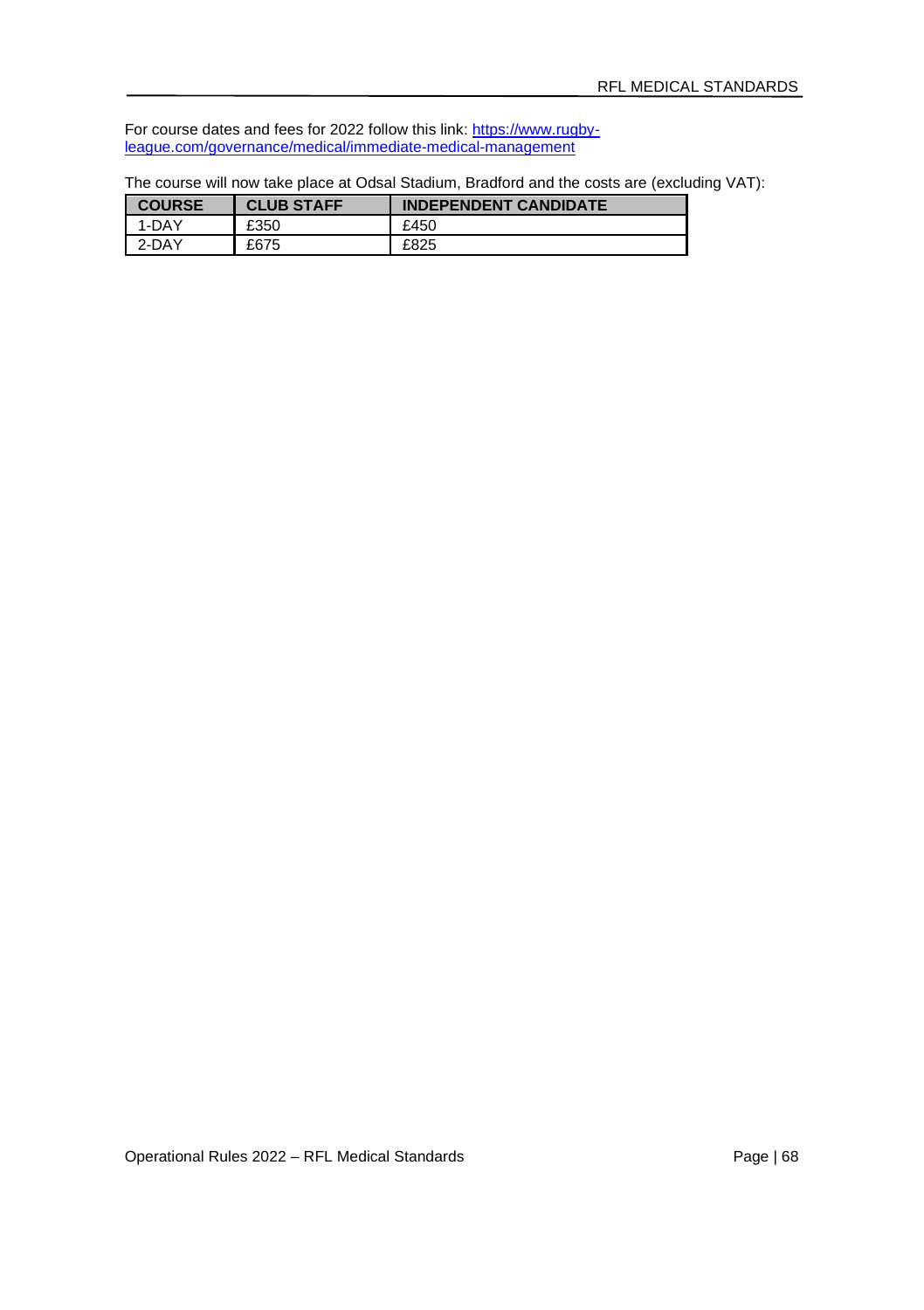For course dates and fees for 2022 follow this link[: https://www.rugby](https://www.rugby-league.com/governance/medical/immediate-medical-management)[league.com/governance/medical/immediate-medical-management](https://www.rugby-league.com/governance/medical/immediate-medical-management)

| The course will now take place at Odsal Stadium, Bradford and the costs are (excluding VAT): |  |  |  |
|----------------------------------------------------------------------------------------------|--|--|--|
|----------------------------------------------------------------------------------------------|--|--|--|

| <b>COURSE</b> | <b>CLUB STAFF</b> | <b>INDEPENDENT CANDIDATE</b> |
|---------------|-------------------|------------------------------|
| 1-DAY         | £350              | £450                         |
| 2-DAY         | £675              | £825                         |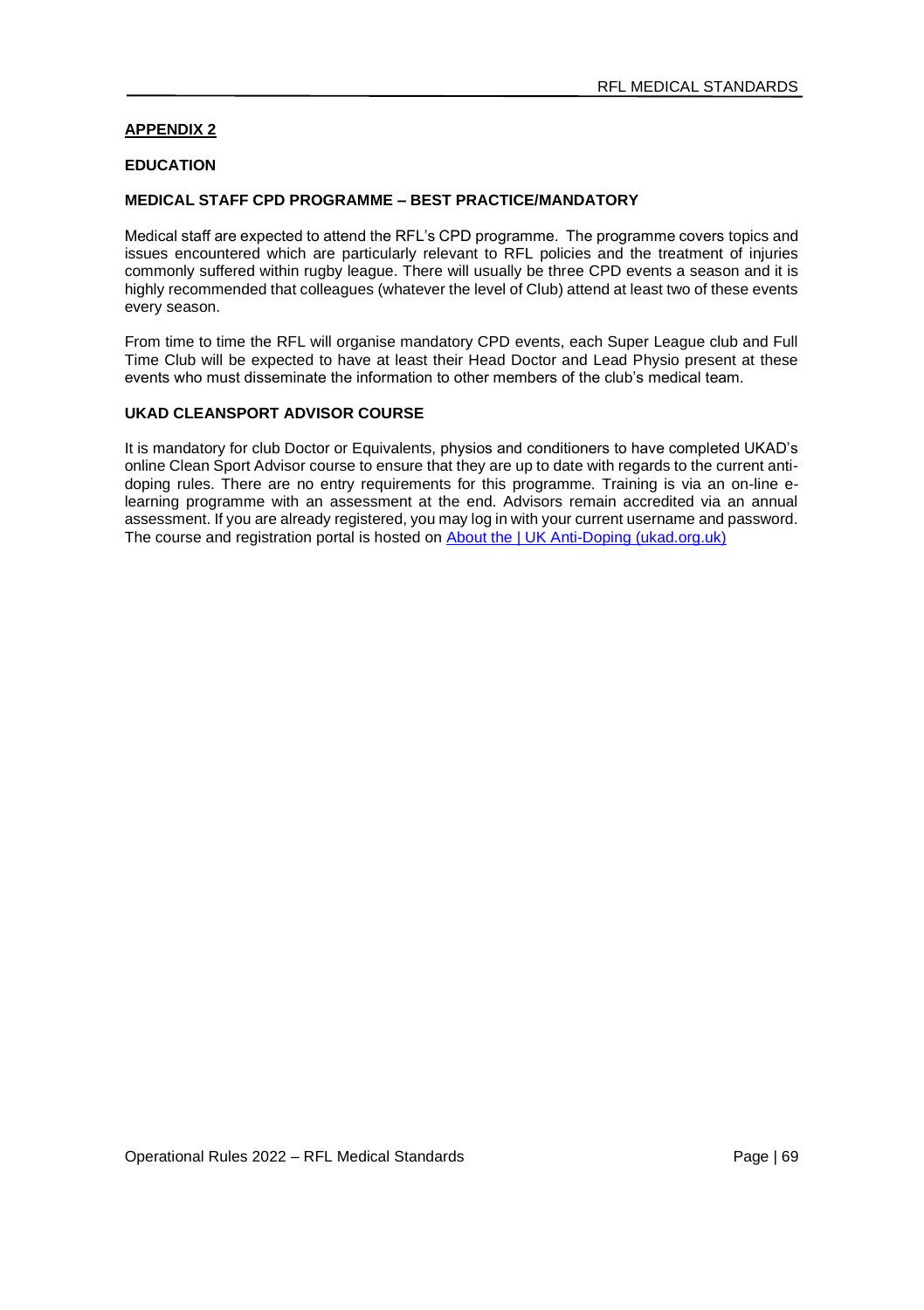### **APPENDIX 2**

#### **EDUCATION**

### **MEDICAL STAFF CPD PROGRAMME – BEST PRACTICE/MANDATORY**

Medical staff are expected to attend the RFL's CPD programme. The programme covers topics and issues encountered which are particularly relevant to RFL policies and the treatment of injuries commonly suffered within rugby league. There will usually be three CPD events a season and it is highly recommended that colleagues (whatever the level of Club) attend at least two of these events every season.

From time to time the RFL will organise mandatory CPD events, each Super League club and Full Time Club will be expected to have at least their Head Doctor and Lead Physio present at these events who must disseminate the information to other members of the club's medical team.

#### **UKAD CLEANSPORT ADVISOR COURSE**

It is mandatory for club Doctor or Equivalents, physios and conditioners to have completed UKAD's online Clean Sport Advisor course to ensure that they are up to date with regards to the current antidoping rules. There are no entry requirements for this programme. Training is via an on-line elearning programme with an assessment at the end. Advisors remain accredited via an annual assessment. If you are already registered, you may log in with your current username and password. The course and registration portal is hosted on [About the | UK Anti-Doping \(ukad.org.uk\)](https://www.ukad.org.uk/aboutcleansporthub)